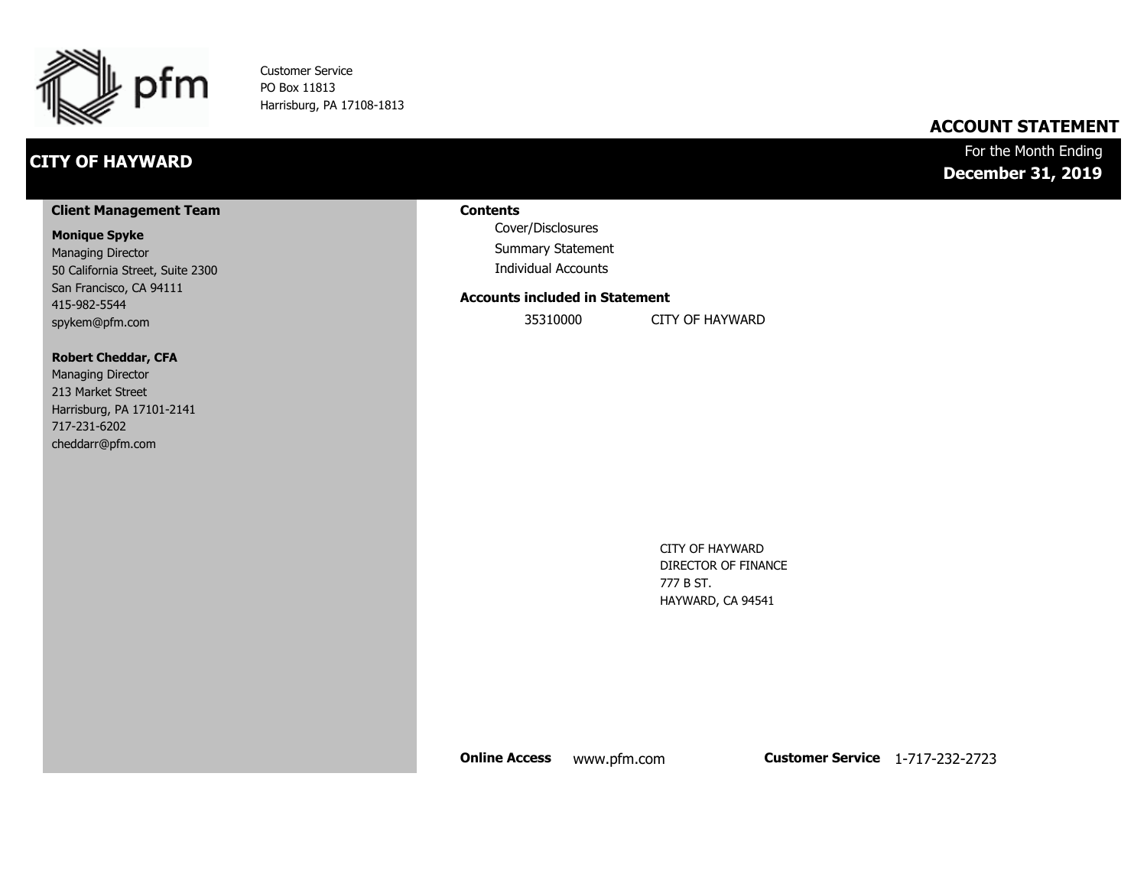

Customer Service PO Box 11813 Harrisburg, PA 17108-1813

## **CITY OF HAYWARD**

## **ACCOUNT STATEMENT**

## For the Month Ending **December 31, 2019**

#### **Client Management Team**

#### **Monique Spyke**

Managing Director 50 California Street, Suite 2300 San Francisco, CA 94111 415-982-5544 spykem@pfm.com

#### **Robert Cheddar, CFA**

| <b>Managing Director</b>  |
|---------------------------|
| 213 Market Street         |
| Harrisburg, PA 17101-2141 |
| 717-231-6202              |
| cheddarr@pfm.com          |

#### **Contents**

Cover/Disclosures Summary Statement Individual Accounts

#### **Accounts included in Statement**

35310000 CITY OF HAYWARD

CITY OF HAYWARD DIRECTOR OF FINANCE 777 B ST. HAYWARD, CA 94541

**Online Access** www.pfm.com **Customer Service** 1-717-232-2723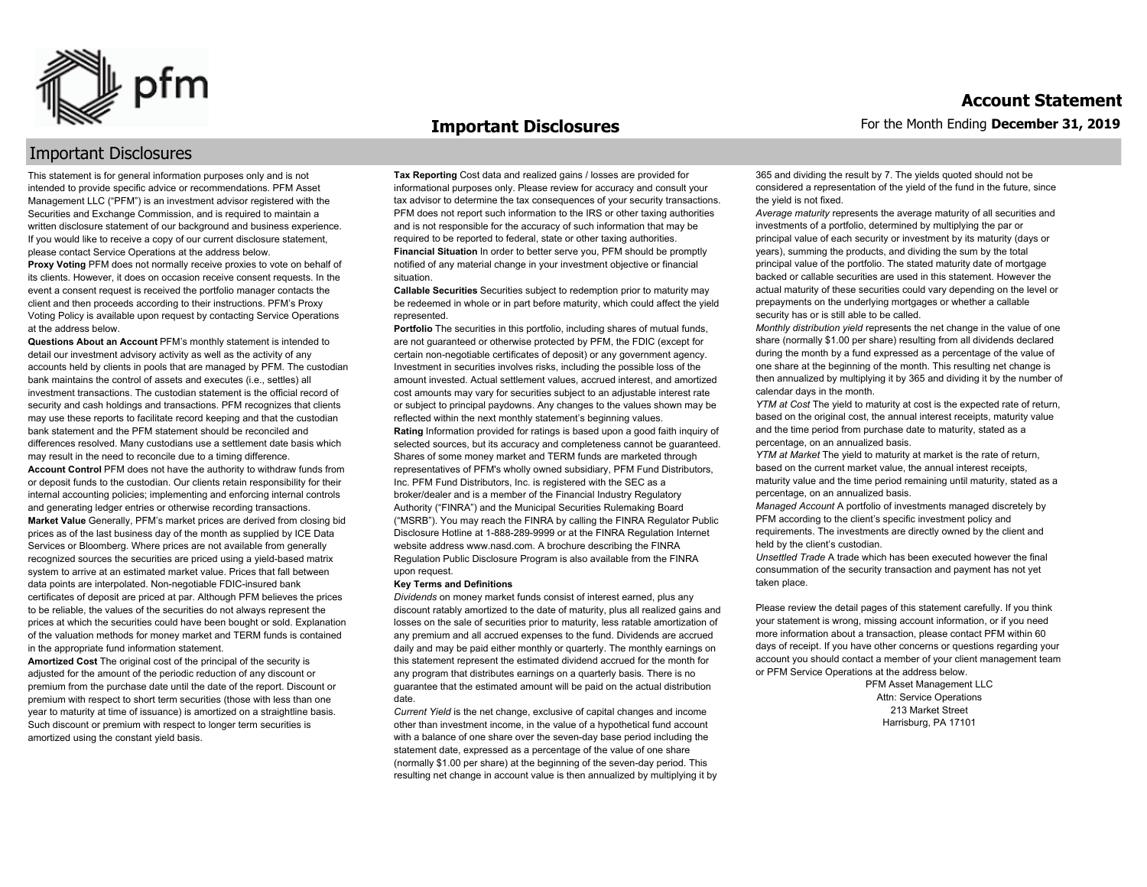

#### **Important Disclosures**

## Important Disclosures

This statement is for general information purposes only and is not intended to provide specific advice or recommendations. PFM Asset Management LLC ("PFM") is an investment advisor registered with the Securities and Exchange Commission, and is required to maintain a written disclosure statement of our background and business experience. If you would like to receive a copy of our current disclosure statement, please contact Service Operations at the address below.

**Proxy Voting** PFM does not normally receive proxies to vote on behalf of its clients. However, it does on occasion receive consent requests. In the event a consent request is received the portfolio manager contacts the client and then proceeds according to their instructions. PFM's Proxy Voting Policy is available upon request by contacting Service Operations at the address below.

**Questions About an Account** PFM's monthly statement is intended to detail our investment advisory activity as well as the activity of any accounts held by clients in pools that are managed by PFM. The custodian bank maintains the control of assets and executes (i.e., settles) all investment transactions. The custodian statement is the official record of security and cash holdings and transactions. PFM recognizes that clients may use these reports to facilitate record keeping and that the custodian bank statement and the PFM statement should be reconciled and differences resolved. Many custodians use a settlement date basis which may result in the need to reconcile due to a timing difference. **Account Control** PFM does not have the authority to withdraw funds from or deposit funds to the custodian. Our clients retain responsibility for their internal accounting policies; implementing and enforcing internal controls and generating ledger entries or otherwise recording transactions. **Market Value** Generally, PFM's market prices are derived from closing bid prices as of the last business day of the month as supplied by ICE Data Services or Bloomberg. Where prices are not available from generally recognized sources the securities are priced using a yield-based matrix system to arrive at an estimated market value. Prices that fall between data points are interpolated. Non-negotiable FDIC-insured bank certificates of deposit are priced at par. Although PFM believes the prices to be reliable, the values of the securities do not always represent the prices at which the securities could have been bought or sold. Explanation of the valuation methods for money market and TERM funds is contained in the appropriate fund information statement.

**Amortized Cost** The original cost of the principal of the security is adjusted for the amount of the periodic reduction of any discount or premium from the purchase date until the date of the report. Discount or premium with respect to short term securities (those with less than one year to maturity at time of issuance) is amortized on a straightline basis. Such discount or premium with respect to longer term securities is amortized using the constant yield basis.

**Tax Reporting** Cost data and realized gains / losses are provided for informational purposes only. Please review for accuracy and consult your tax advisor to determine the tax consequences of your security transactions. PFM does not report such information to the IRS or other taxing authorities and is not responsible for the accuracy of such information that may be required to be reported to federal, state or other taxing authorities. **Financial Situation** In order to better serve you, PFM should be promptly notified of any material change in your investment objective or financial situation.

**Callable Securities** Securities subject to redemption prior to maturity may be redeemed in whole or in part before maturity, which could affect the yield represented.

Portfolio The securities in this portfolio, including shares of mutual funds, are not guaranteed or otherwise protected by PFM, the FDIC (except for certain non-negotiable certificates of deposit) or any government agency. Investment in securities involves risks, including the possible loss of the amount invested. Actual settlement values, accrued interest, and amortized cost amounts may vary for securities subject to an adjustable interest rate or subject to principal paydowns. Any changes to the values shown may be reflected within the next monthly statement's beginning values. **Rating** Information provided for ratings is based upon a good faith inquiry of selected sources, but its accuracy and completeness cannot be guaranteed. Shares of some money market and TERM funds are marketed through representatives of PFM's wholly owned subsidiary, PFM Fund Distributors, Inc. PFM Fund Distributors, Inc. is registered with the SEC as a broker/dealer and is a member of the Financial Industry Regulatory Authority ("FINRA") and the Municipal Securities Rulemaking Board ("MSRB"). You may reach the FINRA by calling the FINRA Regulator Public Disclosure Hotline at 1-888-289-9999 or at the FINRA Regulation Internet website address www.nasd.com. A brochure describing the FINRA Regulation Public Disclosure Program is also available from the FINRA upon request.

#### **Key Terms and Definitions**

*Dividends* on money market funds consist of interest earned, plus any discount ratably amortized to the date of maturity, plus all realized gains and losses on the sale of securities prior to maturity, less ratable amortization of any premium and all accrued expenses to the fund. Dividends are accrued daily and may be paid either monthly or quarterly. The monthly earnings on this statement represent the estimated dividend accrued for the month for any program that distributes earnings on a quarterly basis. There is no guarantee that the estimated amount will be paid on the actual distribution date.

*Current Yield* is the net change, exclusive of capital changes and income other than investment income, in the value of a hypothetical fund account with a balance of one share over the seven-day base period including the statement date, expressed as a percentage of the value of one share (normally \$1.00 per share) at the beginning of the seven-day period. This resulting net change in account value is then annualized by multiplying it by 365 and dividing the result by 7. The yields quoted should not be considered a representation of the yield of the fund in the future, since the yield is not fixed.

*Average maturity* represents the average maturity of all securities and investments of a portfolio, determined by multiplying the par or principal value of each security or investment by its maturity (days or years), summing the products, and dividing the sum by the total principal value of the portfolio. The stated maturity date of mortgage backed or callable securities are used in this statement. However the actual maturity of these securities could vary depending on the level or prepayments on the underlying mortgages or whether a callable security has or is still able to be called.

*Monthly distribution yield* represents the net change in the value of one share (normally \$1.00 per share) resulting from all dividends declared during the month by a fund expressed as a percentage of the value of one share at the beginning of the month. This resulting net change is then annualized by multiplying it by 365 and dividing it by the number of calendar days in the month.

*YTM at Cost* The yield to maturity at cost is the expected rate of return, based on the original cost, the annual interest receipts, maturity value and the time period from purchase date to maturity, stated as a percentage, on an annualized basis.

*YTM at Market* The yield to maturity at market is the rate of return, based on the current market value, the annual interest receipts, maturity value and the time period remaining until maturity, stated as a percentage, on an annualized basis.

*Managed Account* A portfolio of investments managed discretely by PFM according to the client's specific investment policy and requirements. The investments are directly owned by the client and held by the client's custodian.

*Unsettled Trade* A trade which has been executed however the final consummation of the security transaction and payment has not yet taken place.

Please review the detail pages of this statement carefully. If you think your statement is wrong, missing account information, or if you need more information about a transaction, please contact PFM within 60 days of receipt. If you have other concerns or questions regarding your account you should contact a member of your client management team or PFM Service Operations at the address below.

> PFM Asset Management LLC Attn: Service Operations 213 Market Street Harrisburg, PA 17101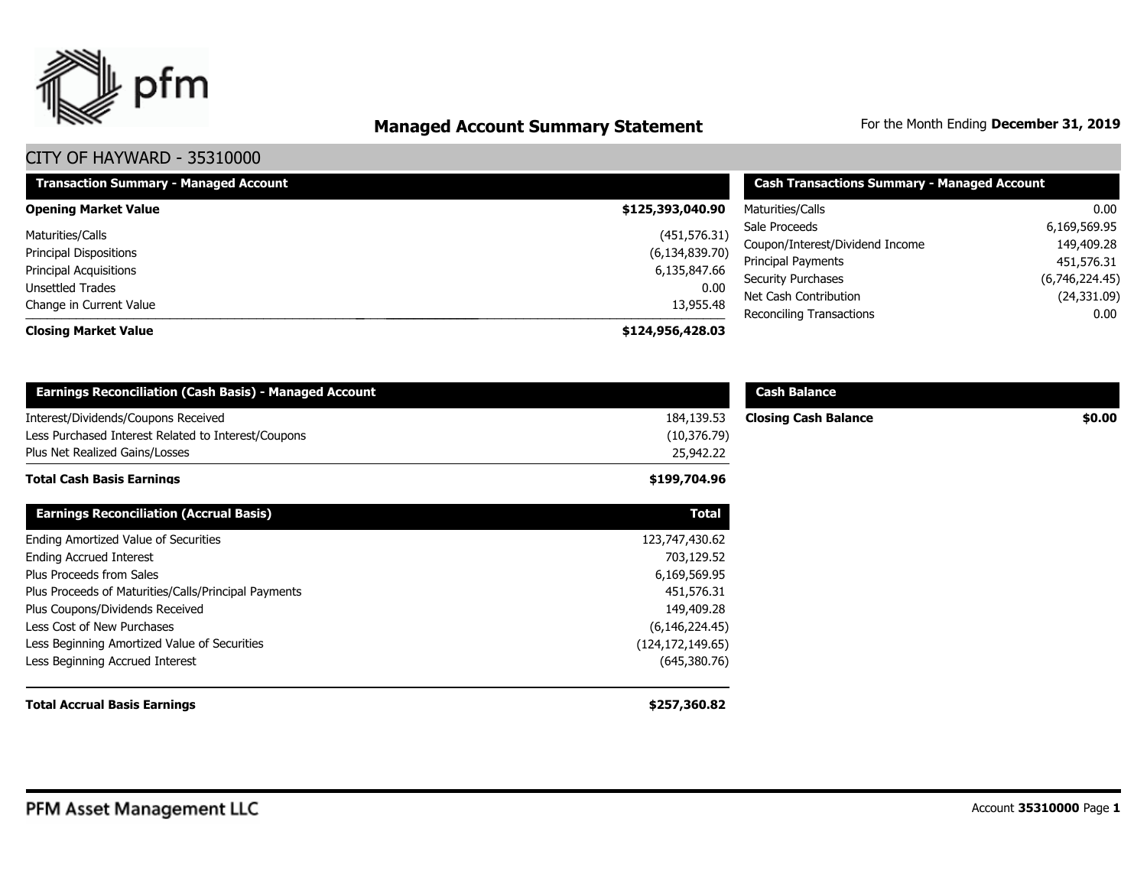

# **Managed Account Summary Statement** For the Month Ending December 31, 2019

| <b>Transaction Summary - Managed Account</b> | <b>Cash Transactions Summary - Managed Account</b> |                                 |                |  |  |
|----------------------------------------------|----------------------------------------------------|---------------------------------|----------------|--|--|
| <b>Opening Market Value</b>                  | \$125,393,040.90                                   | Maturities/Calls                | 0.00           |  |  |
| Maturities/Calls                             | (451, 576.31)                                      | 6,169,569.95<br>Sale Proceeds   |                |  |  |
| <b>Principal Dispositions</b>                | (6, 134, 839.70)                                   | Coupon/Interest/Dividend Income | 149,409.28     |  |  |
|                                              |                                                    | Principal Payments              | 451,576.31     |  |  |
| Principal Acquisitions                       | 6,135,847.66                                       | <b>Security Purchases</b>       | (6,746,224.45) |  |  |
| Unsettled Trades                             | 0.00                                               | Net Cash Contribution           | (24, 331.09)   |  |  |
| Change in Current Value                      | 13,955.48                                          | <b>Reconciling Transactions</b> | 0.00           |  |  |
| <b>Closing Market Value</b>                  | \$124,956,428.03                                   |                                 |                |  |  |

| <b>Earnings Reconciliation (Cash Basis) - Managed Account</b>                              |                            | <b>Cash Balance</b>         |        |
|--------------------------------------------------------------------------------------------|----------------------------|-----------------------------|--------|
| Interest/Dividends/Coupons Received<br>Less Purchased Interest Related to Interest/Coupons | 184,139.53<br>(10, 376.79) | <b>Closing Cash Balance</b> | \$0.00 |
| Plus Net Realized Gains/Losses                                                             | 25,942.22                  |                             |        |
| <b>Total Cash Basis Earnings</b>                                                           | \$199,704.96               |                             |        |
| <b>Earnings Reconciliation (Accrual Basis)</b>                                             | <b>Total</b>               |                             |        |
| Ending Amortized Value of Securities                                                       | 123,747,430.62             |                             |        |
| <b>Ending Accrued Interest</b>                                                             | 703,129.52                 |                             |        |
| Plus Proceeds from Sales                                                                   | 6,169,569.95               |                             |        |
| Plus Proceeds of Maturities/Calls/Principal Payments                                       | 451,576.31                 |                             |        |
| Plus Coupons/Dividends Received                                                            | 149,409.28                 |                             |        |
| Less Cost of New Purchases                                                                 | (6, 146, 224.45)           |                             |        |
| Less Beginning Amortized Value of Securities                                               | (124, 172, 149.65)         |                             |        |
| Less Beginning Accrued Interest                                                            | (645,380.76)               |                             |        |
| <b>Total Accrual Basis Earnings</b>                                                        | \$257,360.82               |                             |        |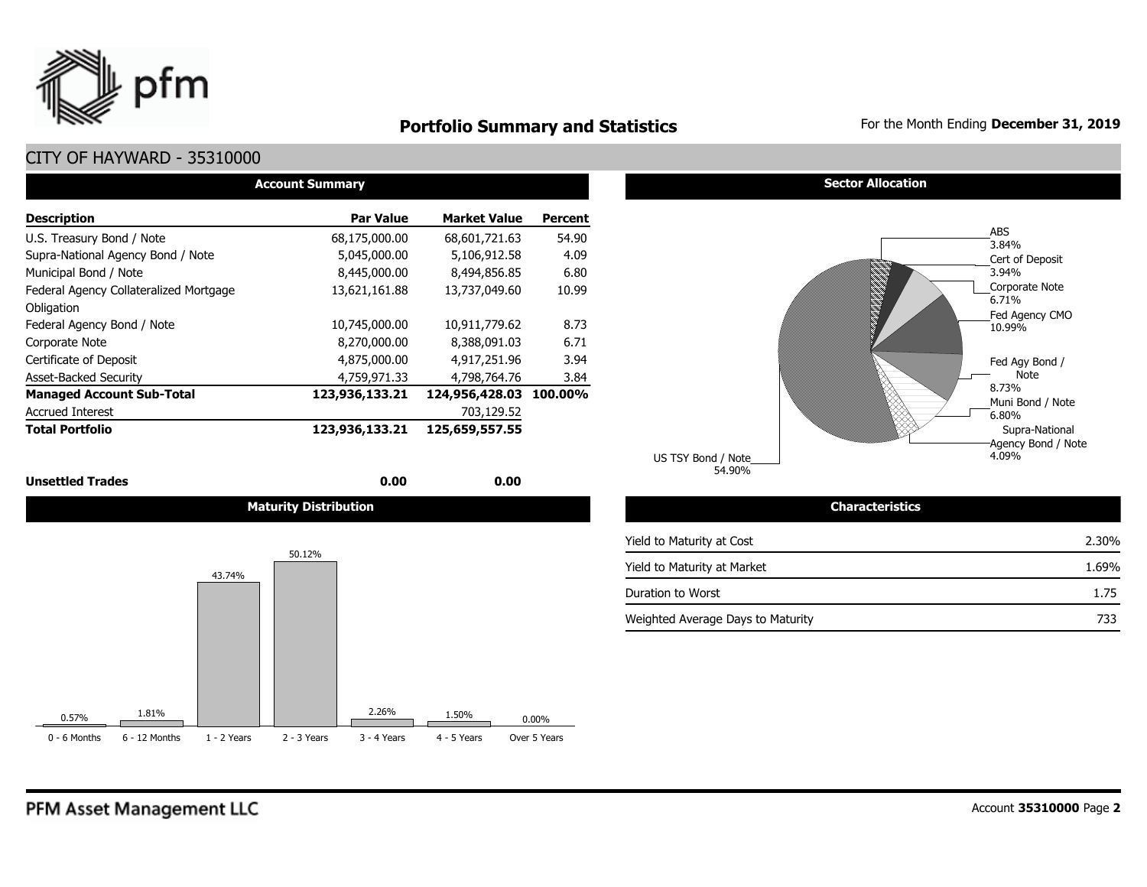

## **Portfolio Summary and Statistics** For the Month Ending December 31, 2019

## CITY OF HAYWARD - 35310000

| <b>Account Summary</b>                 |                  |                     |         |  |  |  |  |  |  |  |
|----------------------------------------|------------------|---------------------|---------|--|--|--|--|--|--|--|
| <b>Description</b>                     | <b>Par Value</b> | <b>Market Value</b> | Percent |  |  |  |  |  |  |  |
| U.S. Treasury Bond / Note              | 68,175,000.00    | 68,601,721.63       | 54.90   |  |  |  |  |  |  |  |
| Supra-National Agency Bond / Note      | 5,045,000.00     | 5,106,912.58        | 4.09    |  |  |  |  |  |  |  |
| Municipal Bond / Note                  | 8,445,000.00     | 8,494,856.85        | 6.80    |  |  |  |  |  |  |  |
| Federal Agency Collateralized Mortgage | 13,621,161.88    | 13,737,049.60       | 10.99   |  |  |  |  |  |  |  |
| Obligation                             |                  |                     |         |  |  |  |  |  |  |  |
| Federal Agency Bond / Note             | 10,745,000.00    | 10.911.779.62       | 8.73    |  |  |  |  |  |  |  |
| Corporate Note                         | 8,270,000.00     | 8,388,091.03        | 6.71    |  |  |  |  |  |  |  |
| Certificate of Deposit                 | 4,875,000.00     | 4,917,251.96        | 3.94    |  |  |  |  |  |  |  |
| <b>Asset-Backed Security</b>           | 4,759,971.33     | 4,798,764.76        | 3.84    |  |  |  |  |  |  |  |
| <b>Managed Account Sub-Total</b>       | 123,936,133.21   | 124,956,428.03      | 100.00% |  |  |  |  |  |  |  |
| <b>Accrued Interest</b>                |                  | 703,129.52          |         |  |  |  |  |  |  |  |
| <b>Total Portfolio</b>                 | 123,936,133.21   | 125,659,557.55      |         |  |  |  |  |  |  |  |

**Unsettled Trades** 0.00 **0.00** 0.00 **0.00** 

**Maturity Distribution Characteristics**



**Sector Allocation** 



54.90% US TSY Bond / Note

| Yield to Maturity at Cost         | 2.30% |
|-----------------------------------|-------|
| Yield to Maturity at Market       | 1.69% |
| Duration to Worst                 | 1.75  |
| Weighted Average Days to Maturity | 733   |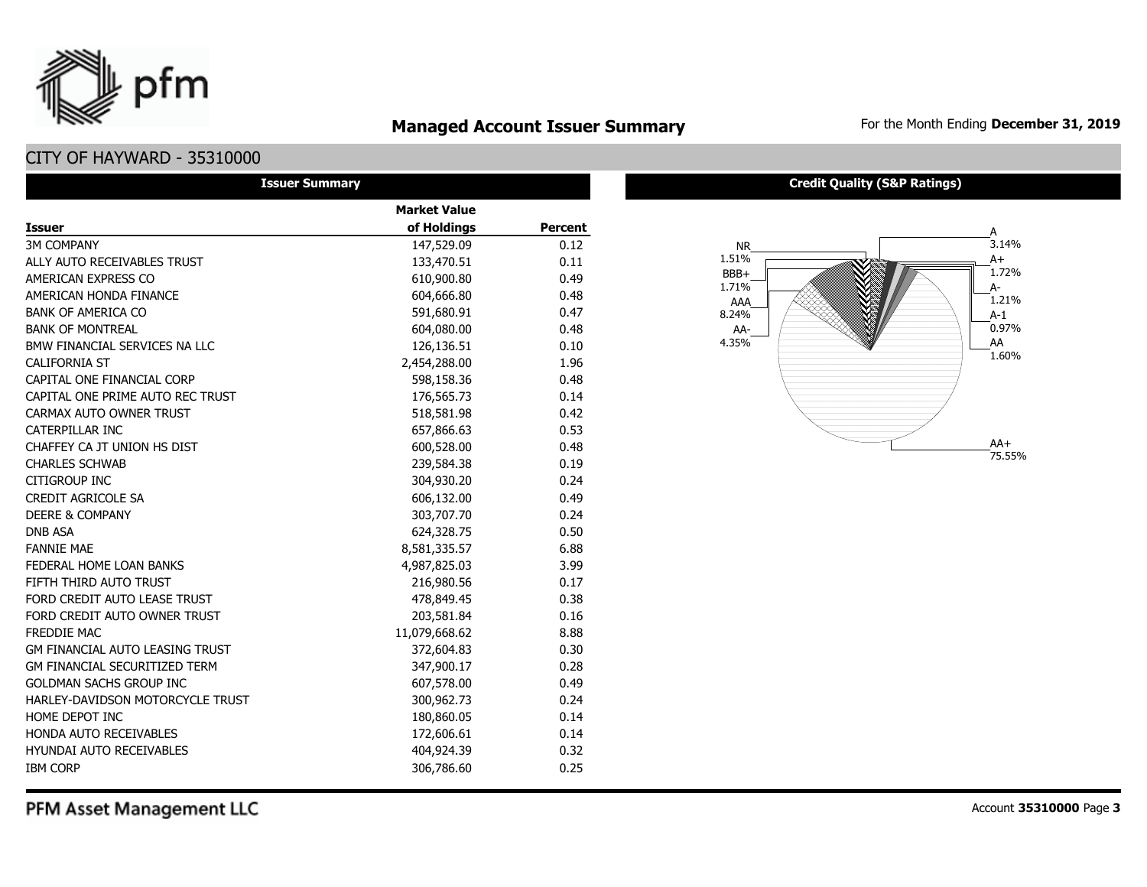

## **Managed Account Issuer Summary** For the Month Ending December 31, 2019

## CITY OF HAYWARD - 35310000

| <b>Issuer Summary</b>                  |                     |                |
|----------------------------------------|---------------------|----------------|
|                                        | <b>Market Value</b> |                |
| <b>Issuer</b>                          | of Holdings         | <b>Percent</b> |
| <b>3M COMPANY</b>                      | 147,529.09          | 0.12           |
| ALLY AUTO RECEIVABLES TRUST            | 133,470.51          | 0.11           |
| AMERICAN EXPRESS CO                    | 610,900.80          | 0.49           |
| AMERICAN HONDA FINANCE                 | 604,666.80          | 0.48           |
| <b>BANK OF AMERICA CO</b>              | 591,680.91          | 0.47           |
| <b>BANK OF MONTREAL</b>                | 604,080.00          | 0.48           |
| BMW FINANCIAL SERVICES NA LLC          | 126,136.51          | 0.10           |
| <b>CALIFORNIA ST</b>                   | 2,454,288.00        | 1.96           |
| CAPITAL ONE FINANCIAL CORP             | 598,158.36          | 0.48           |
| CAPITAL ONE PRIME AUTO REC TRUST       | 176,565.73          | 0.14           |
| CARMAX AUTO OWNER TRUST                | 518,581.98          | 0.42           |
| CATERPILLAR INC                        | 657,866.63          | 0.53           |
| CHAFFEY CA JT UNION HS DIST            | 600,528.00          | 0.48           |
| <b>CHARLES SCHWAB</b>                  | 239,584.38          | 0.19           |
| <b>CITIGROUP INC</b>                   | 304,930.20          | 0.24           |
| <b>CREDIT AGRICOLE SA</b>              | 606,132.00          | 0.49           |
| <b>DEERE &amp; COMPANY</b>             | 303,707.70          | 0.24           |
| <b>DNB ASA</b>                         | 624,328.75          | 0.50           |
| <b>FANNIE MAE</b>                      | 8,581,335.57        | 6.88           |
| FEDERAL HOME LOAN BANKS                | 4,987,825.03        | 3.99           |
| FIFTH THIRD AUTO TRUST                 | 216,980.56          | 0.17           |
| FORD CREDIT AUTO LEASE TRUST           | 478,849.45          | 0.38           |
| FORD CREDIT AUTO OWNER TRUST           | 203,581.84          | 0.16           |
| <b>FREDDIE MAC</b>                     | 11,079,668.62       | 8.88           |
| <b>GM FINANCIAL AUTO LEASING TRUST</b> | 372,604.83          | 0.30           |
| <b>GM FINANCIAL SECURITIZED TERM</b>   | 347,900.17          | 0.28           |
| <b>GOLDMAN SACHS GROUP INC</b>         | 607,578.00          | 0.49           |
| HARLEY-DAVIDSON MOTORCYCLE TRUST       | 300,962.73          | 0.24           |
| HOME DEPOT INC                         | 180,860.05          | 0.14           |
| HONDA AUTO RECEIVABLES                 | 172,606.61          | 0.14           |
| <b>HYUNDAI AUTO RECEIVABLES</b>        | 404,924.39          | 0.32           |
| <b>IBM CORP</b>                        | 306,786.60          | 0.25           |

#### **Credit Quality (S&P Ratings)**



PFM Asset Management LLC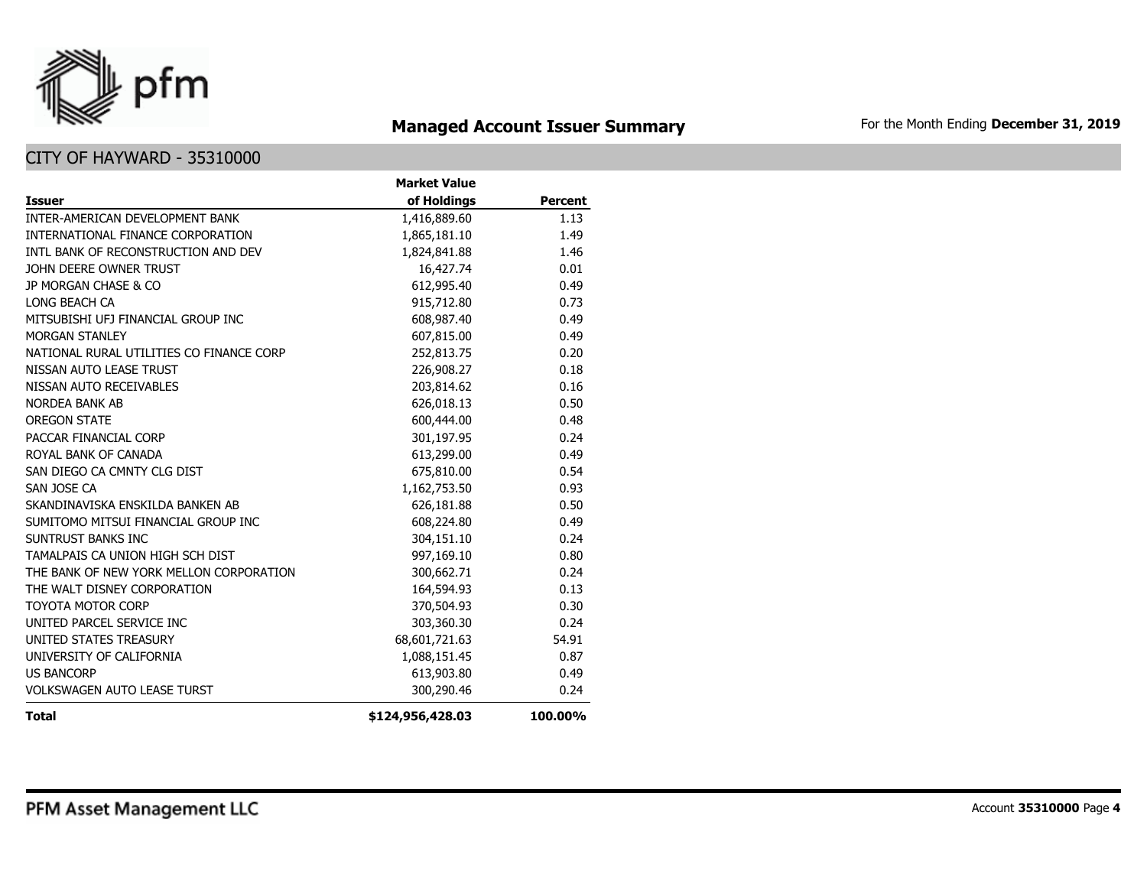

## **Managed Account Issuer Summary** For the Month Ending December 31, 2019

|                                          | <b>Market Value</b> |                |
|------------------------------------------|---------------------|----------------|
| <b>Issuer</b>                            | of Holdings         | <b>Percent</b> |
| INTER-AMERICAN DEVELOPMENT BANK          | 1,416,889.60        | 1.13           |
| INTERNATIONAL FINANCE CORPORATION        | 1,865,181.10        | 1.49           |
| INTL BANK OF RECONSTRUCTION AND DEV      | 1,824,841.88        | 1.46           |
| JOHN DEERE OWNER TRUST                   | 16,427.74           | 0.01           |
| JP MORGAN CHASE & CO                     | 612,995.40          | 0.49           |
| LONG BEACH CA                            | 915,712.80          | 0.73           |
| MITSUBISHI UFJ FINANCIAL GROUP INC       | 608,987.40          | 0.49           |
| <b>MORGAN STANLEY</b>                    | 607,815.00          | 0.49           |
| NATIONAL RURAL UTILITIES CO FINANCE CORP | 252,813.75          | 0.20           |
| NISSAN AUTO LEASE TRUST                  | 226,908.27          | 0.18           |
| NISSAN AUTO RECEIVABLES                  | 203,814.62          | 0.16           |
| <b>NORDEA BANK AB</b>                    | 626,018.13          | 0.50           |
| <b>OREGON STATE</b>                      | 600,444.00          | 0.48           |
| PACCAR FINANCIAL CORP                    | 301,197.95          | 0.24           |
| ROYAL BANK OF CANADA                     | 613,299.00          | 0.49           |
| SAN DIEGO CA CMNTY CLG DIST              | 675,810.00          | 0.54           |
| SAN JOSE CA                              | 1,162,753.50        | 0.93           |
| SKANDINAVISKA ENSKILDA BANKEN AB         | 626,181.88          | 0.50           |
| SUMITOMO MITSUI FINANCIAL GROUP INC      | 608,224.80          | 0.49           |
| SUNTRUST BANKS INC                       | 304,151.10          | 0.24           |
| TAMALPAIS CA UNION HIGH SCH DIST         | 997,169.10          | 0.80           |
| THE BANK OF NEW YORK MELLON CORPORATION  | 300,662.71          | 0.24           |
| THE WALT DISNEY CORPORATION              | 164,594.93          | 0.13           |
| <b>TOYOTA MOTOR CORP</b>                 | 370,504.93          | 0.30           |
| UNITED PARCEL SERVICE INC                | 303,360.30          | 0.24           |
| UNITED STATES TREASURY                   | 68,601,721.63       | 54.91          |
| UNIVERSITY OF CALIFORNIA                 | 1,088,151.45        | 0.87           |
| <b>US BANCORP</b>                        | 613,903.80          | 0.49           |
| <b>VOLKSWAGEN AUTO LEASE TURST</b>       | 300,290.46          | 0.24           |
| <b>Total</b>                             | \$124,956,428.03    | 100.00%        |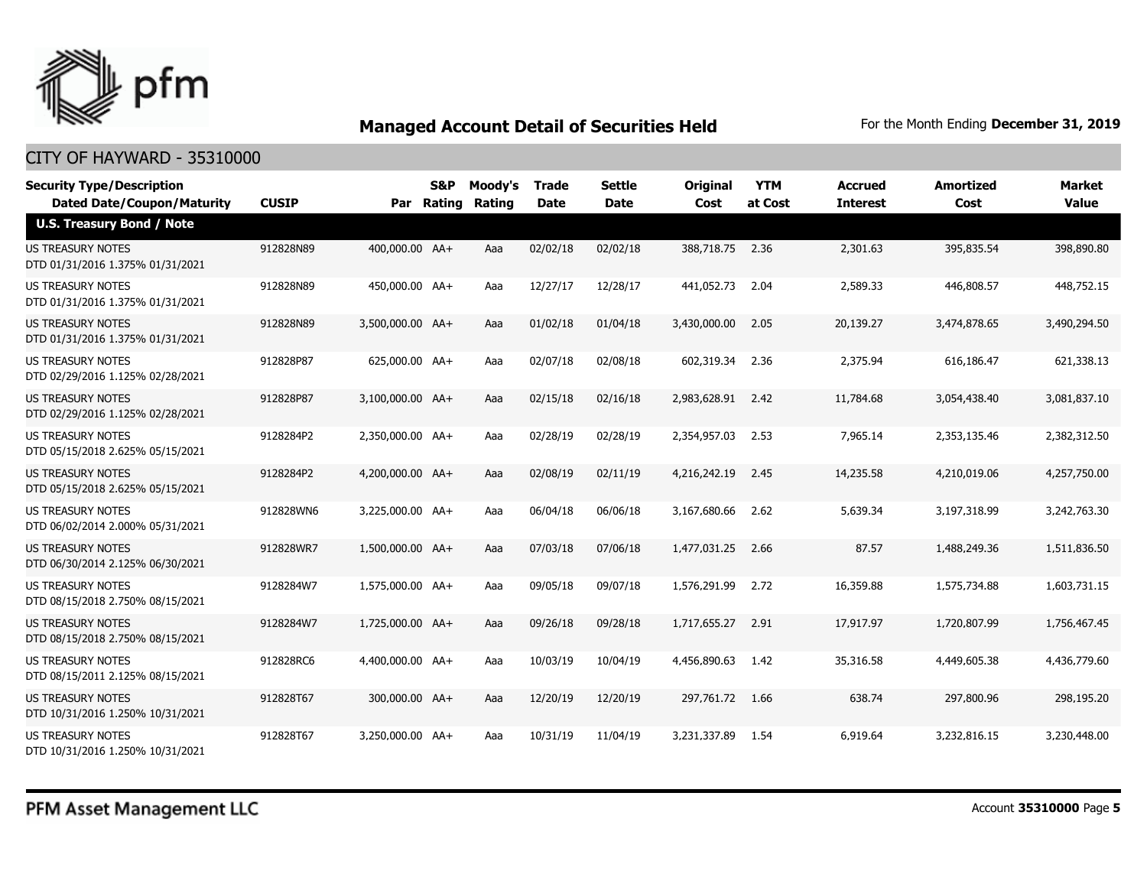

| <b>Security Type/Description</b>                             |              |                  | <b>S&amp;P</b> | Moody's | <b>Trade</b> | <b>Settle</b> | <b>Original</b> | <b>YTM</b> | Accrued         | <b>Amortized</b> | <b>Market</b> |
|--------------------------------------------------------------|--------------|------------------|----------------|---------|--------------|---------------|-----------------|------------|-----------------|------------------|---------------|
| <b>Dated Date/Coupon/Maturity</b>                            | <b>CUSIP</b> | Par              | Rating         | Rating  | Date         | <b>Date</b>   | Cost            | at Cost    | <b>Interest</b> | Cost             | <b>Value</b>  |
| <b>U.S. Treasury Bond / Note</b>                             |              |                  |                |         |              |               |                 |            |                 |                  |               |
| <b>US TREASURY NOTES</b><br>DTD 01/31/2016 1.375% 01/31/2021 | 912828N89    | 400,000.00 AA+   |                | Aaa     | 02/02/18     | 02/02/18      | 388,718.75 2.36 |            | 2,301.63        | 395,835.54       | 398,890.80    |
| US TREASURY NOTES<br>DTD 01/31/2016 1.375% 01/31/2021        | 912828N89    | 450,000.00 AA+   |                | Aaa     | 12/27/17     | 12/28/17      | 441,052.73      | 2.04       | 2,589.33        | 446,808.57       | 448,752.15    |
| <b>US TREASURY NOTES</b><br>DTD 01/31/2016 1.375% 01/31/2021 | 912828N89    | 3,500,000.00 AA+ |                | Aaa     | 01/02/18     | 01/04/18      | 3,430,000.00    | 2.05       | 20,139.27       | 3,474,878.65     | 3,490,294.50  |
| <b>US TREASURY NOTES</b><br>DTD 02/29/2016 1.125% 02/28/2021 | 912828P87    | 625,000.00 AA+   |                | Aaa     | 02/07/18     | 02/08/18      | 602,319.34      | 2.36       | 2,375.94        | 616,186.47       | 621,338.13    |
| <b>US TREASURY NOTES</b><br>DTD 02/29/2016 1.125% 02/28/2021 | 912828P87    | 3,100,000.00 AA+ |                | Aaa     | 02/15/18     | 02/16/18      | 2,983,628.91    | 2.42       | 11,784.68       | 3,054,438.40     | 3,081,837.10  |
| <b>US TREASURY NOTES</b><br>DTD 05/15/2018 2.625% 05/15/2021 | 9128284P2    | 2,350,000.00 AA+ |                | Aaa     | 02/28/19     | 02/28/19      | 2,354,957.03    | 2.53       | 7,965.14        | 2,353,135.46     | 2,382,312.50  |
| <b>US TREASURY NOTES</b><br>DTD 05/15/2018 2.625% 05/15/2021 | 9128284P2    | 4,200,000.00 AA+ |                | Aaa     | 02/08/19     | 02/11/19      | 4,216,242.19    | 2.45       | 14,235.58       | 4,210,019.06     | 4,257,750.00  |
| <b>US TREASURY NOTES</b><br>DTD 06/02/2014 2.000% 05/31/2021 | 912828WN6    | 3,225,000.00 AA+ |                | Aaa     | 06/04/18     | 06/06/18      | 3,167,680.66    | 2.62       | 5,639.34        | 3,197,318.99     | 3,242,763.30  |
| US TREASURY NOTES<br>DTD 06/30/2014 2.125% 06/30/2021        | 912828WR7    | 1,500,000.00 AA+ |                | Aaa     | 07/03/18     | 07/06/18      | 1,477,031.25    | 2.66       | 87.57           | 1,488,249.36     | 1,511,836.50  |
| <b>US TREASURY NOTES</b><br>DTD 08/15/2018 2.750% 08/15/2021 | 9128284W7    | 1,575,000.00 AA+ |                | Aaa     | 09/05/18     | 09/07/18      | 1,576,291.99    | 2.72       | 16,359.88       | 1,575,734.88     | 1,603,731.15  |
| <b>US TREASURY NOTES</b><br>DTD 08/15/2018 2.750% 08/15/2021 | 9128284W7    | 1,725,000.00 AA+ |                | Aaa     | 09/26/18     | 09/28/18      | 1,717,655.27    | 2.91       | 17,917.97       | 1,720,807.99     | 1,756,467.45  |
| US TREASURY NOTES<br>DTD 08/15/2011 2.125% 08/15/2021        | 912828RC6    | 4,400,000.00 AA+ |                | Aaa     | 10/03/19     | 10/04/19      | 4,456,890.63    | 1.42       | 35,316.58       | 4,449,605.38     | 4,436,779.60  |
| <b>US TREASURY NOTES</b><br>DTD 10/31/2016 1.250% 10/31/2021 | 912828T67    | 300,000.00 AA+   |                | Aaa     | 12/20/19     | 12/20/19      | 297,761.72      | 1.66       | 638.74          | 297,800.96       | 298,195.20    |
| <b>US TREASURY NOTES</b><br>DTD 10/31/2016 1.250% 10/31/2021 | 912828T67    | 3.250.000.00 AA+ |                | Aaa     | 10/31/19     | 11/04/19      | 3,231,337.89    | 1.54       | 6,919.64        | 3,232,816.15     | 3,230,448,00  |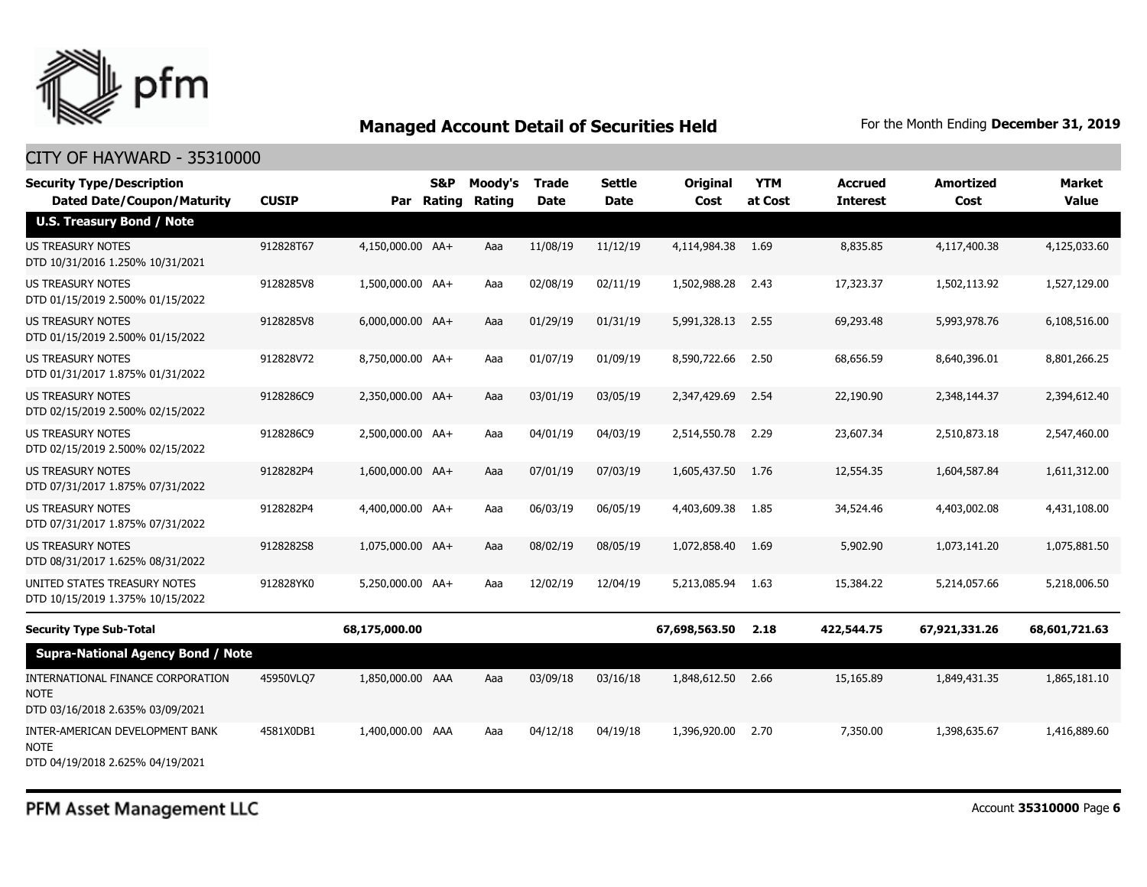

| <b>Security Type/Description</b><br><b>Dated Date/Coupon/Maturity</b>                | <b>CUSIP</b> | Par              | <b>S&amp;P</b><br>Rating | Moody's<br>Rating | <b>Trade</b><br><b>Date</b> | <b>Settle</b><br><b>Date</b> | <b>Original</b><br>Cost | <b>YTM</b><br>at Cost | <b>Accrued</b><br><b>Interest</b> | <b>Amortized</b><br>Cost | Market<br><b>Value</b> |
|--------------------------------------------------------------------------------------|--------------|------------------|--------------------------|-------------------|-----------------------------|------------------------------|-------------------------|-----------------------|-----------------------------------|--------------------------|------------------------|
| <b>U.S. Treasury Bond / Note</b>                                                     |              |                  |                          |                   |                             |                              |                         |                       |                                   |                          |                        |
| <b>US TREASURY NOTES</b><br>DTD 10/31/2016 1.250% 10/31/2021                         | 912828T67    | 4,150,000.00 AA+ |                          | Aaa               | 11/08/19                    | 11/12/19                     | 4,114,984.38            | 1.69                  | 8,835.85                          | 4,117,400.38             | 4,125,033.60           |
| US TREASURY NOTES<br>DTD 01/15/2019 2.500% 01/15/2022                                | 9128285V8    | 1,500,000.00 AA+ |                          | Aaa               | 02/08/19                    | 02/11/19                     | 1,502,988.28            | 2.43                  | 17,323.37                         | 1,502,113.92             | 1,527,129.00           |
| <b>US TREASURY NOTES</b><br>DTD 01/15/2019 2.500% 01/15/2022                         | 9128285V8    | 6,000,000.00 AA+ |                          | Aaa               | 01/29/19                    | 01/31/19                     | 5,991,328.13            | 2.55                  | 69,293.48                         | 5,993,978.76             | 6,108,516.00           |
| <b>US TREASURY NOTES</b><br>DTD 01/31/2017 1.875% 01/31/2022                         | 912828V72    | 8,750,000.00 AA+ |                          | Aaa               | 01/07/19                    | 01/09/19                     | 8,590,722.66            | 2.50                  | 68,656.59                         | 8,640,396.01             | 8,801,266.25           |
| US TREASURY NOTES<br>DTD 02/15/2019 2.500% 02/15/2022                                | 9128286C9    | 2,350,000.00 AA+ |                          | Aaa               | 03/01/19                    | 03/05/19                     | 2,347,429.69            | 2.54                  | 22,190.90                         | 2,348,144.37             | 2,394,612.40           |
| <b>US TREASURY NOTES</b><br>DTD 02/15/2019 2.500% 02/15/2022                         | 9128286C9    | 2,500,000.00 AA+ |                          | Aaa               | 04/01/19                    | 04/03/19                     | 2,514,550.78            | 2.29                  | 23,607.34                         | 2,510,873.18             | 2,547,460.00           |
| <b>US TREASURY NOTES</b><br>DTD 07/31/2017 1.875% 07/31/2022                         | 9128282P4    | 1,600,000.00 AA+ |                          | Aaa               | 07/01/19                    | 07/03/19                     | 1,605,437.50            | 1.76                  | 12,554.35                         | 1,604,587.84             | 1,611,312.00           |
| US TREASURY NOTES<br>DTD 07/31/2017 1.875% 07/31/2022                                | 9128282P4    | 4,400,000.00 AA+ |                          | Aaa               | 06/03/19                    | 06/05/19                     | 4,403,609.38            | 1.85                  | 34,524.46                         | 4,403,002.08             | 4,431,108.00           |
| <b>US TREASURY NOTES</b><br>DTD 08/31/2017 1.625% 08/31/2022                         | 9128282S8    | 1,075,000.00 AA+ |                          | Aaa               | 08/02/19                    | 08/05/19                     | 1,072,858.40            | 1.69                  | 5,902.90                          | 1,073,141.20             | 1,075,881.50           |
| UNITED STATES TREASURY NOTES<br>DTD 10/15/2019 1.375% 10/15/2022                     | 912828YK0    | 5,250,000.00 AA+ |                          | Aaa               | 12/02/19                    | 12/04/19                     | 5,213,085.94            | 1.63                  | 15,384.22                         | 5,214,057.66             | 5,218,006.50           |
| <b>Security Type Sub-Total</b>                                                       |              | 68,175,000.00    |                          |                   |                             |                              | 67,698,563.50           | 2.18                  | 422,544.75                        | 67,921,331.26            | 68,601,721.63          |
| <b>Supra-National Agency Bond / Note</b>                                             |              |                  |                          |                   |                             |                              |                         |                       |                                   |                          |                        |
| INTERNATIONAL FINANCE CORPORATION<br><b>NOTE</b><br>DTD 03/16/2018 2.635% 03/09/2021 | 45950VLQ7    | 1,850,000.00 AAA |                          | Aaa               | 03/09/18                    | 03/16/18                     | 1,848,612.50            | 2.66                  | 15,165.89                         | 1,849,431.35             | 1,865,181.10           |
| INTER-AMERICAN DEVELOPMENT BANK<br><b>NOTE</b><br>DTD 04/19/2018 2.625% 04/19/2021   | 4581X0DB1    | 1,400,000.00 AAA |                          | Aaa               | 04/12/18                    | 04/19/18                     | 1,396,920.00            | 2.70                  | 7,350.00                          | 1,398,635.67             | 1,416,889.60           |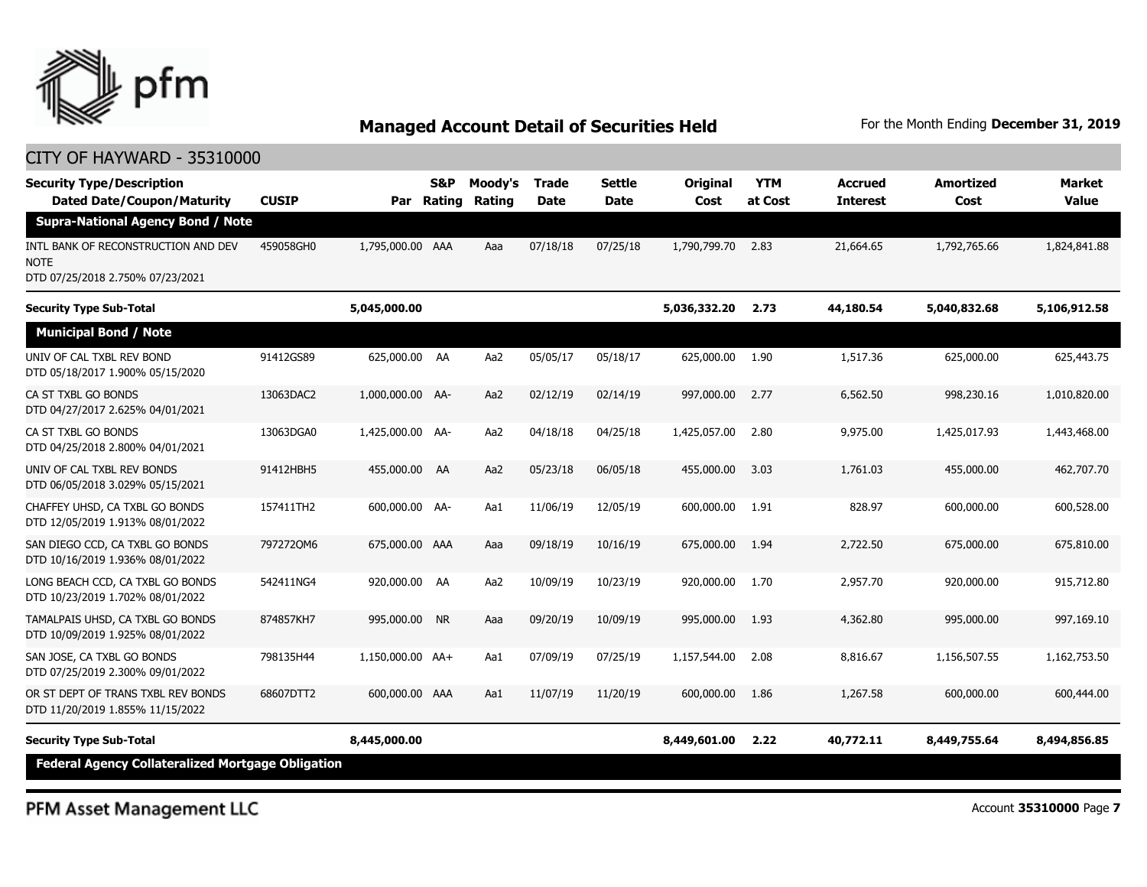

| <b>Security Type/Description</b><br><b>Dated Date/Coupon/Maturity</b>           | <b>CUSIP</b> | Par              | S&P<br>Rating | Moody's<br>Rating | <b>Trade</b><br><b>Date</b> | Settle<br><b>Date</b> | Original<br>Cost | <b>YTM</b><br>at Cost | <b>Accrued</b><br><b>Interest</b> | Amortized<br>Cost | <b>Market</b><br><b>Value</b> |
|---------------------------------------------------------------------------------|--------------|------------------|---------------|-------------------|-----------------------------|-----------------------|------------------|-----------------------|-----------------------------------|-------------------|-------------------------------|
| <b>Supra-National Agency Bond / Note</b>                                        |              |                  |               |                   |                             |                       |                  |                       |                                   |                   |                               |
| INTL BANK OF RECONSTRUCTION AND DEV<br>NOTE<br>DTD 07/25/2018 2.750% 07/23/2021 | 459058GH0    | 1,795,000.00 AAA |               | Aaa               | 07/18/18                    | 07/25/18              | 1,790,799.70     | 2.83                  | 21,664.65                         | 1,792,765.66      | 1,824,841.88                  |
| <b>Security Type Sub-Total</b>                                                  |              | 5,045,000.00     |               |                   |                             |                       | 5,036,332.20     | 2.73                  | 44,180.54                         | 5,040,832.68      | 5,106,912.58                  |
| <b>Municipal Bond / Note</b>                                                    |              |                  |               |                   |                             |                       |                  |                       |                                   |                   |                               |
| UNIV OF CAL TXBL REV BOND<br>DTD 05/18/2017 1.900% 05/15/2020                   | 91412GS89    | 625,000.00 AA    |               | Aa2               | 05/05/17                    | 05/18/17              | 625,000.00       | 1.90                  | 1,517.36                          | 625,000.00        | 625,443.75                    |
| CA ST TXBL GO BONDS<br>DTD 04/27/2017 2.625% 04/01/2021                         | 13063DAC2    | 1,000,000.00 AA- |               | Aa2               | 02/12/19                    | 02/14/19              | 997,000.00       | 2.77                  | 6,562.50                          | 998,230.16        | 1,010,820.00                  |
| CA ST TXBL GO BONDS<br>DTD 04/25/2018 2.800% 04/01/2021                         | 13063DGA0    | 1,425,000.00 AA- |               | Aa2               | 04/18/18                    | 04/25/18              | 1,425,057.00     | 2.80                  | 9,975.00                          | 1,425,017.93      | 1,443,468.00                  |
| UNIV OF CAL TXBL REV BONDS<br>DTD 06/05/2018 3.029% 05/15/2021                  | 91412HBH5    | 455,000.00 AA    |               | Aa2               | 05/23/18                    | 06/05/18              | 455,000.00       | 3.03                  | 1,761.03                          | 455,000.00        | 462,707.70                    |
| CHAFFEY UHSD, CA TXBL GO BONDS<br>DTD 12/05/2019 1.913% 08/01/2022              | 157411TH2    | 600,000.00 AA-   |               | Aa1               | 11/06/19                    | 12/05/19              | 600,000.00       | 1.91                  | 828.97                            | 600,000.00        | 600,528.00                    |
| SAN DIEGO CCD, CA TXBL GO BONDS<br>DTD 10/16/2019 1.936% 08/01/2022             | 7972720M6    | 675,000.00 AAA   |               | Aaa               | 09/18/19                    | 10/16/19              | 675,000,00       | 1.94                  | 2,722.50                          | 675,000.00        | 675,810.00                    |
| LONG BEACH CCD, CA TXBL GO BONDS<br>DTD 10/23/2019 1.702% 08/01/2022            | 542411NG4    | 920,000.00 AA    |               | Aa2               | 10/09/19                    | 10/23/19              | 920,000.00       | 1.70                  | 2,957.70                          | 920,000.00        | 915,712.80                    |
| TAMALPAIS UHSD, CA TXBL GO BONDS<br>DTD 10/09/2019 1.925% 08/01/2022            | 874857KH7    | 995,000.00 NR    |               | Aaa               | 09/20/19                    | 10/09/19              | 995,000.00       | 1.93                  | 4,362.80                          | 995,000.00        | 997,169.10                    |
| SAN JOSE, CA TXBL GO BONDS<br>DTD 07/25/2019 2.300% 09/01/2022                  | 798135H44    | 1,150,000.00 AA+ |               | Aa1               | 07/09/19                    | 07/25/19              | 1,157,544.00     | 2.08                  | 8,816.67                          | 1,156,507.55      | 1,162,753.50                  |
| OR ST DEPT OF TRANS TXBL REV BONDS<br>DTD 11/20/2019 1.855% 11/15/2022          | 68607DTT2    | 600,000.00 AAA   |               | Aa1               | 11/07/19                    | 11/20/19              | 600,000.00       | 1.86                  | 1,267.58                          | 600,000.00        | 600,444.00                    |
| <b>Security Type Sub-Total</b>                                                  |              | 8,445,000.00     |               |                   |                             |                       | 8,449,601.00     | 2.22                  | 40,772.11                         | 8,449,755.64      | 8,494,856.85                  |
| <b>Federal Agency Collateralized Mortgage Obligation</b>                        |              |                  |               |                   |                             |                       |                  |                       |                                   |                   |                               |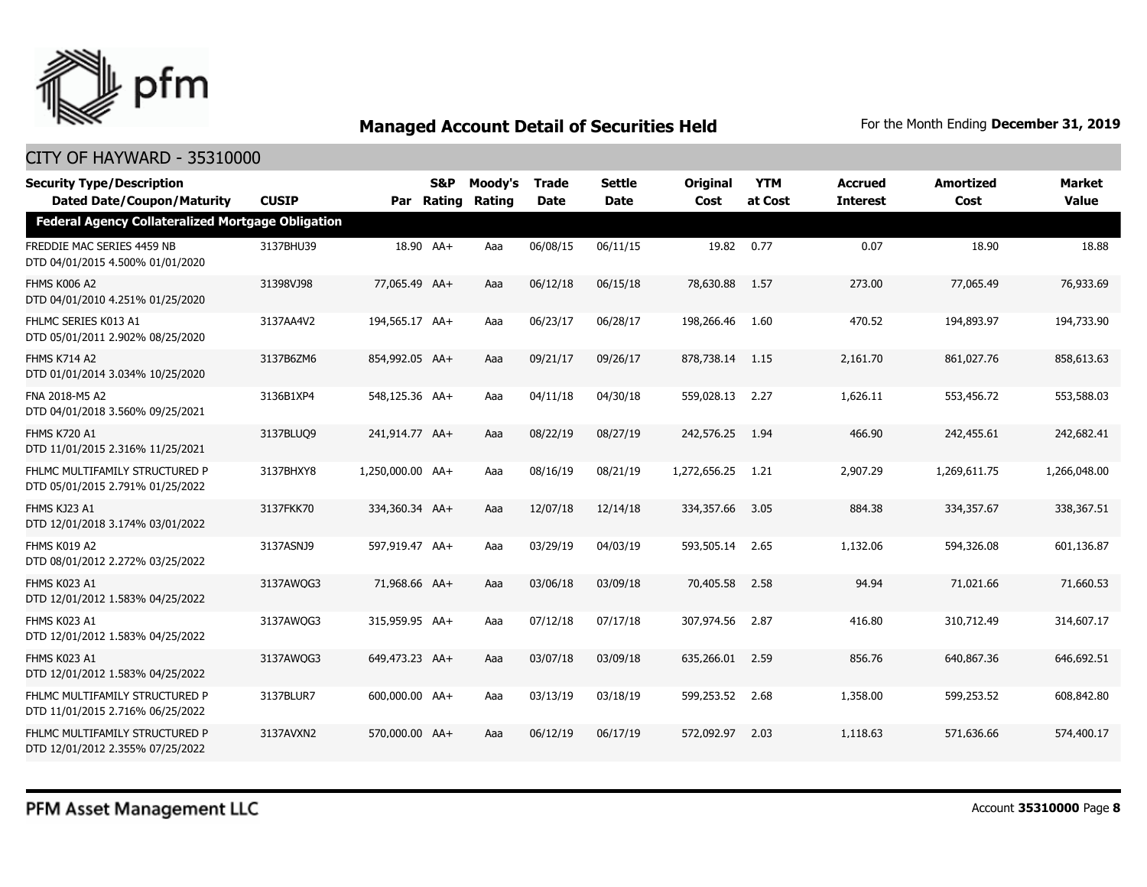

| <b>Security Type/Description</b><br><b>Dated Date/Coupon/Maturity</b> | <b>CUSIP</b> |                  | S&P<br>Par Rating | Moody's<br>Rating | <b>Trade</b><br>Date | <b>Settle</b><br>Date | <b>Original</b><br>Cost | <b>YTM</b><br>at Cost | <b>Accrued</b><br><b>Interest</b> | <b>Amortized</b><br>Cost | <b>Market</b><br><b>Value</b> |
|-----------------------------------------------------------------------|--------------|------------------|-------------------|-------------------|----------------------|-----------------------|-------------------------|-----------------------|-----------------------------------|--------------------------|-------------------------------|
| <b>Federal Agency Collateralized Mortgage Obligation</b>              |              |                  |                   |                   |                      |                       |                         |                       |                                   |                          |                               |
| FREDDIE MAC SERIES 4459 NB<br>DTD 04/01/2015 4.500% 01/01/2020        | 3137BHU39    |                  | 18.90 AA+         | Aaa               | 06/08/15             | 06/11/15              | 19.82                   | 0.77                  | 0.07                              | 18.90                    | 18.88                         |
| <b>FHMS K006 A2</b><br>DTD 04/01/2010 4.251% 01/25/2020               | 31398VJ98    | 77,065.49 AA+    |                   | Aaa               | 06/12/18             | 06/15/18              | 78,630.88               | 1.57                  | 273.00                            | 77,065.49                | 76,933.69                     |
| FHLMC SERIES K013 A1<br>DTD 05/01/2011 2.902% 08/25/2020              | 3137AA4V2    | 194,565.17 AA+   |                   | Aaa               | 06/23/17             | 06/28/17              | 198,266.46              | 1.60                  | 470.52                            | 194,893.97               | 194,733.90                    |
| <b>FHMS K714 A2</b><br>DTD 01/01/2014 3.034% 10/25/2020               | 3137B6ZM6    | 854,992.05 AA+   |                   | Aaa               | 09/21/17             | 09/26/17              | 878,738.14              | 1.15                  | 2,161.70                          | 861,027.76               | 858,613.63                    |
| FNA 2018-M5 A2<br>DTD 04/01/2018 3.560% 09/25/2021                    | 3136B1XP4    | 548,125.36 AA+   |                   | Aaa               | 04/11/18             | 04/30/18              | 559,028.13              | 2.27                  | 1,626.11                          | 553,456.72               | 553,588.03                    |
| <b>FHMS K720 A1</b><br>DTD 11/01/2015 2.316% 11/25/2021               | 3137BLUQ9    | 241,914.77 AA+   |                   | Aaa               | 08/22/19             | 08/27/19              | 242,576.25              | 1.94                  | 466.90                            | 242,455.61               | 242,682.41                    |
| FHLMC MULTIFAMILY STRUCTURED P<br>DTD 05/01/2015 2.791% 01/25/2022    | 3137BHXY8    | 1,250,000.00 AA+ |                   | Aaa               | 08/16/19             | 08/21/19              | 1,272,656.25            | 1.21                  | 2,907.29                          | 1,269,611.75             | 1,266,048.00                  |
| FHMS KJ23 A1<br>DTD 12/01/2018 3.174% 03/01/2022                      | 3137FKK70    | 334,360.34 AA+   |                   | Aaa               | 12/07/18             | 12/14/18              | 334,357.66              | 3.05                  | 884.38                            | 334,357.67               | 338,367.51                    |
| FHMS K019 A2<br>DTD 08/01/2012 2.272% 03/25/2022                      | 3137ASNJ9    | 597,919.47 AA+   |                   | Aaa               | 03/29/19             | 04/03/19              | 593,505.14              | 2.65                  | 1,132.06                          | 594,326.08               | 601,136.87                    |
| FHMS K023 A1<br>DTD 12/01/2012 1.583% 04/25/2022                      | 3137AWQG3    | 71,968.66 AA+    |                   | Aaa               | 03/06/18             | 03/09/18              | 70,405.58               | 2.58                  | 94.94                             | 71,021.66                | 71,660.53                     |
| FHMS K023 A1<br>DTD 12/01/2012 1.583% 04/25/2022                      | 3137AWQG3    | 315,959.95 AA+   |                   | Aaa               | 07/12/18             | 07/17/18              | 307,974.56              | 2.87                  | 416.80                            | 310,712.49               | 314,607.17                    |
| FHMS K023 A1<br>DTD 12/01/2012 1.583% 04/25/2022                      | 3137AWQG3    | 649,473.23 AA+   |                   | Aaa               | 03/07/18             | 03/09/18              | 635,266.01              | 2.59                  | 856.76                            | 640,867.36               | 646,692.51                    |
| FHLMC MULTIFAMILY STRUCTURED P<br>DTD 11/01/2015 2.716% 06/25/2022    | 3137BLUR7    | 600,000.00 AA+   |                   | Aaa               | 03/13/19             | 03/18/19              | 599,253.52              | 2.68                  | 1,358.00                          | 599,253.52               | 608,842.80                    |
| FHLMC MULTIFAMILY STRUCTURED P<br>DTD 12/01/2012 2.355% 07/25/2022    | 3137AVXN2    | 570,000.00 AA+   |                   | Aaa               | 06/12/19             | 06/17/19              | 572,092.97              | 2.03                  | 1,118.63                          | 571,636.66               | 574,400.17                    |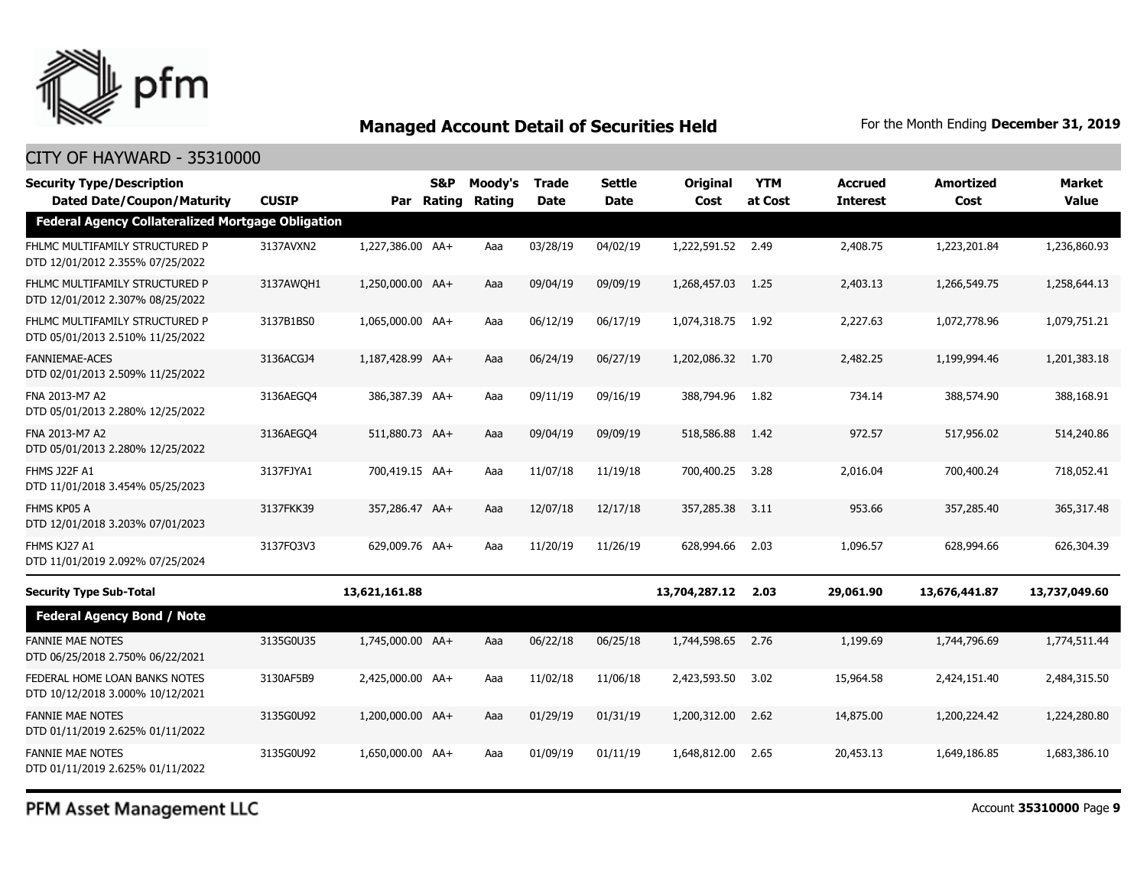

#### CITY OF HAYWARD - 35310000

| <b>Security Type/Description</b>                                                              |              |                  | <b>S&amp;P</b> | Moody's | <b>Trade</b> | <b>Settle</b> | Original          | <b>YTM</b> | <b>Accrued</b>  | <b>Amortized</b> | Market        |
|-----------------------------------------------------------------------------------------------|--------------|------------------|----------------|---------|--------------|---------------|-------------------|------------|-----------------|------------------|---------------|
| <b>Dated Date/Coupon/Maturity</b><br><b>Federal Agency Collateralized Mortgage Obligation</b> | <b>CUSIP</b> |                  | Par Rating     | Rating  | <b>Date</b>  | <b>Date</b>   | Cost              | at Cost    | <b>Interest</b> | Cost             | <b>Value</b>  |
| FHLMC MULTIFAMILY STRUCTURED P<br>DTD 12/01/2012 2.355% 07/25/2022                            | 3137AVXN2    | 1,227,386.00 AA+ |                | Aaa     | 03/28/19     | 04/02/19      | 1,222,591.52 2.49 |            | 2,408.75        | 1,223,201.84     | 1,236,860.93  |
| FHLMC MULTIFAMILY STRUCTURED P<br>DTD 12/01/2012 2.307% 08/25/2022                            | 3137AWOH1    | 1,250,000.00 AA+ |                | Aaa     | 09/04/19     | 09/09/19      | 1,268,457.03      | 1.25       | 2,403.13        | 1,266,549.75     | 1,258,644.13  |
| FHLMC MULTIFAMILY STRUCTURED P<br>DTD 05/01/2013 2.510% 11/25/2022                            | 3137B1BS0    | 1,065,000.00 AA+ |                | Aaa     | 06/12/19     | 06/17/19      | 1,074,318.75      | 1.92       | 2,227.63        | 1,072,778.96     | 1,079,751.21  |
| <b>FANNIEMAE-ACES</b><br>DTD 02/01/2013 2.509% 11/25/2022                                     | 3136ACGJ4    | 1,187,428.99 AA+ |                | Aaa     | 06/24/19     | 06/27/19      | 1,202,086.32      | 1.70       | 2,482.25        | 1,199,994.46     | 1,201,383.18  |
| FNA 2013-M7 A2<br>DTD 05/01/2013 2.280% 12/25/2022                                            | 3136AEGO4    | 386,387.39 AA+   |                | Aaa     | 09/11/19     | 09/16/19      | 388,794.96        | 1.82       | 734.14          | 388,574.90       | 388,168.91    |
| FNA 2013-M7 A2<br>DTD 05/01/2013 2.280% 12/25/2022                                            | 3136AEGO4    | 511,880.73 AA+   |                | Aaa     | 09/04/19     | 09/09/19      | 518,586.88        | 1.42       | 972.57          | 517,956.02       | 514,240.86    |
| FHMS J22F A1<br>DTD 11/01/2018 3.454% 05/25/2023                                              | 3137FJYA1    | 700,419.15 AA+   |                | Aaa     | 11/07/18     | 11/19/18      | 700,400.25        | 3.28       | 2.016.04        | 700,400.24       | 718,052.41    |
| FHMS KP05 A<br>DTD 12/01/2018 3.203% 07/01/2023                                               | 3137FKK39    | 357,286.47 AA+   |                | Aaa     | 12/07/18     | 12/17/18      | 357,285.38        | 3.11       | 953.66          | 357,285.40       | 365, 317, 48  |
| FHMS KJ27 A1<br>DTD 11/01/2019 2.092% 07/25/2024                                              | 3137FQ3V3    | 629,009.76 AA+   |                | Aaa     | 11/20/19     | 11/26/19      | 628,994.66        | 2.03       | 1,096.57        | 628,994.66       | 626,304.39    |
| <b>Security Type Sub-Total</b>                                                                |              | 13,621,161.88    |                |         |              |               | 13,704,287.12     | 2.03       | 29,061.90       | 13,676,441.87    | 13,737,049.60 |
| <b>Federal Agency Bond / Note</b>                                                             |              |                  |                |         |              |               |                   |            |                 |                  |               |
| <b>FANNIE MAE NOTES</b><br>DTD 06/25/2018 2.750% 06/22/2021                                   | 3135G0U35    | 1,745,000.00 AA+ |                | Aaa     | 06/22/18     | 06/25/18      | 1,744,598.65      | 2.76       | 1,199.69        | 1,744,796.69     | 1,774,511.44  |
| FEDERAL HOME LOAN BANKS NOTES<br>DTD 10/12/2018 3.000% 10/12/2021                             | 3130AF5B9    | 2,425,000.00 AA+ |                | Aaa     | 11/02/18     | 11/06/18      | 2,423,593.50      | 3.02       | 15,964.58       | 2,424,151.40     | 2,484,315.50  |
| <b>FANNIE MAE NOTES</b><br>DTD 01/11/2019 2.625% 01/11/2022                                   | 3135G0U92    | 1,200,000.00 AA+ |                | Aaa     | 01/29/19     | 01/31/19      | 1,200,312.00      | 2.62       | 14,875,00       | 1,200,224.42     | 1,224,280.80  |
| <b>FANNIE MAE NOTES</b><br>DTD 01/11/2019 2.625% 01/11/2022                                   | 3135G0U92    | 1,650,000.00 AA+ |                | Aaa     | 01/09/19     | 01/11/19      | 1,648,812.00      | 2.65       | 20,453.13       | 1,649,186.85     | 1,683,386.10  |

PFM Asset Management LLC

Account **35310000** Page **9**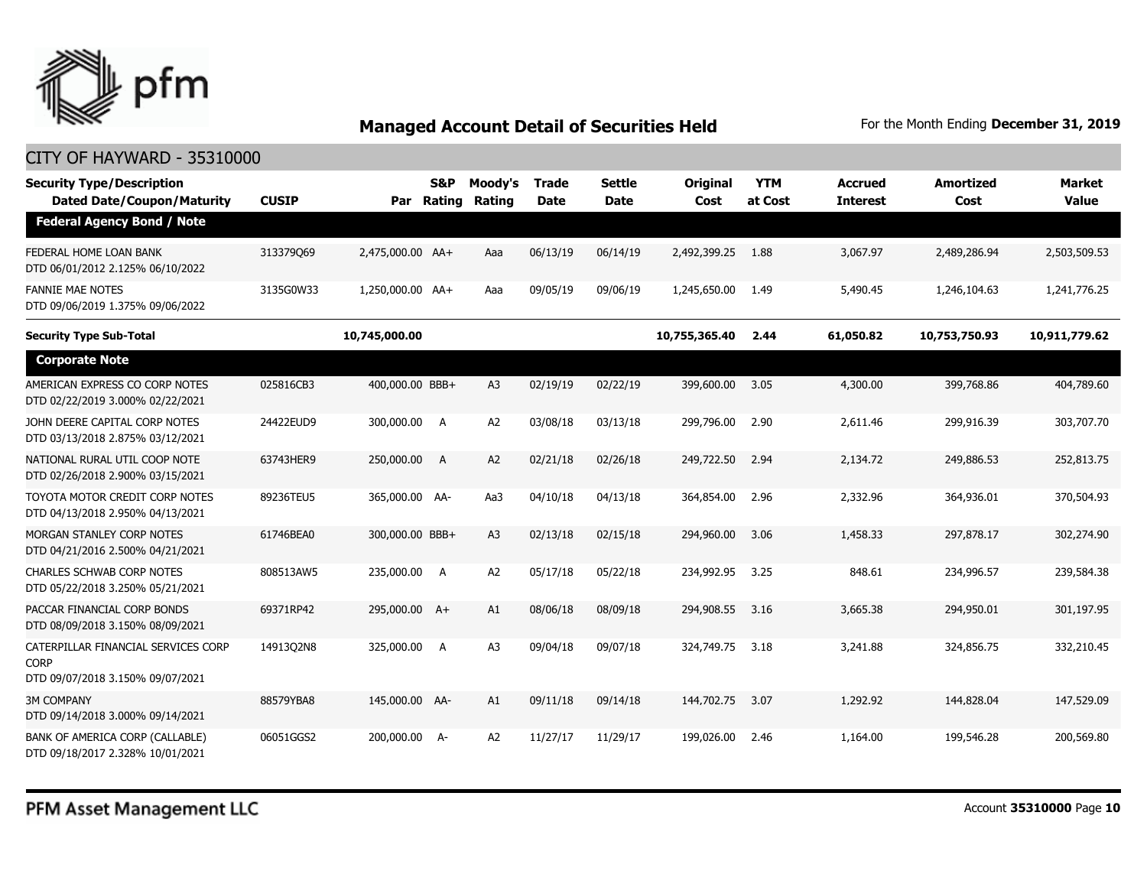

| <b>Security Type/Description</b><br><b>Dated Date/Coupon/Maturity</b>                  | <b>CUSIP</b> | Par              | S&P<br>Rating | Moody's<br>Rating | Trade<br><b>Date</b> | <b>Settle</b><br><b>Date</b> | Original<br>Cost | <b>YTM</b><br>at Cost | <b>Accrued</b><br><b>Interest</b> | <b>Amortized</b><br>Cost | Market<br><b>Value</b> |
|----------------------------------------------------------------------------------------|--------------|------------------|---------------|-------------------|----------------------|------------------------------|------------------|-----------------------|-----------------------------------|--------------------------|------------------------|
| <b>Federal Agency Bond / Note</b>                                                      |              |                  |               |                   |                      |                              |                  |                       |                                   |                          |                        |
| FEDERAL HOME LOAN BANK<br>DTD 06/01/2012 2.125% 06/10/2022                             | 313379069    | 2,475,000.00 AA+ |               | Aaa               | 06/13/19             | 06/14/19                     | 2,492,399.25     | 1.88                  | 3,067.97                          | 2,489,286.94             | 2,503,509.53           |
| <b>FANNIE MAE NOTES</b><br>DTD 09/06/2019 1.375% 09/06/2022                            | 3135G0W33    | 1,250,000.00 AA+ |               | Aaa               | 09/05/19             | 09/06/19                     | 1,245,650.00     | 1.49                  | 5,490.45                          | 1,246,104.63             | 1,241,776.25           |
| <b>Security Type Sub-Total</b>                                                         |              | 10,745,000.00    |               |                   |                      |                              | 10,755,365.40    | 2.44                  | 61,050.82                         | 10,753,750.93            | 10,911,779.62          |
| <b>Corporate Note</b>                                                                  |              |                  |               |                   |                      |                              |                  |                       |                                   |                          |                        |
| AMERICAN EXPRESS CO CORP NOTES<br>DTD 02/22/2019 3.000% 02/22/2021                     | 025816CB3    | 400,000.00 BBB+  |               | A <sub>3</sub>    | 02/19/19             | 02/22/19                     | 399,600.00       | 3.05                  | 4,300.00                          | 399,768.86               | 404,789.60             |
| JOHN DEERE CAPITAL CORP NOTES<br>DTD 03/13/2018 2.875% 03/12/2021                      | 24422EUD9    | 300,000.00 A     |               | A <sub>2</sub>    | 03/08/18             | 03/13/18                     | 299,796.00       | 2.90                  | 2,611.46                          | 299,916.39               | 303,707.70             |
| NATIONAL RURAL UTIL COOP NOTE<br>DTD 02/26/2018 2.900% 03/15/2021                      | 63743HER9    | 250,000.00       | - A           | A2                | 02/21/18             | 02/26/18                     | 249,722.50       | 2.94                  | 2,134.72                          | 249,886.53               | 252,813.75             |
| TOYOTA MOTOR CREDIT CORP NOTES<br>DTD 04/13/2018 2.950% 04/13/2021                     | 89236TEU5    | 365,000.00 AA-   |               | Aa3               | 04/10/18             | 04/13/18                     | 364,854.00       | 2.96                  | 2,332.96                          | 364,936.01               | 370,504.93             |
| MORGAN STANLEY CORP NOTES<br>DTD 04/21/2016 2.500% 04/21/2021                          | 61746BEA0    | 300,000.00 BBB+  |               | A <sub>3</sub>    | 02/13/18             | 02/15/18                     | 294,960.00       | 3.06                  | 1,458.33                          | 297,878.17               | 302,274.90             |
| <b>CHARLES SCHWAB CORP NOTES</b><br>DTD 05/22/2018 3.250% 05/21/2021                   | 808513AW5    | 235,000.00 A     |               | A <sub>2</sub>    | 05/17/18             | 05/22/18                     | 234,992.95       | 3.25                  | 848.61                            | 234,996.57               | 239,584.38             |
| PACCAR FINANCIAL CORP BONDS<br>DTD 08/09/2018 3.150% 08/09/2021                        | 69371RP42    | 295,000.00 A+    |               | A1                | 08/06/18             | 08/09/18                     | 294,908.55       | 3.16                  | 3,665.38                          | 294,950.01               | 301,197.95             |
| CATERPILLAR FINANCIAL SERVICES CORP<br><b>CORP</b><br>DTD 09/07/2018 3.150% 09/07/2021 | 1491302N8    | 325,000.00 A     |               | A <sub>3</sub>    | 09/04/18             | 09/07/18                     | 324,749.75       | 3.18                  | 3,241.88                          | 324,856.75               | 332,210.45             |
| <b>3M COMPANY</b><br>DTD 09/14/2018 3.000% 09/14/2021                                  | 88579YBA8    | 145,000.00 AA-   |               | A1                | 09/11/18             | 09/14/18                     | 144,702.75       | 3.07                  | 1,292.92                          | 144,828.04               | 147,529.09             |
| BANK OF AMERICA CORP (CALLABLE)<br>DTD 09/18/2017 2.328% 10/01/2021                    | 06051GGS2    | 200,000.00       | - A           | A <sub>2</sub>    | 11/27/17             | 11/29/17                     | 199,026.00       | 2.46                  | 1,164.00                          | 199,546.28               | 200,569.80             |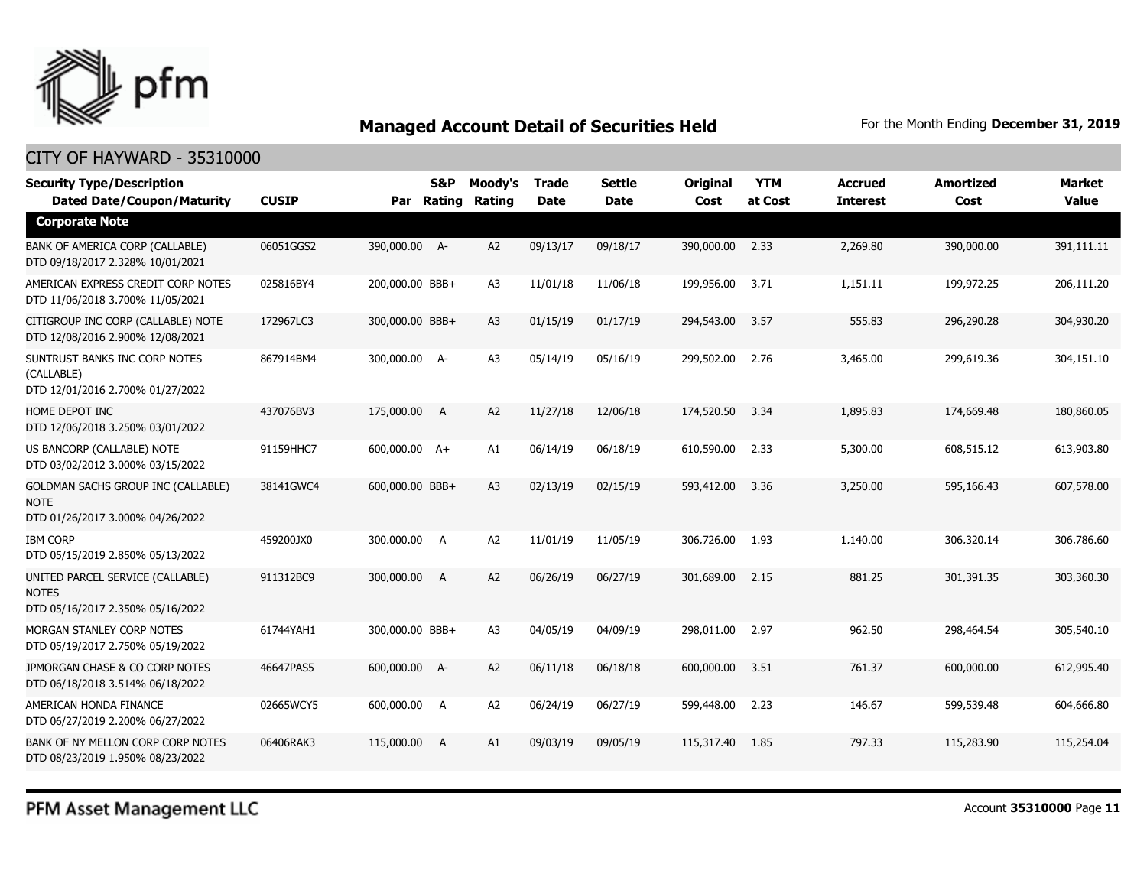

| <b>Security Type/Description</b><br><b>Dated Date/Coupon/Maturity</b>                        | <b>CUSIP</b> |                 | <b>S&amp;P</b><br>Par Rating | Moody's<br>Rating | <b>Trade</b><br><b>Date</b> | <b>Settle</b><br><b>Date</b> | <b>Original</b><br>Cost | <b>YTM</b><br>at Cost | <b>Accrued</b><br><b>Interest</b> | <b>Amortized</b><br>Cost | <b>Market</b><br><b>Value</b> |
|----------------------------------------------------------------------------------------------|--------------|-----------------|------------------------------|-------------------|-----------------------------|------------------------------|-------------------------|-----------------------|-----------------------------------|--------------------------|-------------------------------|
| <b>Corporate Note</b>                                                                        |              |                 |                              |                   |                             |                              |                         |                       |                                   |                          |                               |
| BANK OF AMERICA CORP (CALLABLE)<br>DTD 09/18/2017 2.328% 10/01/2021                          | 06051GGS2    | 390,000.00 A-   |                              | A <sub>2</sub>    | 09/13/17                    | 09/18/17                     | 390,000.00              | 2.33                  | 2,269.80                          | 390,000.00               | 391,111.11                    |
| AMERICAN EXPRESS CREDIT CORP NOTES<br>DTD 11/06/2018 3.700% 11/05/2021                       | 025816BY4    | 200,000.00 BBB+ |                              | A <sub>3</sub>    | 11/01/18                    | 11/06/18                     | 199,956.00              | 3.71                  | 1,151.11                          | 199,972.25               | 206,111.20                    |
| CITIGROUP INC CORP (CALLABLE) NOTE<br>DTD 12/08/2016 2.900% 12/08/2021                       | 172967LC3    | 300,000.00 BBB+ |                              | A <sub>3</sub>    | 01/15/19                    | 01/17/19                     | 294,543.00              | 3.57                  | 555.83                            | 296,290.28               | 304,930.20                    |
| SUNTRUST BANKS INC CORP NOTES<br>(CALLABLE)<br>DTD 12/01/2016 2.700% 01/27/2022              | 867914BM4    | 300,000.00 A-   |                              | A <sub>3</sub>    | 05/14/19                    | 05/16/19                     | 299,502.00              | 2.76                  | 3,465.00                          | 299,619.36               | 304,151.10                    |
| HOME DEPOT INC<br>DTD 12/06/2018 3.250% 03/01/2022                                           | 437076BV3    | 175,000.00      | $\overline{A}$               | A <sub>2</sub>    | 11/27/18                    | 12/06/18                     | 174,520.50              | 3.34                  | 1,895.83                          | 174,669.48               | 180,860.05                    |
| US BANCORP (CALLABLE) NOTE<br>DTD 03/02/2012 3.000% 03/15/2022                               | 91159HHC7    | 600,000.00 A+   |                              | A1                | 06/14/19                    | 06/18/19                     | 610,590.00              | 2.33                  | 5,300.00                          | 608,515.12               | 613,903.80                    |
| <b>GOLDMAN SACHS GROUP INC (CALLABLE)</b><br><b>NOTE</b><br>DTD 01/26/2017 3.000% 04/26/2022 | 38141GWC4    | 600,000.00 BBB+ |                              | A <sub>3</sub>    | 02/13/19                    | 02/15/19                     | 593,412.00              | 3.36                  | 3,250.00                          | 595,166.43               | 607,578.00                    |
| <b>IBM CORP</b><br>DTD 05/15/2019 2.850% 05/13/2022                                          | 459200JX0    | 300,000.00      | A                            | A <sub>2</sub>    | 11/01/19                    | 11/05/19                     | 306,726.00              | 1.93                  | 1,140.00                          | 306,320.14               | 306,786.60                    |
| UNITED PARCEL SERVICE (CALLABLE)<br><b>NOTES</b><br>DTD 05/16/2017 2.350% 05/16/2022         | 911312BC9    | 300,000.00 A    |                              | A <sub>2</sub>    | 06/26/19                    | 06/27/19                     | 301,689.00              | 2.15                  | 881.25                            | 301,391.35               | 303,360.30                    |
| MORGAN STANLEY CORP NOTES<br>DTD 05/19/2017 2.750% 05/19/2022                                | 61744YAH1    | 300,000.00 BBB+ |                              | A <sub>3</sub>    | 04/05/19                    | 04/09/19                     | 298,011.00              | 2.97                  | 962.50                            | 298,464.54               | 305,540.10                    |
| JPMORGAN CHASE & CO CORP NOTES<br>DTD 06/18/2018 3.514% 06/18/2022                           | 46647PAS5    | 600,000.00 A-   |                              | A2                | 06/11/18                    | 06/18/18                     | 600,000.00              | 3.51                  | 761.37                            | 600,000.00               | 612,995.40                    |
| AMERICAN HONDA FINANCE<br>DTD 06/27/2019 2.200% 06/27/2022                                   | 02665WCY5    | 600,000.00 A    |                              | A <sub>2</sub>    | 06/24/19                    | 06/27/19                     | 599,448.00              | 2.23                  | 146.67                            | 599,539.48               | 604,666.80                    |
| BANK OF NY MELLON CORP CORP NOTES<br>DTD 08/23/2019 1.950% 08/23/2022                        | 06406RAK3    | 115,000.00      | $\overline{A}$               | A1                | 09/03/19                    | 09/05/19                     | 115,317.40              | 1.85                  | 797.33                            | 115,283,90               | 115,254.04                    |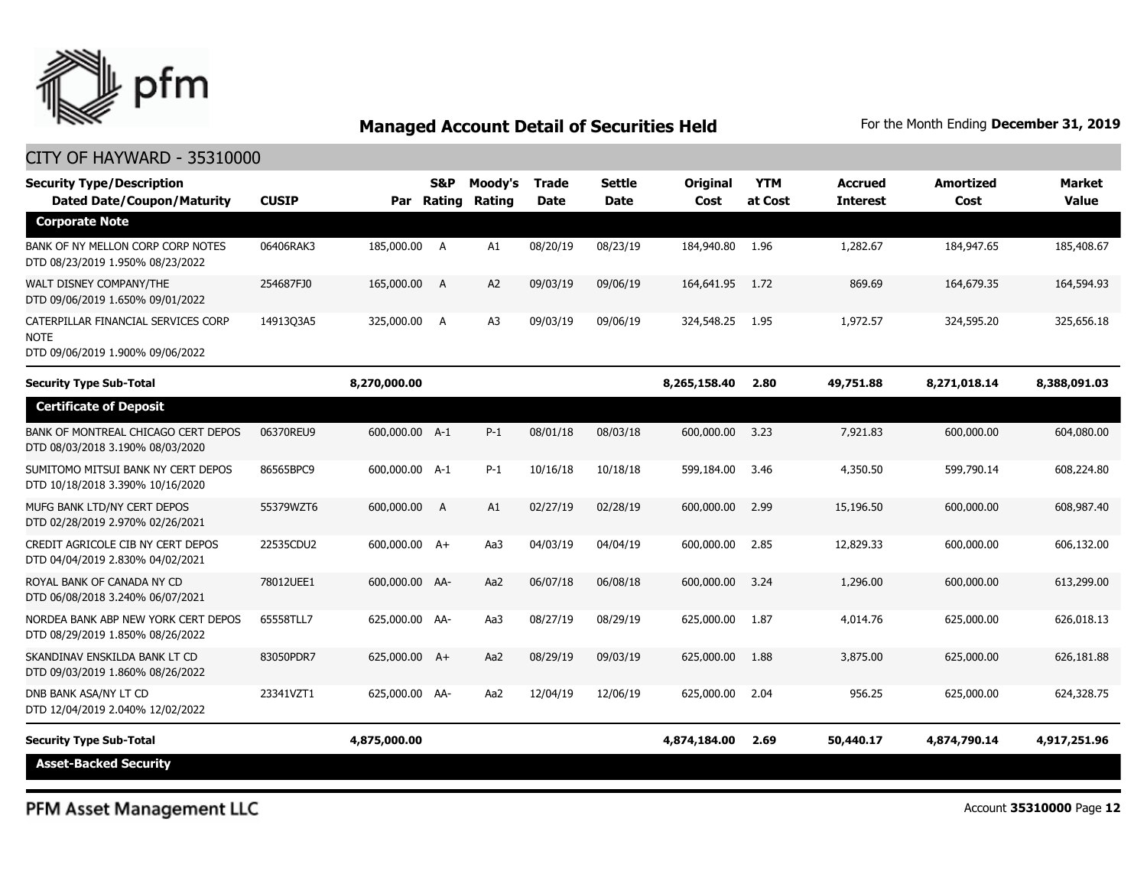

#### CITY OF HAYWARD - 35310000

| <b>Security Type/Description</b><br><b>Dated Date/Coupon/Maturity</b>                  | <b>CUSIP</b> | Par            | S&P<br>Rating | Moody's<br>Rating | <b>Trade</b><br><b>Date</b> | <b>Settle</b><br><b>Date</b> | Original<br>Cost | <b>YTM</b><br>at Cost | Accrued<br><b>Interest</b> | <b>Amortized</b><br>Cost | <b>Market</b><br>Value |
|----------------------------------------------------------------------------------------|--------------|----------------|---------------|-------------------|-----------------------------|------------------------------|------------------|-----------------------|----------------------------|--------------------------|------------------------|
| <b>Corporate Note</b>                                                                  |              |                |               |                   |                             |                              |                  |                       |                            |                          |                        |
| BANK OF NY MELLON CORP CORP NOTES<br>DTD 08/23/2019 1.950% 08/23/2022                  | 06406RAK3    | 185,000.00 A   |               | A1                | 08/20/19                    | 08/23/19                     | 184,940.80       | 1.96                  | 1,282.67                   | 184,947.65               | 185,408.67             |
| WALT DISNEY COMPANY/THE<br>DTD 09/06/2019 1.650% 09/01/2022                            | 254687FJ0    | 165,000.00     | A             | A2                | 09/03/19                    | 09/06/19                     | 164,641.95       | 1.72                  | 869.69                     | 164,679.35               | 164,594.93             |
| CATERPILLAR FINANCIAL SERVICES CORP<br><b>NOTE</b><br>DTD 09/06/2019 1.900% 09/06/2022 | 14913Q3A5    | 325,000.00 A   |               | A <sub>3</sub>    | 09/03/19                    | 09/06/19                     | 324,548.25       | 1.95                  | 1,972.57                   | 324,595.20               | 325,656.18             |
| <b>Security Type Sub-Total</b>                                                         |              | 8,270,000.00   |               |                   |                             |                              | 8,265,158.40     | 2.80                  | 49,751.88                  | 8,271,018.14             | 8,388,091.03           |
| <b>Certificate of Deposit</b>                                                          |              |                |               |                   |                             |                              |                  |                       |                            |                          |                        |
| BANK OF MONTREAL CHICAGO CERT DEPOS<br>DTD 08/03/2018 3.190% 08/03/2020                | 06370REU9    | 600,000.00 A-1 |               | $P-1$             | 08/01/18                    | 08/03/18                     | 600,000.00       | 3.23                  | 7,921.83                   | 600,000.00               | 604,080.00             |
| SUMITOMO MITSUI BANK NY CERT DEPOS<br>DTD 10/18/2018 3.390% 10/16/2020                 | 86565BPC9    | 600,000.00 A-1 |               | $P-1$             | 10/16/18                    | 10/18/18                     | 599,184.00       | 3.46                  | 4,350.50                   | 599,790.14               | 608,224.80             |
| MUFG BANK LTD/NY CERT DEPOS<br>DTD 02/28/2019 2.970% 02/26/2021                        | 55379WZT6    | 600,000.00     | A             | A1                | 02/27/19                    | 02/28/19                     | 600,000.00       | 2.99                  | 15,196.50                  | 600,000.00               | 608,987.40             |
| CREDIT AGRICOLE CIB NY CERT DEPOS<br>DTD 04/04/2019 2.830% 04/02/2021                  | 22535CDU2    | 600,000.00 A+  |               | Aa3               | 04/03/19                    | 04/04/19                     | 600,000.00       | 2.85                  | 12,829.33                  | 600,000.00               | 606,132.00             |
| ROYAL BANK OF CANADA NY CD<br>DTD 06/08/2018 3.240% 06/07/2021                         | 78012UEE1    | 600,000.00 AA- |               | Aa2               | 06/07/18                    | 06/08/18                     | 600,000.00       | 3.24                  | 1,296.00                   | 600,000.00               | 613,299.00             |
| NORDEA BANK ABP NEW YORK CERT DEPOS<br>DTD 08/29/2019 1.850% 08/26/2022                | 65558TLL7    | 625,000.00 AA- |               | Aa3               | 08/27/19                    | 08/29/19                     | 625,000.00       | 1.87                  | 4,014.76                   | 625,000.00               | 626,018.13             |
| SKANDINAV ENSKILDA BANK LT CD<br>DTD 09/03/2019 1.860% 08/26/2022                      | 83050PDR7    | 625,000.00 A+  |               | Aa2               | 08/29/19                    | 09/03/19                     | 625,000.00       | 1.88                  | 3,875.00                   | 625,000.00               | 626,181.88             |
| DNB BANK ASA/NY LT CD<br>DTD 12/04/2019 2.040% 12/02/2022                              | 23341VZT1    | 625,000.00 AA- |               | Aa2               | 12/04/19                    | 12/06/19                     | 625,000.00       | 2.04                  | 956.25                     | 625,000.00               | 624,328.75             |
| <b>Security Type Sub-Total</b>                                                         |              | 4,875,000.00   |               |                   |                             |                              | 4,874,184.00     | 2.69                  | 50,440.17                  | 4,874,790.14             | 4,917,251.96           |
| <b>Asset-Backed Security</b>                                                           |              |                |               |                   |                             |                              |                  |                       |                            |                          |                        |

PFM Asset Management LLC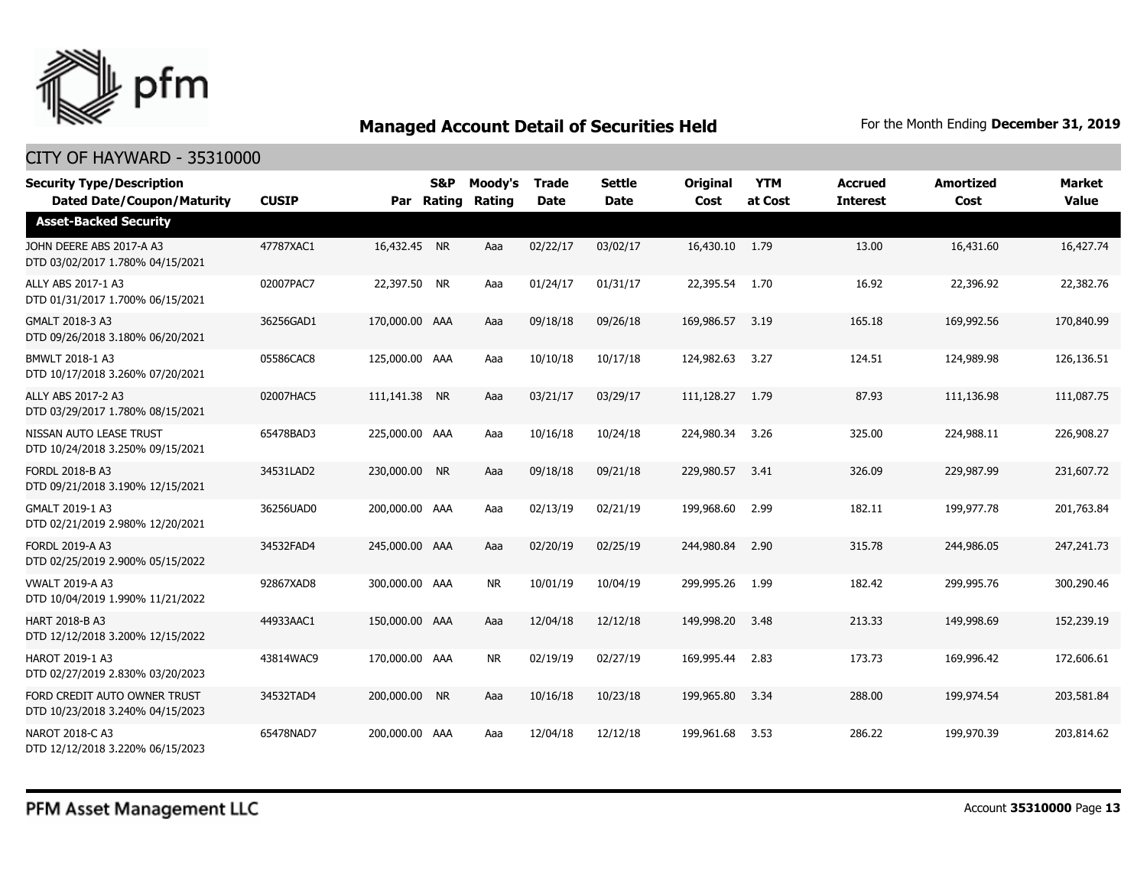

| <b>Security Type/Description</b><br><b>Dated Date/Coupon/Maturity</b> | <b>CUSIP</b> | Par            | <b>S&amp;P</b><br>Rating | Moody's<br>Rating | <b>Trade</b><br><b>Date</b> | <b>Settle</b><br><b>Date</b> | <b>Original</b><br>Cost | <b>YTM</b><br>at Cost | <b>Accrued</b><br><b>Interest</b> | <b>Amortized</b><br>Cost | <b>Market</b><br><b>Value</b> |
|-----------------------------------------------------------------------|--------------|----------------|--------------------------|-------------------|-----------------------------|------------------------------|-------------------------|-----------------------|-----------------------------------|--------------------------|-------------------------------|
| <b>Asset-Backed Security</b>                                          |              |                |                          |                   |                             |                              |                         |                       |                                   |                          |                               |
| JOHN DEERE ABS 2017-A A3<br>DTD 03/02/2017 1.780% 04/15/2021          | 47787XAC1    | 16,432.45 NR   |                          | Aaa               | 02/22/17                    | 03/02/17                     | 16,430.10 1.79          |                       | 13.00                             | 16,431.60                | 16,427.74                     |
| ALLY ABS 2017-1 A3<br>DTD 01/31/2017 1.700% 06/15/2021                | 02007PAC7    | 22,397.50 NR   |                          | Aaa               | 01/24/17                    | 01/31/17                     | 22,395.54               | 1.70                  | 16.92                             | 22,396.92                | 22,382.76                     |
| GMALT 2018-3 A3<br>DTD 09/26/2018 3.180% 06/20/2021                   | 36256GAD1    | 170,000.00 AAA |                          | Aaa               | 09/18/18                    | 09/26/18                     | 169,986.57              | 3.19                  | 165.18                            | 169,992.56               | 170,840.99                    |
| BMWLT 2018-1 A3<br>DTD 10/17/2018 3.260% 07/20/2021                   | 05586CAC8    | 125,000.00 AAA |                          | Aaa               | 10/10/18                    | 10/17/18                     | 124,982.63              | 3.27                  | 124.51                            | 124,989.98               | 126,136.51                    |
| ALLY ABS 2017-2 A3<br>DTD 03/29/2017 1.780% 08/15/2021                | 02007HAC5    | 111,141.38     | <b>NR</b>                | Aaa               | 03/21/17                    | 03/29/17                     | 111,128,27              | 1.79                  | 87.93                             | 111,136.98               | 111,087.75                    |
| NISSAN AUTO LEASE TRUST<br>DTD 10/24/2018 3.250% 09/15/2021           | 65478BAD3    | 225,000.00 AAA |                          | Aaa               | 10/16/18                    | 10/24/18                     | 224,980.34              | 3.26                  | 325.00                            | 224,988.11               | 226,908.27                    |
| <b>FORDL 2018-B A3</b><br>DTD 09/21/2018 3.190% 12/15/2021            | 34531LAD2    | 230,000.00     | <b>NR</b>                | Aaa               | 09/18/18                    | 09/21/18                     | 229,980.57              | 3.41                  | 326.09                            | 229,987.99               | 231,607.72                    |
| GMALT 2019-1 A3<br>DTD 02/21/2019 2.980% 12/20/2021                   | 36256UAD0    | 200,000.00 AAA |                          | Aaa               | 02/13/19                    | 02/21/19                     | 199,968.60              | 2.99                  | 182.11                            | 199,977.78               | 201,763.84                    |
| <b>FORDL 2019-A A3</b><br>DTD 02/25/2019 2.900% 05/15/2022            | 34532FAD4    | 245,000.00 AAA |                          | Aaa               | 02/20/19                    | 02/25/19                     | 244,980.84              | 2.90                  | 315.78                            | 244,986.05               | 247,241,73                    |
| <b>VWALT 2019-A A3</b><br>DTD 10/04/2019 1.990% 11/21/2022            | 92867XAD8    | 300,000,00 AAA |                          | <b>NR</b>         | 10/01/19                    | 10/04/19                     | 299,995.26              | 1.99                  | 182.42                            | 299,995.76               | 300,290.46                    |
| <b>HART 2018-B A3</b><br>DTD 12/12/2018 3.200% 12/15/2022             | 44933AAC1    | 150,000.00 AAA |                          | Aaa               | 12/04/18                    | 12/12/18                     | 149,998.20              | 3.48                  | 213.33                            | 149,998.69               | 152,239.19                    |
| HAROT 2019-1 A3<br>DTD 02/27/2019 2.830% 03/20/2023                   | 43814WAC9    | 170,000.00 AAA |                          | <b>NR</b>         | 02/19/19                    | 02/27/19                     | 169,995.44              | 2.83                  | 173.73                            | 169,996.42               | 172,606.61                    |
| FORD CREDIT AUTO OWNER TRUST<br>DTD 10/23/2018 3.240% 04/15/2023      | 34532TAD4    | 200,000,00 NR  |                          | Aaa               | 10/16/18                    | 10/23/18                     | 199,965.80              | 3.34                  | 288.00                            | 199,974.54               | 203,581.84                    |
| <b>NAROT 2018-C A3</b><br>DTD 12/12/2018 3.220% 06/15/2023            | 65478NAD7    | 200,000.00 AAA |                          | Aaa               | 12/04/18                    | 12/12/18                     | 199,961.68              | 3.53                  | 286.22                            | 199,970.39               | 203,814.62                    |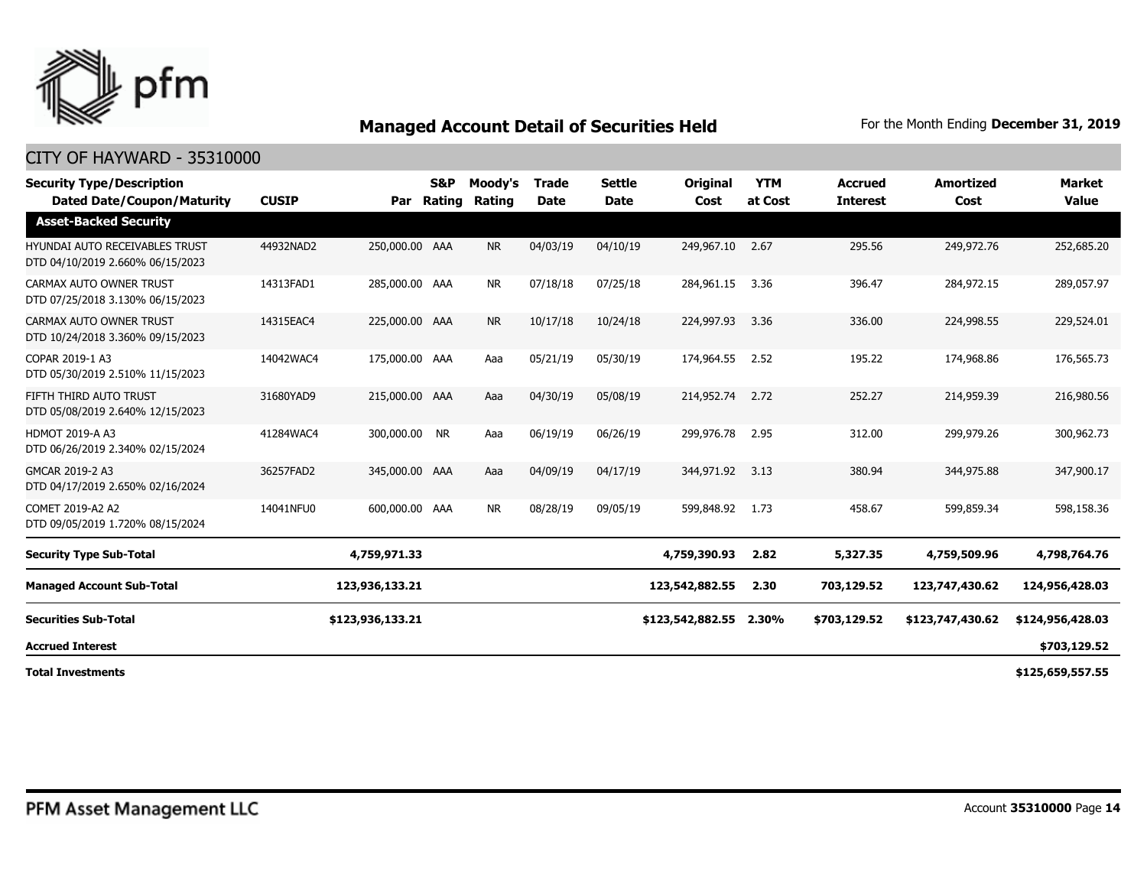

| <b>Security Type/Description</b><br><b>Dated Date/Coupon/Maturity</b>     | <b>CUSIP</b> | Par              | S&P<br>Rating | Moody's<br>Rating | <b>Trade</b><br><b>Date</b> | <b>Settle</b><br>Date | Original<br>Cost | <b>YTM</b><br>at Cost | <b>Accrued</b><br><b>Interest</b> | <b>Amortized</b><br>Cost | <b>Market</b><br><b>Value</b> |
|---------------------------------------------------------------------------|--------------|------------------|---------------|-------------------|-----------------------------|-----------------------|------------------|-----------------------|-----------------------------------|--------------------------|-------------------------------|
| <b>Asset-Backed Security</b>                                              |              |                  |               |                   |                             |                       |                  |                       |                                   |                          |                               |
| <b>HYUNDAI AUTO RECEIVABLES TRUST</b><br>DTD 04/10/2019 2.660% 06/15/2023 | 44932NAD2    | 250,000.00 AAA   |               | <b>NR</b>         | 04/03/19                    | 04/10/19              | 249,967.10       | 2.67                  | 295.56                            | 249,972.76               | 252,685.20                    |
| CARMAX AUTO OWNER TRUST<br>DTD 07/25/2018 3.130% 06/15/2023               | 14313FAD1    | 285,000.00 AAA   |               | <b>NR</b>         | 07/18/18                    | 07/25/18              | 284,961.15       | 3.36                  | 396.47                            | 284,972.15               | 289,057.97                    |
| CARMAX AUTO OWNER TRUST<br>DTD 10/24/2018 3.360% 09/15/2023               | 14315EAC4    | 225,000.00 AAA   |               | <b>NR</b>         | 10/17/18                    | 10/24/18              | 224,997.93       | 3.36                  | 336.00                            | 224,998.55               | 229,524.01                    |
| COPAR 2019-1 A3<br>DTD 05/30/2019 2.510% 11/15/2023                       | 14042WAC4    | 175,000.00 AAA   |               | Aaa               | 05/21/19                    | 05/30/19              | 174,964.55       | 2.52                  | 195.22                            | 174,968.86               | 176,565.73                    |
| FIFTH THIRD AUTO TRUST<br>DTD 05/08/2019 2.640% 12/15/2023                | 31680YAD9    | 215,000.00 AAA   |               | Aaa               | 04/30/19                    | 05/08/19              | 214,952.74       | 2.72                  | 252.27                            | 214,959.39               | 216,980.56                    |
| <b>HDMOT 2019-A A3</b><br>DTD 06/26/2019 2.340% 02/15/2024                | 41284WAC4    | 300,000.00 NR    |               | Aaa               | 06/19/19                    | 06/26/19              | 299,976.78       | 2.95                  | 312.00                            | 299,979.26               | 300,962.73                    |
| GMCAR 2019-2 A3<br>DTD 04/17/2019 2.650% 02/16/2024                       | 36257FAD2    | 345,000.00 AAA   |               | Aaa               | 04/09/19                    | 04/17/19              | 344,971.92       | 3.13                  | 380.94                            | 344,975.88               | 347,900.17                    |
| COMET 2019-A2 A2<br>DTD 09/05/2019 1.720% 08/15/2024                      | 14041NFU0    | 600,000.00 AAA   |               | <b>NR</b>         | 08/28/19                    | 09/05/19              | 599,848.92       | 1.73                  | 458.67                            | 599,859.34               | 598,158.36                    |
| <b>Security Type Sub-Total</b>                                            |              | 4,759,971.33     |               |                   |                             |                       | 4,759,390.93     | 2.82                  | 5,327.35                          | 4,759,509.96             | 4,798,764.76                  |
| <b>Managed Account Sub-Total</b>                                          |              | 123,936,133.21   |               |                   |                             |                       | 123,542,882.55   | 2.30                  | 703,129.52                        | 123,747,430.62           | 124,956,428.03                |
| <b>Securities Sub-Total</b>                                               |              | \$123,936,133.21 |               |                   |                             |                       | \$123,542,882.55 | 2.30%                 | \$703,129.52                      | \$123,747,430.62         | \$124,956,428.03              |
| <b>Accrued Interest</b>                                                   |              |                  |               |                   |                             |                       |                  |                       |                                   |                          | \$703,129.52                  |
| <b>Total Investments</b>                                                  |              |                  |               |                   |                             |                       |                  |                       |                                   |                          | \$125,659,557.55              |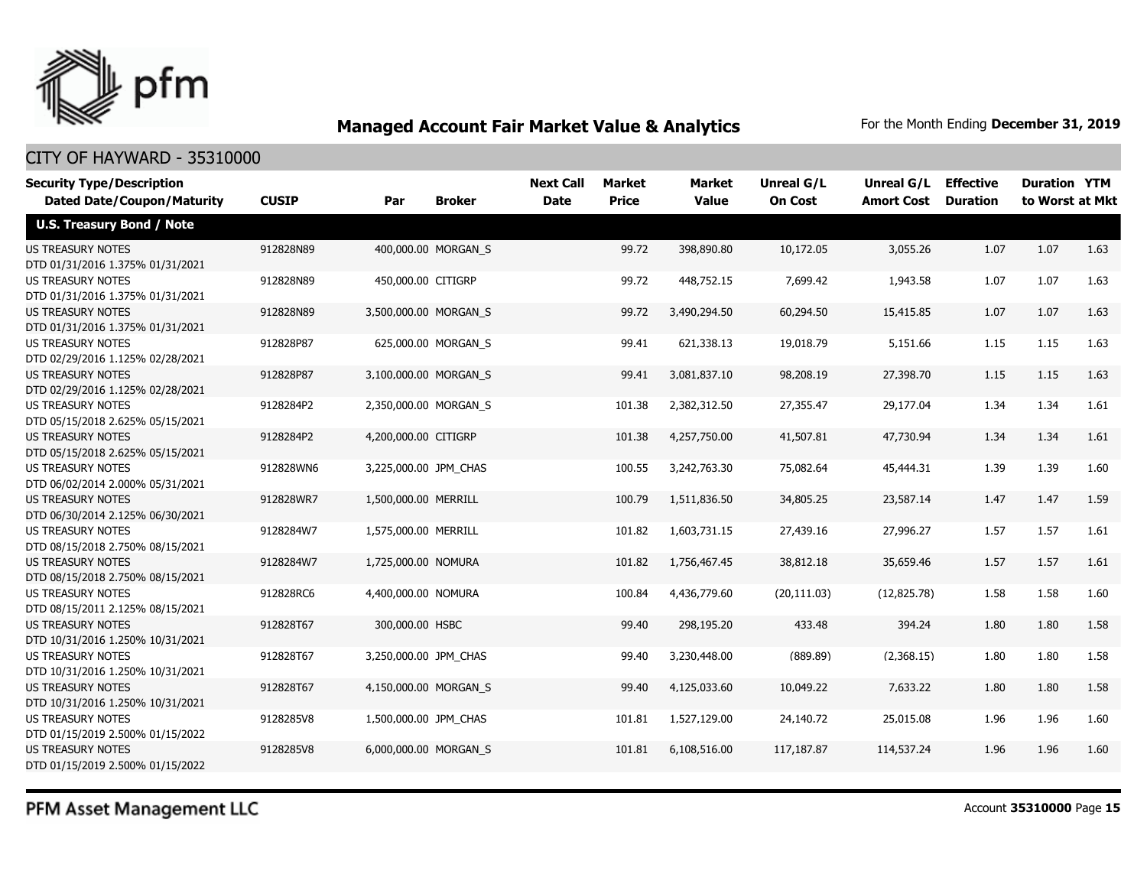

#### CITY OF HAYWARD - 35310000

| <b>Security Type/Description</b><br><b>Dated Date/Coupon/Maturity</b> | <b>CUSIP</b> | <b>Broker</b><br>Par  |                     | <b>Next Call</b><br><b>Date</b> | <b>Market</b><br><b>Price</b> | <b>Market</b><br><b>Value</b> | Unreal G/L<br><b>On Cost</b> | Unreal G/L<br><b>Amort Cost</b> | <b>Effective</b><br><b>Duration</b> | <b>Duration YTM</b><br>to Worst at Mkt |      |
|-----------------------------------------------------------------------|--------------|-----------------------|---------------------|---------------------------------|-------------------------------|-------------------------------|------------------------------|---------------------------------|-------------------------------------|----------------------------------------|------|
| <b>U.S. Treasury Bond / Note</b>                                      |              |                       |                     |                                 |                               |                               |                              |                                 |                                     |                                        |      |
| <b>US TREASURY NOTES</b><br>DTD 01/31/2016 1.375% 01/31/2021          | 912828N89    |                       | 400,000.00 MORGAN_S |                                 | 99.72                         | 398,890.80                    | 10,172.05                    | 3,055.26                        | 1.07                                | 1.07                                   | 1.63 |
| <b>US TREASURY NOTES</b><br>DTD 01/31/2016 1.375% 01/31/2021          | 912828N89    | 450,000.00 CITIGRP    |                     |                                 | 99.72                         | 448,752.15                    | 7,699.42                     | 1,943.58                        | 1.07                                | 1.07                                   | 1.63 |
| US TREASURY NOTES<br>DTD 01/31/2016 1.375% 01/31/2021                 | 912828N89    | 3,500,000.00 MORGAN S |                     |                                 | 99.72                         | 3,490,294.50                  | 60,294.50                    | 15,415.85                       | 1.07                                | 1.07                                   | 1.63 |
| <b>US TREASURY NOTES</b><br>DTD 02/29/2016 1.125% 02/28/2021          | 912828P87    |                       | 625,000.00 MORGAN_S |                                 | 99.41                         | 621,338.13                    | 19,018.79                    | 5,151.66                        | 1.15                                | 1.15                                   | 1.63 |
| <b>US TREASURY NOTES</b><br>DTD 02/29/2016 1.125% 02/28/2021          | 912828P87    | 3,100,000.00 MORGAN_S |                     |                                 | 99.41                         | 3,081,837.10                  | 98,208.19                    | 27,398.70                       | 1.15                                | 1.15                                   | 1.63 |
| US TREASURY NOTES<br>DTD 05/15/2018 2.625% 05/15/2021                 | 9128284P2    | 2,350,000.00 MORGAN_S |                     |                                 | 101.38                        | 2,382,312.50                  | 27,355.47                    | 29,177.04                       | 1.34                                | 1.34                                   | 1.61 |
| <b>US TREASURY NOTES</b><br>DTD 05/15/2018 2.625% 05/15/2021          | 9128284P2    | 4,200,000.00 CITIGRP  |                     |                                 | 101.38                        | 4,257,750.00                  | 41,507.81                    | 47,730.94                       | 1.34                                | 1.34                                   | 1.61 |
| <b>US TREASURY NOTES</b><br>DTD 06/02/2014 2.000% 05/31/2021          | 912828WN6    | 3,225,000.00 JPM CHAS |                     |                                 | 100.55                        | 3,242,763.30                  | 75,082.64                    | 45,444.31                       | 1.39                                | 1.39                                   | 1.60 |
| <b>US TREASURY NOTES</b><br>DTD 06/30/2014 2.125% 06/30/2021          | 912828WR7    | 1,500,000.00 MERRILL  |                     |                                 | 100.79                        | 1,511,836.50                  | 34,805.25                    | 23,587.14                       | 1.47                                | 1.47                                   | 1.59 |
| <b>US TREASURY NOTES</b><br>DTD 08/15/2018 2.750% 08/15/2021          | 9128284W7    | 1,575,000.00 MERRILL  |                     |                                 | 101.82                        | 1,603,731.15                  | 27,439.16                    | 27,996.27                       | 1.57                                | 1.57                                   | 1.61 |
| <b>US TREASURY NOTES</b><br>DTD 08/15/2018 2.750% 08/15/2021          | 9128284W7    | 1,725,000.00 NOMURA   |                     |                                 | 101.82                        | 1,756,467,45                  | 38,812.18                    | 35,659.46                       | 1.57                                | 1.57                                   | 1.61 |
| <b>US TREASURY NOTES</b><br>DTD 08/15/2011 2.125% 08/15/2021          | 912828RC6    | 4,400,000.00 NOMURA   |                     |                                 | 100.84                        | 4,436,779.60                  | (20, 111.03)                 | (12, 825.78)                    | 1.58                                | 1.58                                   | 1.60 |
| <b>US TREASURY NOTES</b><br>DTD 10/31/2016 1.250% 10/31/2021          | 912828T67    | 300,000.00 HSBC       |                     |                                 | 99.40                         | 298,195.20                    | 433.48                       | 394.24                          | 1.80                                | 1.80                                   | 1.58 |
| <b>US TREASURY NOTES</b><br>DTD 10/31/2016 1.250% 10/31/2021          | 912828T67    | 3,250,000.00 JPM_CHAS |                     |                                 | 99.40                         | 3,230,448.00                  | (889.89)                     | (2,368.15)                      | 1.80                                | 1.80                                   | 1.58 |
| <b>US TREASURY NOTES</b><br>DTD 10/31/2016 1.250% 10/31/2021          | 912828T67    | 4,150,000.00 MORGAN_S |                     |                                 | 99.40                         | 4,125,033.60                  | 10,049.22                    | 7,633.22                        | 1.80                                | 1.80                                   | 1.58 |
| <b>US TREASURY NOTES</b><br>DTD 01/15/2019 2.500% 01/15/2022          | 9128285V8    | 1,500,000.00 JPM_CHAS |                     |                                 | 101.81                        | 1,527,129.00                  | 24,140.72                    | 25,015.08                       | 1.96                                | 1.96                                   | 1.60 |
| <b>US TREASURY NOTES</b><br>DTD 01/15/2019 2.500% 01/15/2022          | 9128285V8    | 6,000,000.00 MORGAN S |                     |                                 | 101.81                        | 6,108,516.00                  | 117,187.87                   | 114,537.24                      | 1.96                                | 1.96                                   | 1.60 |

PFM Asset Management LLC

Account **35310000** Page **15**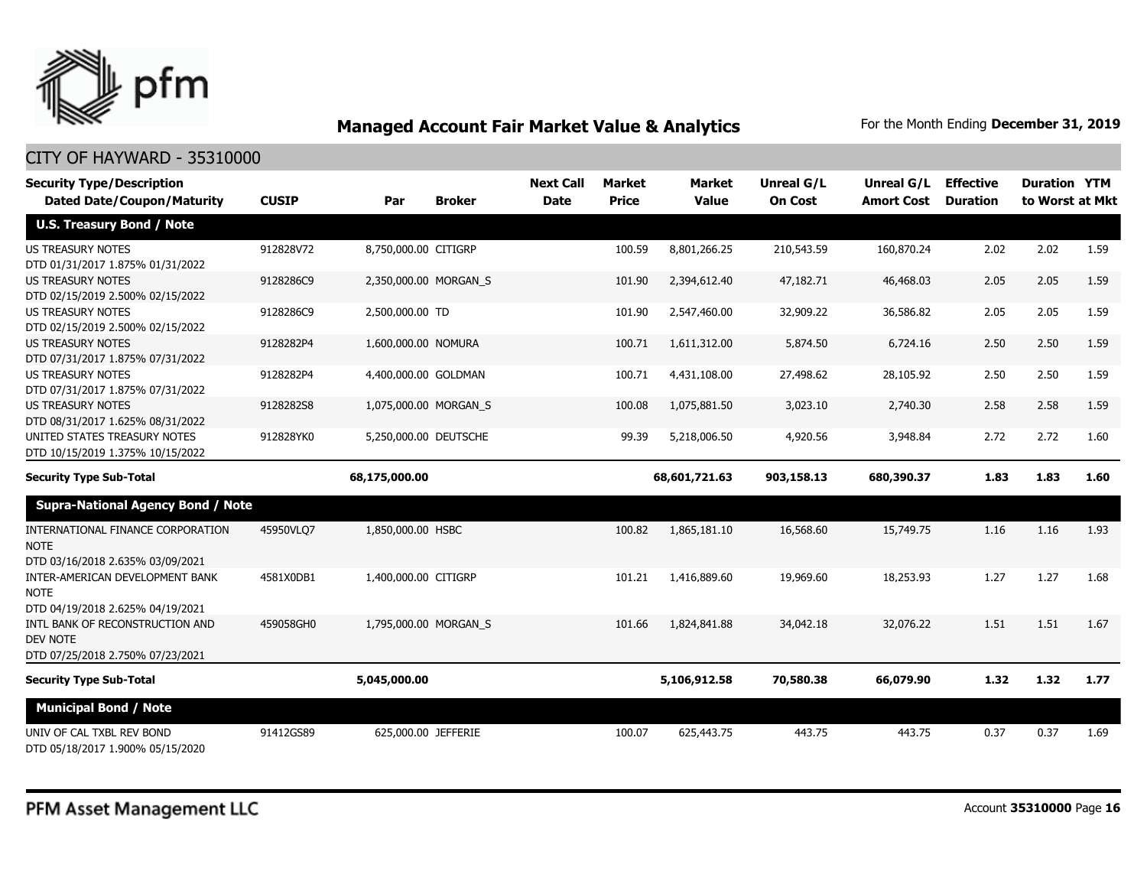

| <b>Security Type/Description</b>                                                       |              |                       |               | <b>Next Call</b> | <b>Market</b> | <b>Market</b> | <b>Unreal G/L</b> | Unreal G/L        | <b>Effective</b> | <b>Duration YTM</b> |      |
|----------------------------------------------------------------------------------------|--------------|-----------------------|---------------|------------------|---------------|---------------|-------------------|-------------------|------------------|---------------------|------|
| <b>Dated Date/Coupon/Maturity</b>                                                      | <b>CUSIP</b> | Par                   | <b>Broker</b> | <b>Date</b>      | <b>Price</b>  | <b>Value</b>  | <b>On Cost</b>    | <b>Amort Cost</b> | <b>Duration</b>  | to Worst at Mkt     |      |
| <b>U.S. Treasury Bond / Note</b>                                                       |              |                       |               |                  |               |               |                   |                   |                  |                     |      |
| <b>US TREASURY NOTES</b><br>DTD 01/31/2017 1.875% 01/31/2022                           | 912828V72    | 8,750,000.00 CITIGRP  |               |                  | 100.59        | 8,801,266.25  | 210,543.59        | 160,870.24        | 2.02             | 2.02                | 1.59 |
| <b>US TREASURY NOTES</b><br>DTD 02/15/2019 2.500% 02/15/2022                           | 9128286C9    | 2,350,000.00 MORGAN_S |               |                  | 101.90        | 2,394,612.40  | 47,182.71         | 46,468.03         | 2.05             | 2.05                | 1.59 |
| <b>US TREASURY NOTES</b><br>DTD 02/15/2019 2.500% 02/15/2022                           | 9128286C9    | 2,500,000.00 TD       |               |                  | 101.90        | 2,547,460.00  | 32,909.22         | 36,586.82         | 2.05             | 2.05                | 1.59 |
| <b>US TREASURY NOTES</b><br>DTD 07/31/2017 1.875% 07/31/2022                           | 9128282P4    | 1,600,000.00 NOMURA   |               |                  | 100.71        | 1,611,312.00  | 5,874.50          | 6,724.16          | 2.50             | 2.50                | 1.59 |
| <b>US TREASURY NOTES</b><br>DTD 07/31/2017 1.875% 07/31/2022                           | 9128282P4    | 4,400,000.00 GOLDMAN  |               |                  | 100.71        | 4,431,108.00  | 27,498.62         | 28,105.92         | 2.50             | 2.50                | 1.59 |
| <b>US TREASURY NOTES</b><br>DTD 08/31/2017 1.625% 08/31/2022                           | 9128282S8    | 1,075,000.00 MORGAN_S |               |                  | 100.08        | 1,075,881.50  | 3,023.10          | 2,740.30          | 2.58             | 2.58                | 1.59 |
| UNITED STATES TREASURY NOTES<br>DTD 10/15/2019 1.375% 10/15/2022                       | 912828YK0    | 5,250,000.00 DEUTSCHE |               |                  | 99.39         | 5,218,006.50  | 4,920.56          | 3,948.84          | 2.72             | 2.72                | 1.60 |
| <b>Security Type Sub-Total</b>                                                         |              | 68,175,000.00         |               |                  |               | 68,601,721.63 | 903,158.13        | 680,390.37        | 1.83             | 1.83                | 1.60 |
| <b>Supra-National Agency Bond / Note</b>                                               |              |                       |               |                  |               |               |                   |                   |                  |                     |      |
| INTERNATIONAL FINANCE CORPORATION<br><b>NOTE</b><br>DTD 03/16/2018 2.635% 03/09/2021   | 45950VLQ7    | 1,850,000.00 HSBC     |               |                  | 100.82        | 1,865,181.10  | 16,568.60         | 15,749.75         | 1.16             | 1.16                | 1.93 |
| INTER-AMERICAN DEVELOPMENT BANK<br><b>NOTE</b><br>DTD 04/19/2018 2.625% 04/19/2021     | 4581X0DB1    | 1,400,000.00 CITIGRP  |               |                  | 101.21        | 1,416,889.60  | 19,969.60         | 18,253.93         | 1.27             | 1.27                | 1.68 |
| INTL BANK OF RECONSTRUCTION AND<br><b>DEV NOTE</b><br>DTD 07/25/2018 2.750% 07/23/2021 | 459058GH0    | 1,795,000.00 MORGAN_S |               |                  | 101.66        | 1,824,841.88  | 34,042.18         | 32,076.22         | 1.51             | 1.51                | 1.67 |
| <b>Security Type Sub-Total</b>                                                         |              | 5,045,000.00          |               |                  |               | 5,106,912.58  | 70,580.38         | 66,079.90         | 1.32             | 1.32                | 1.77 |
| <b>Municipal Bond / Note</b>                                                           |              |                       |               |                  |               |               |                   |                   |                  |                     |      |
| UNIV OF CAL TXBL REV BOND<br>DTD 05/18/2017 1.900% 05/15/2020                          | 91412GS89    | 625,000.00 JEFFERIE   |               |                  | 100.07        | 625,443.75    | 443.75            | 443.75            | 0.37             | 0.37                | 1.69 |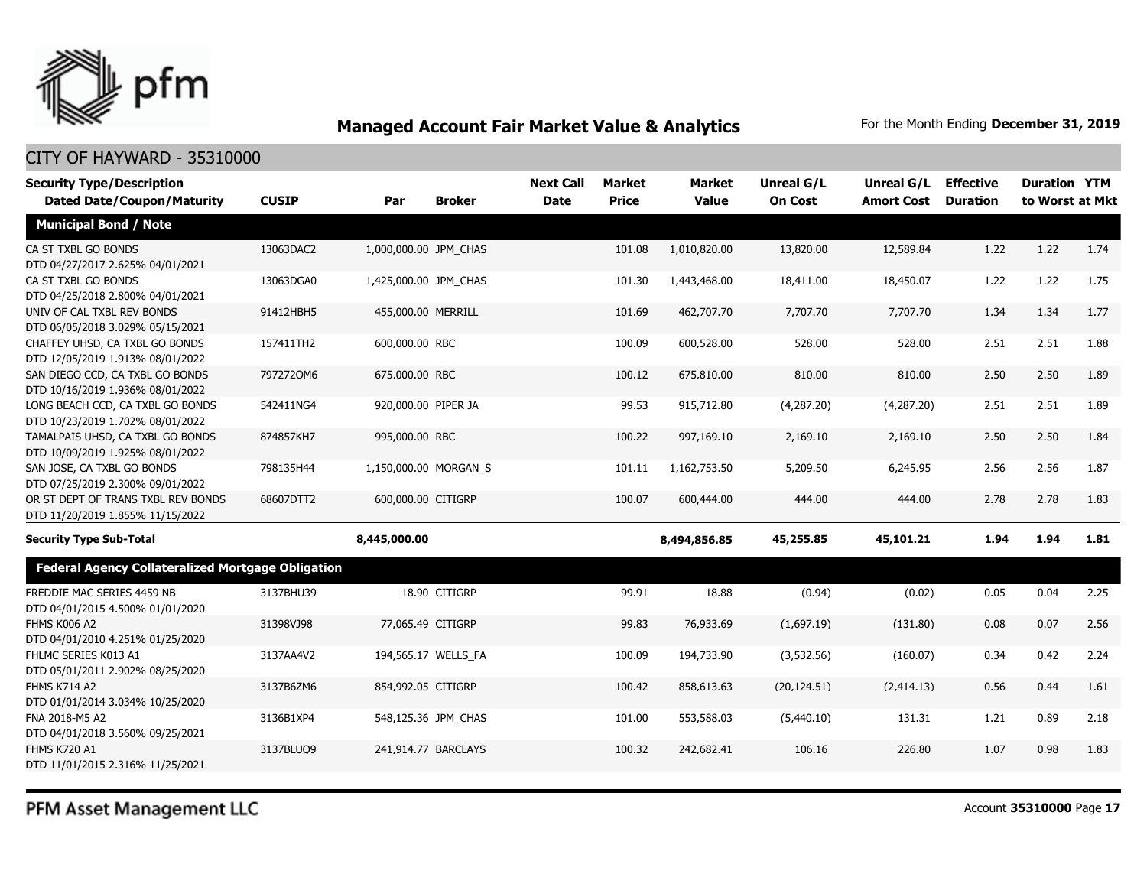

| <b>Security Type/Description</b><br><b>Dated Date/Coupon/Maturity</b>  | <b>CUSIP</b> | Par                   | <b>Broker</b>       | <b>Next Call</b><br><b>Date</b> | Market<br><b>Price</b> | <b>Market</b><br><b>Value</b> | Unreal G/L<br><b>On Cost</b> | Unreal G/L<br><b>Amort Cost</b> | <b>Effective</b><br><b>Duration</b> | <b>Duration YTM</b><br>to Worst at Mkt |      |
|------------------------------------------------------------------------|--------------|-----------------------|---------------------|---------------------------------|------------------------|-------------------------------|------------------------------|---------------------------------|-------------------------------------|----------------------------------------|------|
| <b>Municipal Bond / Note</b>                                           |              |                       |                     |                                 |                        |                               |                              |                                 |                                     |                                        |      |
| CA ST TXBL GO BONDS<br>DTD 04/27/2017 2.625% 04/01/2021                | 13063DAC2    | 1,000,000.00 JPM_CHAS |                     |                                 | 101.08                 | 1,010,820.00                  | 13,820.00                    | 12,589.84                       | 1.22                                | 1.22                                   | 1.74 |
| CA ST TXBL GO BONDS<br>DTD 04/25/2018 2.800% 04/01/2021                | 13063DGA0    | 1,425,000.00 JPM CHAS |                     |                                 | 101.30                 | 1,443,468.00                  | 18,411.00                    | 18,450.07                       | 1.22                                | 1.22                                   | 1.75 |
| UNIV OF CAL TXBL REV BONDS<br>DTD 06/05/2018 3.029% 05/15/2021         | 91412HBH5    | 455,000.00 MERRILL    |                     |                                 | 101.69                 | 462,707.70                    | 7,707.70                     | 7,707.70                        | 1.34                                | 1.34                                   | 1.77 |
| CHAFFEY UHSD, CA TXBL GO BONDS<br>DTD 12/05/2019 1.913% 08/01/2022     | 157411TH2    | 600,000.00 RBC        |                     |                                 | 100.09                 | 600,528.00                    | 528.00                       | 528.00                          | 2.51                                | 2.51                                   | 1.88 |
| SAN DIEGO CCD, CA TXBL GO BONDS<br>DTD 10/16/2019 1.936% 08/01/2022    | 7972720M6    | 675,000.00 RBC        |                     |                                 | 100.12                 | 675,810.00                    | 810.00                       | 810.00                          | 2.50                                | 2.50                                   | 1.89 |
| LONG BEACH CCD, CA TXBL GO BONDS<br>DTD 10/23/2019 1.702% 08/01/2022   | 542411NG4    | 920,000.00 PIPER JA   |                     |                                 | 99.53                  | 915,712.80                    | (4,287.20)                   | (4,287.20)                      | 2.51                                | 2.51                                   | 1.89 |
| TAMALPAIS UHSD, CA TXBL GO BONDS<br>DTD 10/09/2019 1.925% 08/01/2022   | 874857KH7    | 995,000.00 RBC        |                     |                                 | 100.22                 | 997,169.10                    | 2,169.10                     | 2,169.10                        | 2.50                                | 2.50                                   | 1.84 |
| SAN JOSE, CA TXBL GO BONDS<br>DTD 07/25/2019 2.300% 09/01/2022         | 798135H44    | 1,150,000.00 MORGAN S |                     |                                 | 101.11                 | 1,162,753.50                  | 5,209.50                     | 6,245.95                        | 2.56                                | 2.56                                   | 1.87 |
| OR ST DEPT OF TRANS TXBL REV BONDS<br>DTD 11/20/2019 1.855% 11/15/2022 | 68607DTT2    | 600,000.00 CITIGRP    |                     |                                 | 100.07                 | 600,444.00                    | 444.00                       | 444.00                          | 2.78                                | 2.78                                   | 1.83 |
| <b>Security Type Sub-Total</b>                                         |              | 8,445,000.00          |                     |                                 |                        | 8,494,856.85                  | 45,255.85                    | 45,101.21                       | 1.94                                | 1.94                                   | 1.81 |
| <b>Federal Agency Collateralized Mortgage Obligation</b>               |              |                       |                     |                                 |                        |                               |                              |                                 |                                     |                                        |      |
| FREDDIE MAC SERIES 4459 NB<br>DTD 04/01/2015 4.500% 01/01/2020         | 3137BHU39    |                       | 18.90 CITIGRP       |                                 | 99.91                  | 18.88                         | (0.94)                       | (0.02)                          | 0.05                                | 0.04                                   | 2.25 |
| <b>FHMS K006 A2</b><br>DTD 04/01/2010 4.251% 01/25/2020                | 31398VJ98    | 77,065.49 CITIGRP     |                     |                                 | 99.83                  | 76,933.69                     | (1,697.19)                   | (131.80)                        | 0.08                                | 0.07                                   | 2.56 |
| FHLMC SERIES K013 A1<br>DTD 05/01/2011 2.902% 08/25/2020               | 3137AA4V2    |                       | 194,565.17 WELLS_FA |                                 | 100.09                 | 194,733.90                    | (3,532.56)                   | (160.07)                        | 0.34                                | 0.42                                   | 2.24 |
| <b>FHMS K714 A2</b><br>DTD 01/01/2014 3.034% 10/25/2020                | 3137B6ZM6    | 854,992.05 CITIGRP    |                     |                                 | 100.42                 | 858,613.63                    | (20, 124.51)                 | (2, 414.13)                     | 0.56                                | 0.44                                   | 1.61 |
| FNA 2018-M5 A2<br>DTD 04/01/2018 3.560% 09/25/2021                     | 3136B1XP4    |                       | 548,125.36 JPM CHAS |                                 | 101.00                 | 553,588.03                    | (5,440.10)                   | 131.31                          | 1.21                                | 0.89                                   | 2.18 |
| <b>FHMS K720 A1</b><br>DTD 11/01/2015 2.316% 11/25/2021                | 3137BLUQ9    |                       | 241,914.77 BARCLAYS |                                 | 100.32                 | 242,682.41                    | 106.16                       | 226.80                          | 1.07                                | 0.98                                   | 1.83 |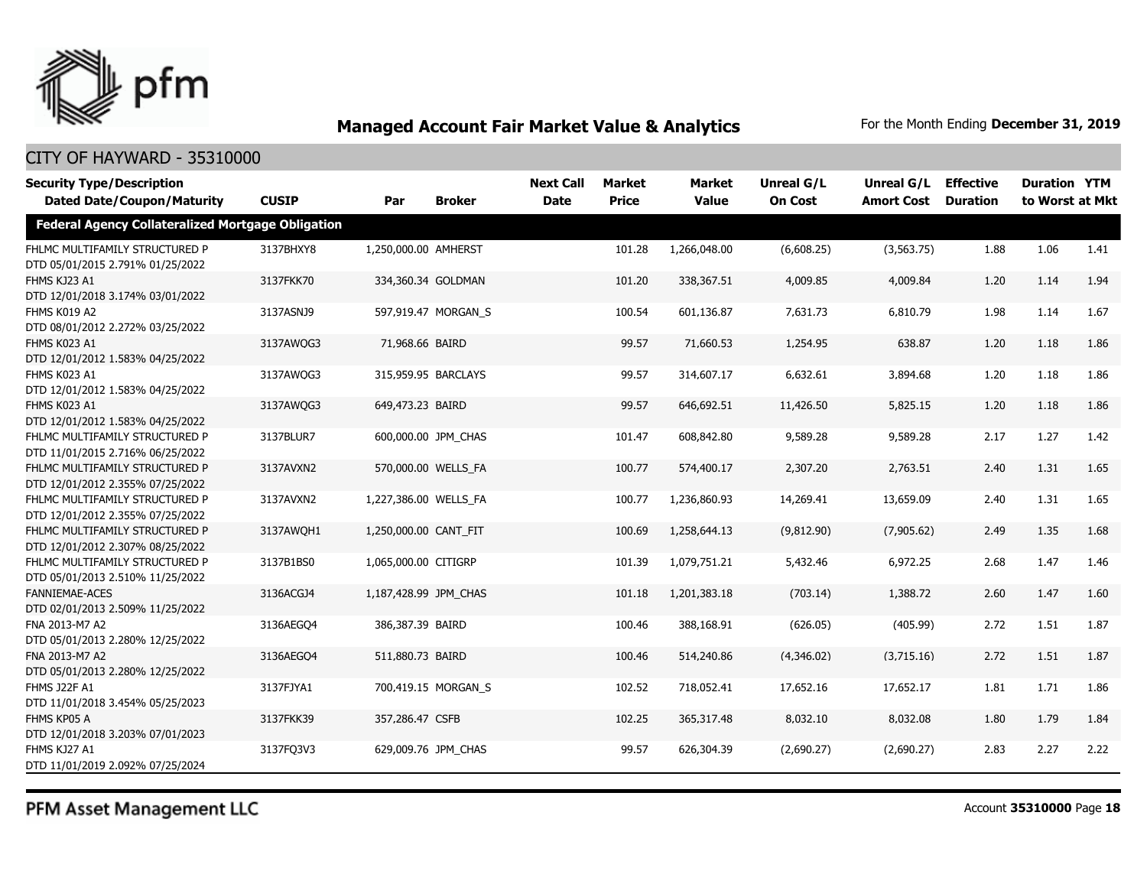

### CITY OF HAYWARD - 35310000

| <b>Security Type/Description</b>                                   |              |                       |                     | <b>Next Call</b> | <b>Market</b> | <b>Market</b> | <b>Unreal G/L</b> | Unreal G/L                 | <b>Effective</b> | <b>Duration YTM</b> |      |
|--------------------------------------------------------------------|--------------|-----------------------|---------------------|------------------|---------------|---------------|-------------------|----------------------------|------------------|---------------------|------|
| <b>Dated Date/Coupon/Maturity</b>                                  | <b>CUSIP</b> | Par                   | <b>Broker</b>       | <b>Date</b>      | <b>Price</b>  | <b>Value</b>  | <b>On Cost</b>    | <b>Amort Cost Duration</b> |                  | to Worst at Mkt     |      |
| <b>Federal Agency Collateralized Mortgage Obligation</b>           |              |                       |                     |                  |               |               |                   |                            |                  |                     |      |
| FHLMC MULTIFAMILY STRUCTURED P<br>DTD 05/01/2015 2.791% 01/25/2022 | 3137BHXY8    | 1,250,000.00 AMHERST  |                     |                  | 101.28        | 1,266,048.00  | (6,608.25)        | (3,563.75)                 | 1.88             | 1.06                | 1.41 |
| FHMS KJ23 A1<br>DTD 12/01/2018 3.174% 03/01/2022                   | 3137FKK70    |                       | 334,360.34 GOLDMAN  |                  | 101.20        | 338,367.51    | 4,009.85          | 4,009.84                   | 1.20             | 1.14                | 1.94 |
| FHMS K019 A2<br>DTD 08/01/2012 2.272% 03/25/2022                   | 3137ASNJ9    |                       | 597,919.47 MORGAN_S |                  | 100.54        | 601,136.87    | 7,631.73          | 6,810.79                   | 1.98             | 1.14                | 1.67 |
| FHMS K023 A1<br>DTD 12/01/2012 1.583% 04/25/2022                   | 3137AWQG3    | 71,968.66 BAIRD       |                     |                  | 99.57         | 71,660.53     | 1,254.95          | 638.87                     | 1.20             | 1.18                | 1.86 |
| FHMS K023 A1<br>DTD 12/01/2012 1.583% 04/25/2022                   | 3137AWQG3    |                       | 315,959.95 BARCLAYS |                  | 99.57         | 314,607.17    | 6,632.61          | 3,894.68                   | 1.20             | 1.18                | 1.86 |
| FHMS K023 A1<br>DTD 12/01/2012 1.583% 04/25/2022                   | 3137AWQG3    | 649,473.23 BAIRD      |                     |                  | 99.57         | 646,692.51    | 11,426.50         | 5,825.15                   | 1.20             | 1.18                | 1.86 |
| FHLMC MULTIFAMILY STRUCTURED P<br>DTD 11/01/2015 2.716% 06/25/2022 | 3137BLUR7    |                       | 600,000.00 JPM CHAS |                  | 101.47        | 608,842.80    | 9,589.28          | 9,589.28                   | 2.17             | 1.27                | 1.42 |
| FHLMC MULTIFAMILY STRUCTURED P<br>DTD 12/01/2012 2.355% 07/25/2022 | 3137AVXN2    |                       | 570,000.00 WELLS_FA |                  | 100.77        | 574,400.17    | 2,307.20          | 2,763.51                   | 2.40             | 1.31                | 1.65 |
| FHLMC MULTIFAMILY STRUCTURED P<br>DTD 12/01/2012 2.355% 07/25/2022 | 3137AVXN2    | 1,227,386.00 WELLS_FA |                     |                  | 100.77        | 1,236,860.93  | 14,269.41         | 13,659.09                  | 2.40             | 1.31                | 1.65 |
| FHLMC MULTIFAMILY STRUCTURED P<br>DTD 12/01/2012 2.307% 08/25/2022 | 3137AWQH1    | 1,250,000.00 CANT_FIT |                     |                  | 100.69        | 1,258,644.13  | (9,812.90)        | (7,905.62)                 | 2.49             | 1.35                | 1.68 |
| FHLMC MULTIFAMILY STRUCTURED P<br>DTD 05/01/2013 2.510% 11/25/2022 | 3137B1BS0    | 1,065,000.00 CITIGRP  |                     |                  | 101.39        | 1,079,751.21  | 5,432.46          | 6,972.25                   | 2.68             | 1.47                | 1.46 |
| <b>FANNIEMAE-ACES</b><br>DTD 02/01/2013 2.509% 11/25/2022          | 3136ACGJ4    | 1,187,428.99 JPM_CHAS |                     |                  | 101.18        | 1,201,383.18  | (703.14)          | 1,388.72                   | 2.60             | 1.47                | 1.60 |
| FNA 2013-M7 A2<br>DTD 05/01/2013 2.280% 12/25/2022                 | 3136AEGO4    | 386,387.39 BAIRD      |                     |                  | 100.46        | 388,168.91    | (626.05)          | (405.99)                   | 2.72             | 1.51                | 1.87 |
| FNA 2013-M7 A2<br>DTD 05/01/2013 2.280% 12/25/2022                 | 3136AEGQ4    | 511,880.73 BAIRD      |                     |                  | 100.46        | 514,240.86    | (4,346.02)        | (3,715.16)                 | 2.72             | 1.51                | 1.87 |
| FHMS J22F A1<br>DTD 11/01/2018 3.454% 05/25/2023                   | 3137FJYA1    |                       | 700,419.15 MORGAN_S |                  | 102.52        | 718,052.41    | 17,652.16         | 17,652.17                  | 1.81             | 1.71                | 1.86 |
| FHMS KP05 A<br>DTD 12/01/2018 3.203% 07/01/2023                    | 3137FKK39    | 357,286.47 CSFB       |                     |                  | 102.25        | 365,317.48    | 8,032.10          | 8,032.08                   | 1.80             | 1.79                | 1.84 |
| FHMS KJ27 A1<br>DTD 11/01/2019 2.092% 07/25/2024                   | 3137FQ3V3    |                       | 629,009.76 JPM CHAS |                  | 99.57         | 626,304.39    | (2,690.27)        | (2,690.27)                 | 2.83             | 2.27                | 2.22 |

PFM Asset Management LLC

Account **35310000** Page **18**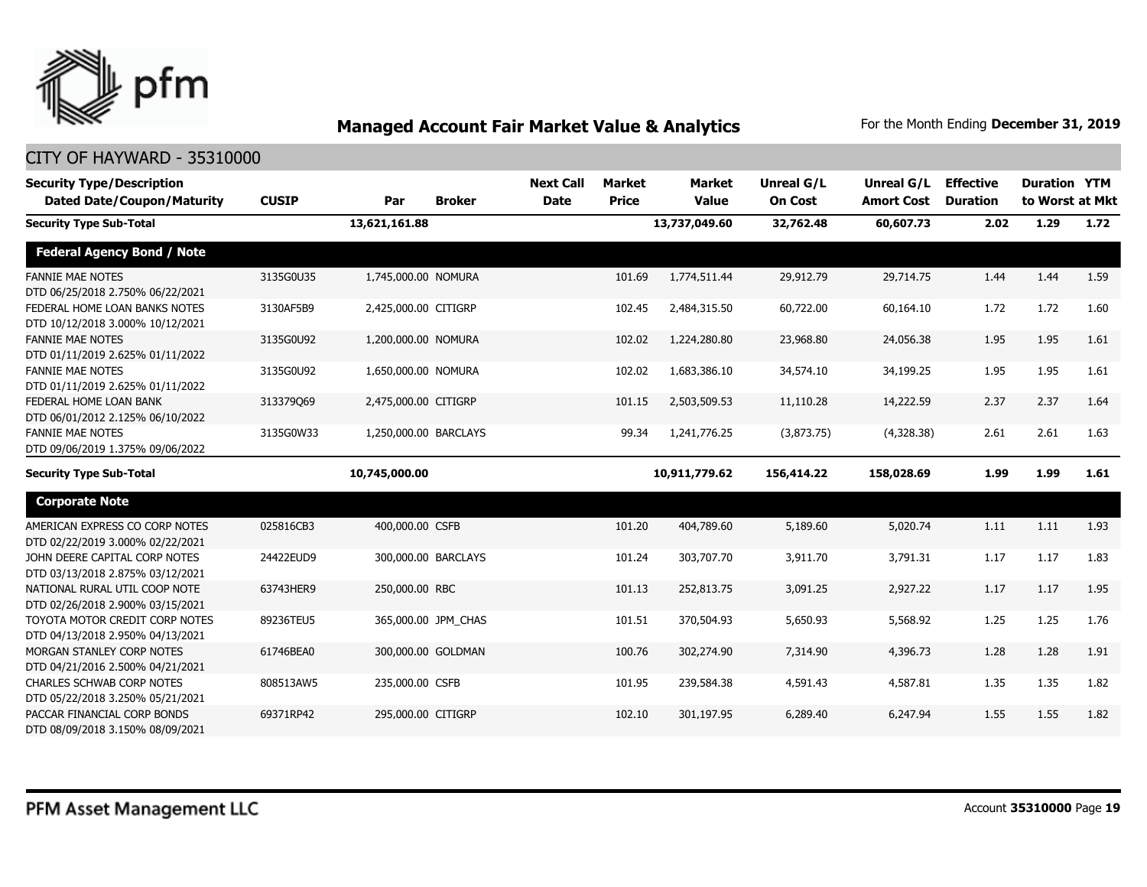

| <b>Security Type/Description</b><br><b>Dated Date/Coupon/Maturity</b> | <b>CUSIP</b> | Par                   | <b>Broker</b>       | <b>Next Call</b><br><b>Date</b> | <b>Market</b><br><b>Price</b> | <b>Market</b><br><b>Value</b> | <b>Unreal G/L</b><br><b>On Cost</b> | Unreal G/L<br><b>Amort Cost</b> | <b>Effective</b><br><b>Duration</b> | <b>Duration YTM</b><br>to Worst at Mkt |      |
|-----------------------------------------------------------------------|--------------|-----------------------|---------------------|---------------------------------|-------------------------------|-------------------------------|-------------------------------------|---------------------------------|-------------------------------------|----------------------------------------|------|
| <b>Security Type Sub-Total</b>                                        |              | 13,621,161.88         |                     |                                 |                               | 13,737,049.60                 | 32,762.48                           | 60,607.73                       | 2.02                                | 1.29                                   | 1.72 |
| <b>Federal Agency Bond / Note</b>                                     |              |                       |                     |                                 |                               |                               |                                     |                                 |                                     |                                        |      |
| <b>FANNIE MAE NOTES</b><br>DTD 06/25/2018 2.750% 06/22/2021           | 3135G0U35    | 1,745,000.00 NOMURA   |                     |                                 | 101.69                        | 1,774,511.44                  | 29,912.79                           | 29,714.75                       | 1.44                                | 1.44                                   | 1.59 |
| FEDERAL HOME LOAN BANKS NOTES<br>DTD 10/12/2018 3.000% 10/12/2021     | 3130AF5B9    | 2,425,000.00 CITIGRP  |                     |                                 | 102.45                        | 2,484,315.50                  | 60,722.00                           | 60,164.10                       | 1.72                                | 1.72                                   | 1.60 |
| <b>FANNIE MAE NOTES</b><br>DTD 01/11/2019 2.625% 01/11/2022           | 3135G0U92    | 1,200,000.00 NOMURA   |                     |                                 | 102.02                        | 1,224,280.80                  | 23,968.80                           | 24,056.38                       | 1.95                                | 1.95                                   | 1.61 |
| <b>FANNIE MAE NOTES</b><br>DTD 01/11/2019 2.625% 01/11/2022           | 3135G0U92    | 1,650,000.00 NOMURA   |                     |                                 | 102.02                        | 1,683,386.10                  | 34,574.10                           | 34,199.25                       | 1.95                                | 1.95                                   | 1.61 |
| FEDERAL HOME LOAN BANK<br>DTD 06/01/2012 2.125% 06/10/2022            | 313379069    | 2,475,000.00 CITIGRP  |                     |                                 | 101.15                        | 2,503,509.53                  | 11,110.28                           | 14,222.59                       | 2.37                                | 2.37                                   | 1.64 |
| <b>FANNIE MAE NOTES</b><br>DTD 09/06/2019 1.375% 09/06/2022           | 3135G0W33    | 1,250,000.00 BARCLAYS |                     |                                 | 99.34                         | 1,241,776.25                  | (3,873.75)                          | (4,328.38)                      | 2.61                                | 2.61                                   | 1.63 |
| <b>Security Type Sub-Total</b>                                        |              | 10,745,000.00         |                     |                                 |                               | 10,911,779.62                 | 156,414.22                          | 158,028.69                      | 1.99                                | 1.99                                   | 1.61 |
| <b>Corporate Note</b>                                                 |              |                       |                     |                                 |                               |                               |                                     |                                 |                                     |                                        |      |
| AMERICAN EXPRESS CO CORP NOTES<br>DTD 02/22/2019 3.000% 02/22/2021    | 025816CB3    | 400,000.00 CSFB       |                     |                                 | 101.20                        | 404,789.60                    | 5,189.60                            | 5,020.74                        | 1.11                                | 1.11                                   | 1.93 |
| JOHN DEERE CAPITAL CORP NOTES<br>DTD 03/13/2018 2.875% 03/12/2021     | 24422EUD9    |                       | 300,000.00 BARCLAYS |                                 | 101.24                        | 303,707.70                    | 3,911.70                            | 3,791.31                        | 1.17                                | 1.17                                   | 1.83 |
| NATIONAL RURAL UTIL COOP NOTE<br>DTD 02/26/2018 2.900% 03/15/2021     | 63743HER9    | 250,000.00 RBC        |                     |                                 | 101.13                        | 252,813.75                    | 3,091.25                            | 2,927.22                        | 1.17                                | 1.17                                   | 1.95 |
| TOYOTA MOTOR CREDIT CORP NOTES<br>DTD 04/13/2018 2.950% 04/13/2021    | 89236TEU5    |                       | 365,000.00 JPM_CHAS |                                 | 101.51                        | 370,504.93                    | 5,650.93                            | 5,568.92                        | 1.25                                | 1.25                                   | 1.76 |
| MORGAN STANLEY CORP NOTES<br>DTD 04/21/2016 2.500% 04/21/2021         | 61746BEA0    |                       | 300,000.00 GOLDMAN  |                                 | 100.76                        | 302,274.90                    | 7,314.90                            | 4,396.73                        | 1.28                                | 1.28                                   | 1.91 |
| <b>CHARLES SCHWAB CORP NOTES</b><br>DTD 05/22/2018 3.250% 05/21/2021  | 808513AW5    | 235,000.00 CSFB       |                     |                                 | 101.95                        | 239,584.38                    | 4,591.43                            | 4,587.81                        | 1.35                                | 1.35                                   | 1.82 |
| PACCAR FINANCIAL CORP BONDS<br>DTD 08/09/2018 3.150% 08/09/2021       | 69371RP42    | 295,000.00 CITIGRP    |                     |                                 | 102.10                        | 301,197.95                    | 6,289.40                            | 6,247.94                        | 1.55                                | 1.55                                   | 1.82 |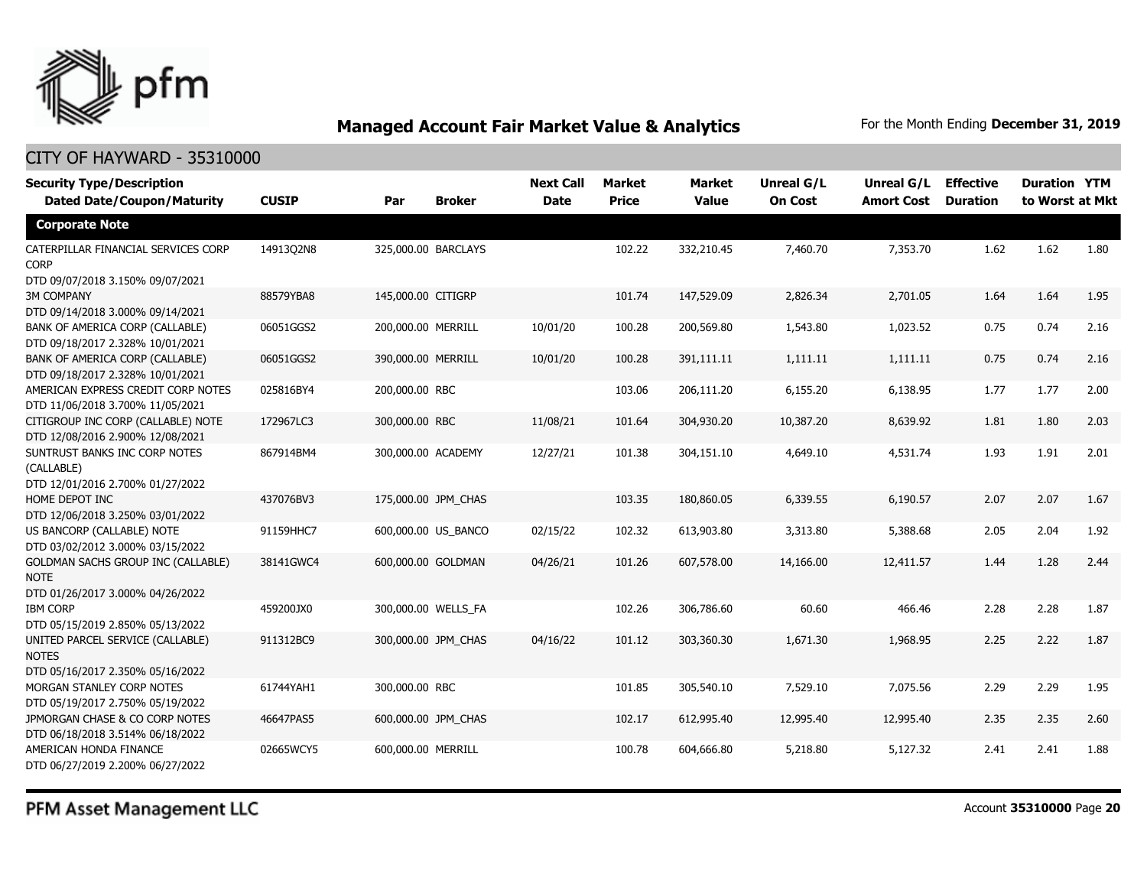

#### CITY OF HAYWARD - 35310000

| <b>Security Type/Description</b><br><b>Dated Date/Coupon/Maturity</b>                        | <b>CUSIP</b> | Par                 | <b>Broker</b>       | <b>Next Call</b><br><b>Date</b> | <b>Market</b><br><b>Price</b> | <b>Market</b><br><b>Value</b> | <b>Unreal G/L</b><br><b>On Cost</b> | <b>Unreal G/L</b><br><b>Amort Cost</b> | <b>Effective</b><br><b>Duration</b> | <b>Duration YTM</b><br>to Worst at Mkt |      |
|----------------------------------------------------------------------------------------------|--------------|---------------------|---------------------|---------------------------------|-------------------------------|-------------------------------|-------------------------------------|----------------------------------------|-------------------------------------|----------------------------------------|------|
| <b>Corporate Note</b>                                                                        |              |                     |                     |                                 |                               |                               |                                     |                                        |                                     |                                        |      |
| CATERPILLAR FINANCIAL SERVICES CORP<br><b>CORP</b><br>DTD 09/07/2018 3.150% 09/07/2021       | 14913Q2N8    |                     | 325,000.00 BARCLAYS |                                 | 102.22                        | 332,210.45                    | 7,460.70                            | 7,353.70                               | 1.62                                | 1.62                                   | 1.80 |
| <b>3M COMPANY</b><br>DTD 09/14/2018 3.000% 09/14/2021                                        | 88579YBA8    | 145,000.00 CITIGRP  |                     |                                 | 101.74                        | 147,529.09                    | 2,826.34                            | 2,701.05                               | 1.64                                | 1.64                                   | 1.95 |
| BANK OF AMERICA CORP (CALLABLE)<br>DTD 09/18/2017 2.328% 10/01/2021                          | 06051GGS2    | 200,000.00 MERRILL  |                     | 10/01/20                        | 100.28                        | 200,569.80                    | 1,543.80                            | 1,023.52                               | 0.75                                | 0.74                                   | 2.16 |
| BANK OF AMERICA CORP (CALLABLE)<br>DTD 09/18/2017 2.328% 10/01/2021                          | 06051GGS2    | 390,000.00 MERRILL  |                     | 10/01/20                        | 100.28                        | 391,111.11                    | 1,111.11                            | 1,111.11                               | 0.75                                | 0.74                                   | 2.16 |
| AMERICAN EXPRESS CREDIT CORP NOTES<br>DTD 11/06/2018 3.700% 11/05/2021                       | 025816BY4    | 200,000.00 RBC      |                     |                                 | 103.06                        | 206,111.20                    | 6,155.20                            | 6,138.95                               | 1.77                                | 1.77                                   | 2.00 |
| CITIGROUP INC CORP (CALLABLE) NOTE<br>DTD 12/08/2016 2.900% 12/08/2021                       | 172967LC3    | 300,000.00 RBC      |                     | 11/08/21                        | 101.64                        | 304,930.20                    | 10,387.20                           | 8,639.92                               | 1.81                                | 1.80                                   | 2.03 |
| SUNTRUST BANKS INC CORP NOTES<br>(CALLABLE)<br>DTD 12/01/2016 2.700% 01/27/2022              | 867914BM4    | 300,000.00 ACADEMY  |                     | 12/27/21                        | 101.38                        | 304,151.10                    | 4,649.10                            | 4,531.74                               | 1.93                                | 1.91                                   | 2.01 |
| HOME DEPOT INC<br>DTD 12/06/2018 3.250% 03/01/2022                                           | 437076BV3    | 175,000.00 JPM CHAS |                     |                                 | 103.35                        | 180,860.05                    | 6,339.55                            | 6,190.57                               | 2.07                                | 2.07                                   | 1.67 |
| US BANCORP (CALLABLE) NOTE<br>DTD 03/02/2012 3.000% 03/15/2022                               | 91159HHC7    |                     | 600,000.00 US BANCO | 02/15/22                        | 102.32                        | 613,903.80                    | 3,313.80                            | 5,388.68                               | 2.05                                | 2.04                                   | 1.92 |
| <b>GOLDMAN SACHS GROUP INC (CALLABLE)</b><br><b>NOTE</b><br>DTD 01/26/2017 3.000% 04/26/2022 | 38141GWC4    | 600,000.00 GOLDMAN  |                     | 04/26/21                        | 101.26                        | 607,578.00                    | 14,166.00                           | 12,411.57                              | 1.44                                | 1.28                                   | 2.44 |
| <b>IBM CORP</b><br>DTD 05/15/2019 2.850% 05/13/2022                                          | 459200JX0    |                     | 300,000.00 WELLS_FA |                                 | 102.26                        | 306,786.60                    | 60.60                               | 466.46                                 | 2.28                                | 2.28                                   | 1.87 |
| UNITED PARCEL SERVICE (CALLABLE)<br><b>NOTES</b><br>DTD 05/16/2017 2.350% 05/16/2022         | 911312BC9    |                     | 300,000.00 JPM_CHAS | 04/16/22                        | 101.12                        | 303,360.30                    | 1,671.30                            | 1,968.95                               | 2.25                                | 2.22                                   | 1.87 |
| MORGAN STANLEY CORP NOTES<br>DTD 05/19/2017 2.750% 05/19/2022                                | 61744YAH1    | 300,000.00 RBC      |                     |                                 | 101.85                        | 305,540.10                    | 7,529.10                            | 7,075.56                               | 2.29                                | 2.29                                   | 1.95 |
| JPMORGAN CHASE & CO CORP NOTES<br>DTD 06/18/2018 3.514% 06/18/2022                           | 46647PAS5    |                     | 600,000.00 JPM_CHAS |                                 | 102.17                        | 612,995.40                    | 12,995.40                           | 12,995.40                              | 2.35                                | 2.35                                   | 2.60 |
| AMERICAN HONDA FINANCE<br>DTD 06/27/2019 2.200% 06/27/2022                                   | 02665WCY5    | 600,000.00 MERRILL  |                     |                                 | 100.78                        | 604,666.80                    | 5,218.80                            | 5,127.32                               | 2.41                                | 2.41                                   | 1.88 |

PFM Asset Management LLC

Account **35310000** Page **20**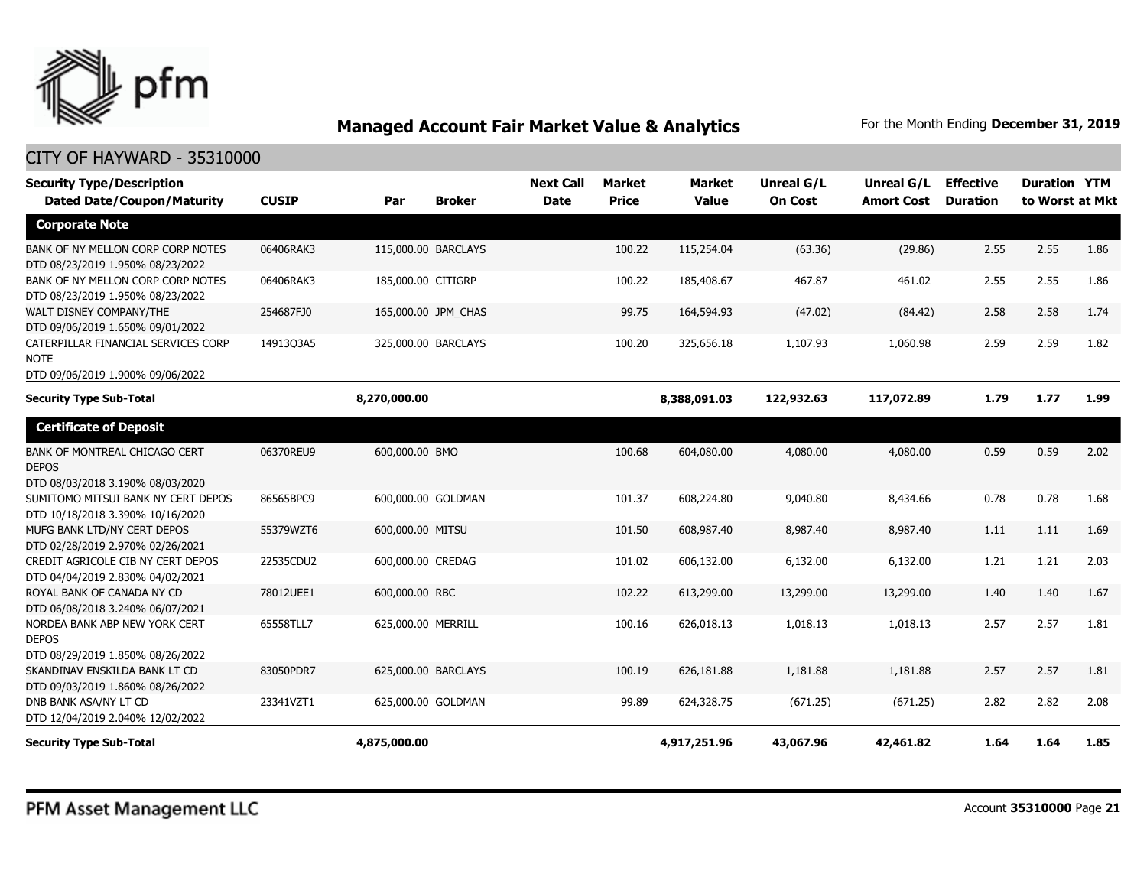

| <b>Security Type/Description</b>                                                         |              |                     |               | <b>Next Call</b> | <b>Market</b> | <b>Market</b> | <b>Unreal G/L</b> | Unreal G/L        | <b>Effective</b> | <b>Duration YTM</b> |      |
|------------------------------------------------------------------------------------------|--------------|---------------------|---------------|------------------|---------------|---------------|-------------------|-------------------|------------------|---------------------|------|
| <b>Dated Date/Coupon/Maturity</b>                                                        | <b>CUSIP</b> | Par                 | <b>Broker</b> | <b>Date</b>      | <b>Price</b>  | <b>Value</b>  | <b>On Cost</b>    | <b>Amort Cost</b> | <b>Duration</b>  | to Worst at Mkt     |      |
| <b>Corporate Note</b>                                                                    |              |                     |               |                  |               |               |                   |                   |                  |                     |      |
| BANK OF NY MELLON CORP CORP NOTES<br>DTD 08/23/2019 1.950% 08/23/2022                    | 06406RAK3    | 115,000.00 BARCLAYS |               |                  | 100.22        | 115,254.04    | (63.36)           | (29.86)           | 2.55             | 2.55                | 1.86 |
| BANK OF NY MELLON CORP CORP NOTES<br>DTD 08/23/2019 1.950% 08/23/2022                    | 06406RAK3    | 185,000.00 CITIGRP  |               |                  | 100.22        | 185,408.67    | 467.87            | 461.02            | 2.55             | 2.55                | 1.86 |
| WALT DISNEY COMPANY/THE<br>DTD 09/06/2019 1.650% 09/01/2022                              | 254687FJ0    | 165,000.00 JPM_CHAS |               |                  | 99.75         | 164,594.93    | (47.02)           | (84.42)           | 2.58             | 2.58                | 1.74 |
| CATERPILLAR FINANCIAL SERVICES CORP<br><b>NOTE</b><br>DTD 09/06/2019 1.900% 09/06/2022   | 14913Q3A5    | 325,000.00 BARCLAYS |               |                  | 100.20        | 325,656.18    | 1,107.93          | 1,060.98          | 2.59             | 2.59                | 1.82 |
| <b>Security Type Sub-Total</b>                                                           |              | 8,270,000.00        |               |                  |               | 8,388,091.03  | 122,932.63        | 117,072.89        | 1.79             | 1.77                | 1.99 |
| <b>Certificate of Deposit</b>                                                            |              |                     |               |                  |               |               |                   |                   |                  |                     |      |
| <b>BANK OF MONTREAL CHICAGO CERT</b><br><b>DEPOS</b><br>DTD 08/03/2018 3.190% 08/03/2020 | 06370REU9    | 600,000.00 BMO      |               |                  | 100.68        | 604,080.00    | 4,080.00          | 4,080.00          | 0.59             | 0.59                | 2.02 |
| SUMITOMO MITSUI BANK NY CERT DEPOS<br>DTD 10/18/2018 3.390% 10/16/2020                   | 86565BPC9    | 600,000.00 GOLDMAN  |               |                  | 101.37        | 608,224.80    | 9,040.80          | 8,434.66          | 0.78             | 0.78                | 1.68 |
| MUFG BANK LTD/NY CERT DEPOS<br>DTD 02/28/2019 2.970% 02/26/2021                          | 55379WZT6    | 600,000.00 MITSU    |               |                  | 101.50        | 608,987.40    | 8,987.40          | 8,987.40          | 1.11             | 1.11                | 1.69 |
| CREDIT AGRICOLE CIB NY CERT DEPOS<br>DTD 04/04/2019 2.830% 04/02/2021                    | 22535CDU2    | 600,000.00 CREDAG   |               |                  | 101.02        | 606,132.00    | 6,132.00          | 6,132.00          | 1.21             | 1.21                | 2.03 |
| ROYAL BANK OF CANADA NY CD<br>DTD 06/08/2018 3.240% 06/07/2021                           | 78012UEE1    | 600,000.00 RBC      |               |                  | 102.22        | 613,299.00    | 13,299.00         | 13,299.00         | 1.40             | 1.40                | 1.67 |
| NORDEA BANK ABP NEW YORK CERT<br><b>DEPOS</b><br>DTD 08/29/2019 1.850% 08/26/2022        | 65558TLL7    | 625,000.00 MERRILL  |               |                  | 100.16        | 626,018.13    | 1,018.13          | 1,018.13          | 2.57             | 2.57                | 1.81 |
| SKANDINAV ENSKILDA BANK LT CD<br>DTD 09/03/2019 1.860% 08/26/2022                        | 83050PDR7    | 625,000.00 BARCLAYS |               |                  | 100.19        | 626,181.88    | 1,181.88          | 1,181.88          | 2.57             | 2.57                | 1.81 |
| DNB BANK ASA/NY LT CD<br>DTD 12/04/2019 2.040% 12/02/2022                                | 23341VZT1    | 625,000.00 GOLDMAN  |               |                  | 99.89         | 624,328.75    | (671.25)          | (671.25)          | 2.82             | 2.82                | 2.08 |
| <b>Security Type Sub-Total</b>                                                           |              | 4,875,000.00        |               |                  |               | 4,917,251.96  | 43,067.96         | 42,461.82         | 1.64             | 1.64                | 1.85 |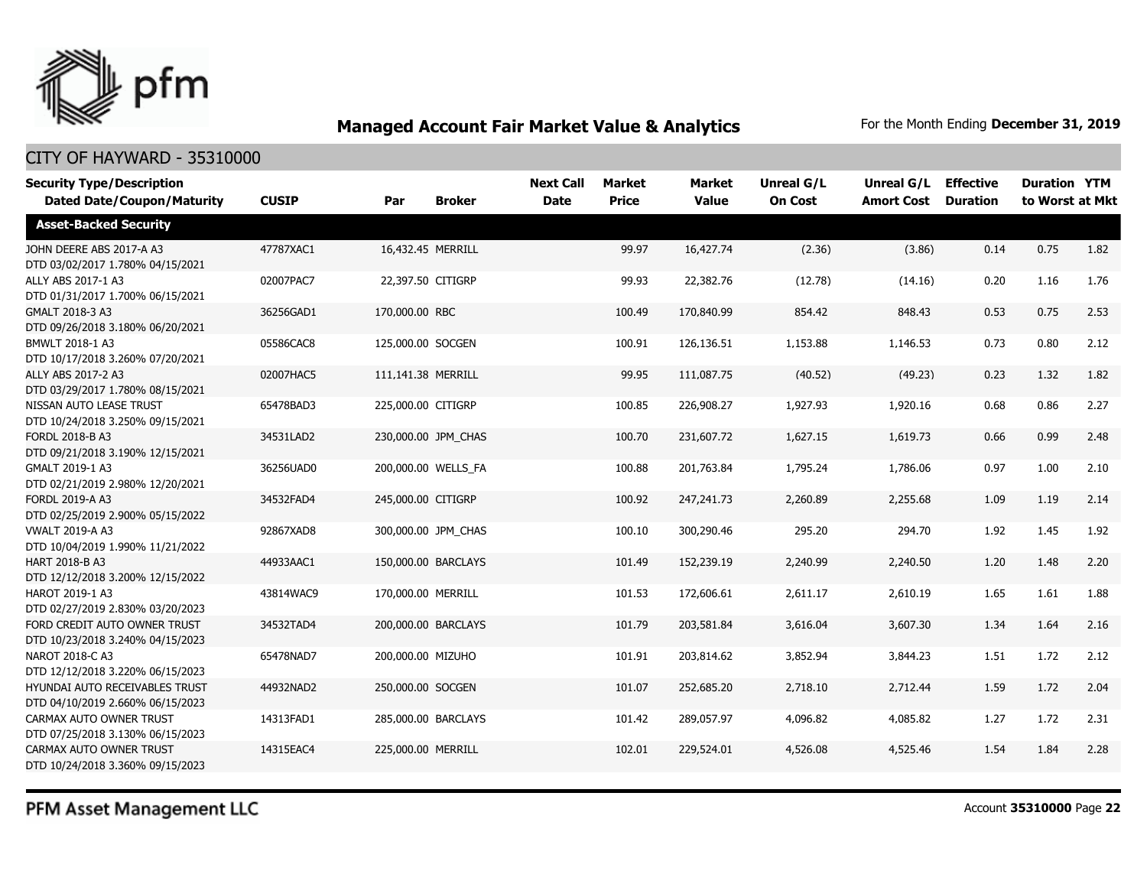

#### CITY OF HAYWARD - 35310000

| <b>Security Type/Description</b><br><b>Dated Date/Coupon/Maturity</b> | <b>CUSIP</b> | Par                | <b>Broker</b>       | <b>Next Call</b><br><b>Date</b> | <b>Market</b><br><b>Price</b> | Market<br><b>Value</b> | Unreal G/L<br><b>On Cost</b> | Unreal G/L<br><b>Amort Cost</b> | <b>Effective</b><br><b>Duration</b> | <b>Duration YTM</b><br>to Worst at Mkt |      |
|-----------------------------------------------------------------------|--------------|--------------------|---------------------|---------------------------------|-------------------------------|------------------------|------------------------------|---------------------------------|-------------------------------------|----------------------------------------|------|
| <b>Asset-Backed Security</b>                                          |              |                    |                     |                                 |                               |                        |                              |                                 |                                     |                                        |      |
| JOHN DEERE ABS 2017-A A3<br>DTD 03/02/2017 1.780% 04/15/2021          | 47787XAC1    | 16,432.45 MERRILL  |                     |                                 | 99.97                         | 16,427.74              | (2.36)                       | (3.86)                          | 0.14                                | 0.75                                   | 1.82 |
| ALLY ABS 2017-1 A3<br>DTD 01/31/2017 1.700% 06/15/2021                | 02007PAC7    | 22,397.50 CITIGRP  |                     |                                 | 99.93                         | 22,382.76              | (12.78)                      | (14.16)                         | 0.20                                | 1.16                                   | 1.76 |
| GMALT 2018-3 A3<br>DTD 09/26/2018 3.180% 06/20/2021                   | 36256GAD1    | 170,000.00 RBC     |                     |                                 | 100.49                        | 170,840.99             | 854.42                       | 848.43                          | 0.53                                | 0.75                                   | 2.53 |
| BMWLT 2018-1 A3<br>DTD 10/17/2018 3.260% 07/20/2021                   | 05586CAC8    | 125,000.00 SOCGEN  |                     |                                 | 100.91                        | 126,136.51             | 1,153.88                     | 1,146.53                        | 0.73                                | 0.80                                   | 2.12 |
| ALLY ABS 2017-2 A3<br>DTD 03/29/2017 1.780% 08/15/2021                | 02007HAC5    | 111,141.38 MERRILL |                     |                                 | 99.95                         | 111,087.75             | (40.52)                      | (49.23)                         | 0.23                                | 1.32                                   | 1.82 |
| NISSAN AUTO LEASE TRUST<br>DTD 10/24/2018 3.250% 09/15/2021           | 65478BAD3    | 225,000.00 CITIGRP |                     |                                 | 100.85                        | 226,908.27             | 1,927.93                     | 1,920.16                        | 0.68                                | 0.86                                   | 2.27 |
| FORDL 2018-B A3<br>DTD 09/21/2018 3.190% 12/15/2021                   | 34531LAD2    |                    | 230,000.00 JPM_CHAS |                                 | 100.70                        | 231,607.72             | 1,627.15                     | 1,619.73                        | 0.66                                | 0.99                                   | 2.48 |
| GMALT 2019-1 A3<br>DTD 02/21/2019 2.980% 12/20/2021                   | 36256UAD0    |                    | 200,000.00 WELLS_FA |                                 | 100.88                        | 201,763.84             | 1,795.24                     | 1,786.06                        | 0.97                                | 1.00                                   | 2.10 |
| FORDL 2019-A A3<br>DTD 02/25/2019 2.900% 05/15/2022                   | 34532FAD4    | 245,000.00 CITIGRP |                     |                                 | 100.92                        | 247,241.73             | 2,260.89                     | 2,255.68                        | 1.09                                | 1.19                                   | 2.14 |
| <b>VWALT 2019-A A3</b><br>DTD 10/04/2019 1.990% 11/21/2022            | 92867XAD8    |                    | 300,000.00 JPM CHAS |                                 | 100.10                        | 300,290.46             | 295.20                       | 294.70                          | 1.92                                | 1.45                                   | 1.92 |
| <b>HART 2018-B A3</b><br>DTD 12/12/2018 3.200% 12/15/2022             | 44933AAC1    |                    | 150,000.00 BARCLAYS |                                 | 101.49                        | 152,239.19             | 2,240.99                     | 2,240.50                        | 1.20                                | 1.48                                   | 2.20 |
| HAROT 2019-1 A3<br>DTD 02/27/2019 2.830% 03/20/2023                   | 43814WAC9    | 170,000.00 MERRILL |                     |                                 | 101.53                        | 172,606.61             | 2,611.17                     | 2,610.19                        | 1.65                                | 1.61                                   | 1.88 |
| FORD CREDIT AUTO OWNER TRUST<br>DTD 10/23/2018 3.240% 04/15/2023      | 34532TAD4    |                    | 200,000.00 BARCLAYS |                                 | 101.79                        | 203,581.84             | 3,616.04                     | 3,607.30                        | 1.34                                | 1.64                                   | 2.16 |
| NAROT 2018-C A3<br>DTD 12/12/2018 3.220% 06/15/2023                   | 65478NAD7    | 200,000.00 MIZUHO  |                     |                                 | 101.91                        | 203,814.62             | 3,852.94                     | 3,844.23                        | 1.51                                | 1.72                                   | 2.12 |
| HYUNDAI AUTO RECEIVABLES TRUST<br>DTD 04/10/2019 2.660% 06/15/2023    | 44932NAD2    | 250,000.00 SOCGEN  |                     |                                 | 101.07                        | 252,685.20             | 2,718.10                     | 2,712.44                        | 1.59                                | 1.72                                   | 2.04 |
| CARMAX AUTO OWNER TRUST<br>DTD 07/25/2018 3.130% 06/15/2023           | 14313FAD1    |                    | 285,000.00 BARCLAYS |                                 | 101.42                        | 289,057.97             | 4,096.82                     | 4,085.82                        | 1.27                                | 1.72                                   | 2.31 |
| CARMAX AUTO OWNER TRUST<br>DTD 10/24/2018 3.360% 09/15/2023           | 14315EAC4    | 225,000.00 MERRILL |                     |                                 | 102.01                        | 229,524.01             | 4,526.08                     | 4,525.46                        | 1.54                                | 1.84                                   | 2.28 |

PFM Asset Management LLC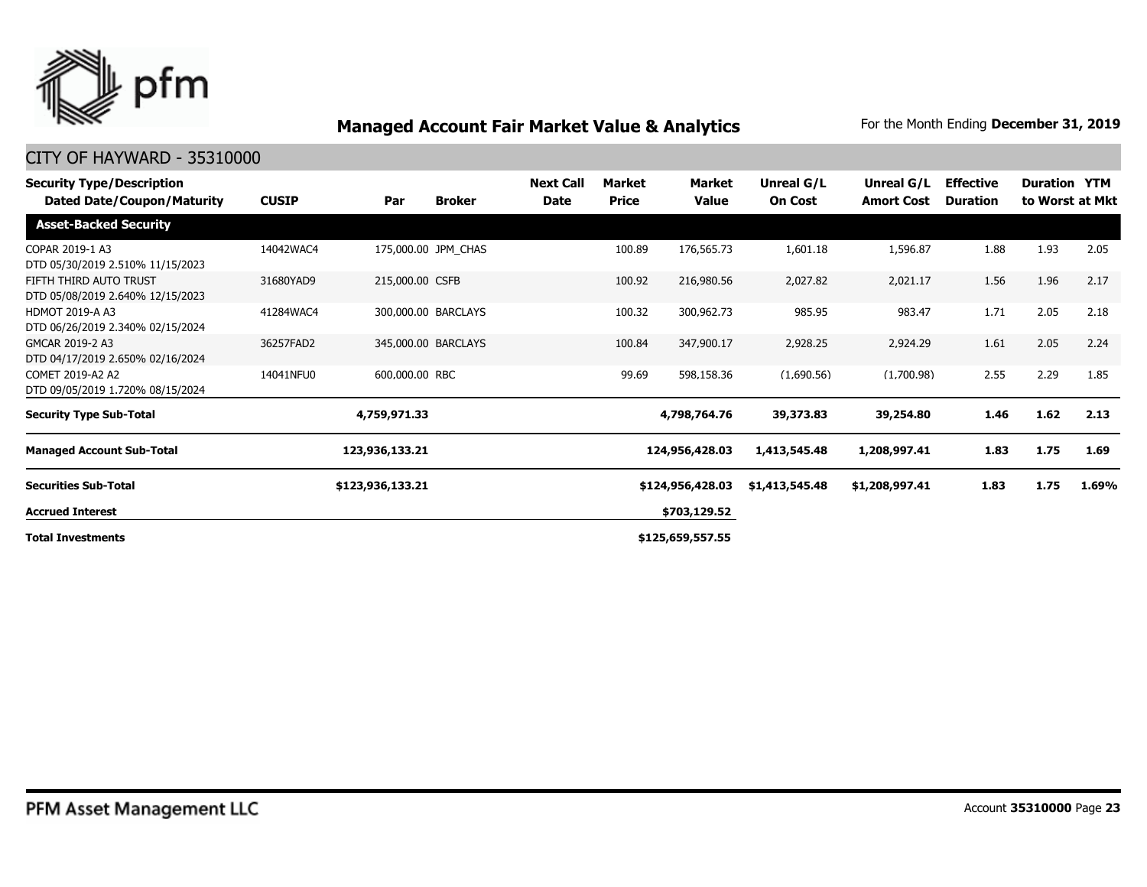

| <b>Security Type/Description</b><br>Dated Date/Coupon/Maturity | <b>CUSIP</b> | Par              | <b>Broker</b>       | <b>Next Call</b><br>Date | Market<br><b>Price</b> | Market<br>Value  | Unreal G/L<br><b>On Cost</b> | Unreal G/L<br><b>Amort Cost</b> | <b>Effective</b><br><b>Duration</b> | <b>Duration YTM</b> | to Worst at Mkt |
|----------------------------------------------------------------|--------------|------------------|---------------------|--------------------------|------------------------|------------------|------------------------------|---------------------------------|-------------------------------------|---------------------|-----------------|
| <b>Asset-Backed Security</b>                                   |              |                  |                     |                          |                        |                  |                              |                                 |                                     |                     |                 |
| COPAR 2019-1 A3<br>DTD 05/30/2019 2.510% 11/15/2023            | 14042WAC4    |                  | 175,000.00 JPM CHAS |                          | 100.89                 | 176,565.73       | 1,601.18                     | 1,596.87                        | 1.88                                | 1.93                | 2.05            |
| FIFTH THIRD AUTO TRUST<br>DTD 05/08/2019 2.640% 12/15/2023     | 31680YAD9    | 215,000.00 CSFB  |                     |                          | 100.92                 | 216,980.56       | 2,027.82                     | 2,021.17                        | 1.56                                | 1.96                | 2.17            |
| <b>HDMOT 2019-A A3</b><br>DTD 06/26/2019 2.340% 02/15/2024     | 41284WAC4    |                  | 300,000.00 BARCLAYS |                          | 100.32                 | 300,962.73       | 985.95                       | 983.47                          | 1.71                                | 2.05                | 2.18            |
| GMCAR 2019-2 A3<br>DTD 04/17/2019 2.650% 02/16/2024            | 36257FAD2    |                  | 345,000.00 BARCLAYS |                          | 100.84                 | 347,900.17       | 2,928.25                     | 2,924.29                        | 1.61                                | 2.05                | 2.24            |
| COMET 2019-A2 A2<br>DTD 09/05/2019 1.720% 08/15/2024           | 14041NFU0    | 600,000,00 RBC   |                     |                          | 99.69                  | 598,158.36       | (1,690.56)                   | (1,700.98)                      | 2.55                                | 2.29                | 1.85            |
| <b>Security Type Sub-Total</b>                                 |              | 4,759,971.33     |                     |                          |                        | 4,798,764.76     | 39,373.83                    | 39,254.80                       | 1.46                                | 1.62                | 2.13            |
| <b>Managed Account Sub-Total</b>                               |              | 123,936,133.21   |                     |                          |                        | 124,956,428.03   | 1,413,545.48                 | 1,208,997.41                    | 1.83                                | 1.75                | 1.69            |
| <b>Securities Sub-Total</b>                                    |              | \$123,936,133.21 |                     |                          |                        | \$124,956,428.03 | \$1,413,545.48               | \$1,208,997.41                  | 1.83                                | 1.75                | 1.69%           |
| <b>Accrued Interest</b>                                        |              |                  |                     |                          |                        | \$703,129.52     |                              |                                 |                                     |                     |                 |
| <b>Total Investments</b>                                       |              |                  |                     |                          |                        | \$125,659,557.55 |                              |                                 |                                     |                     |                 |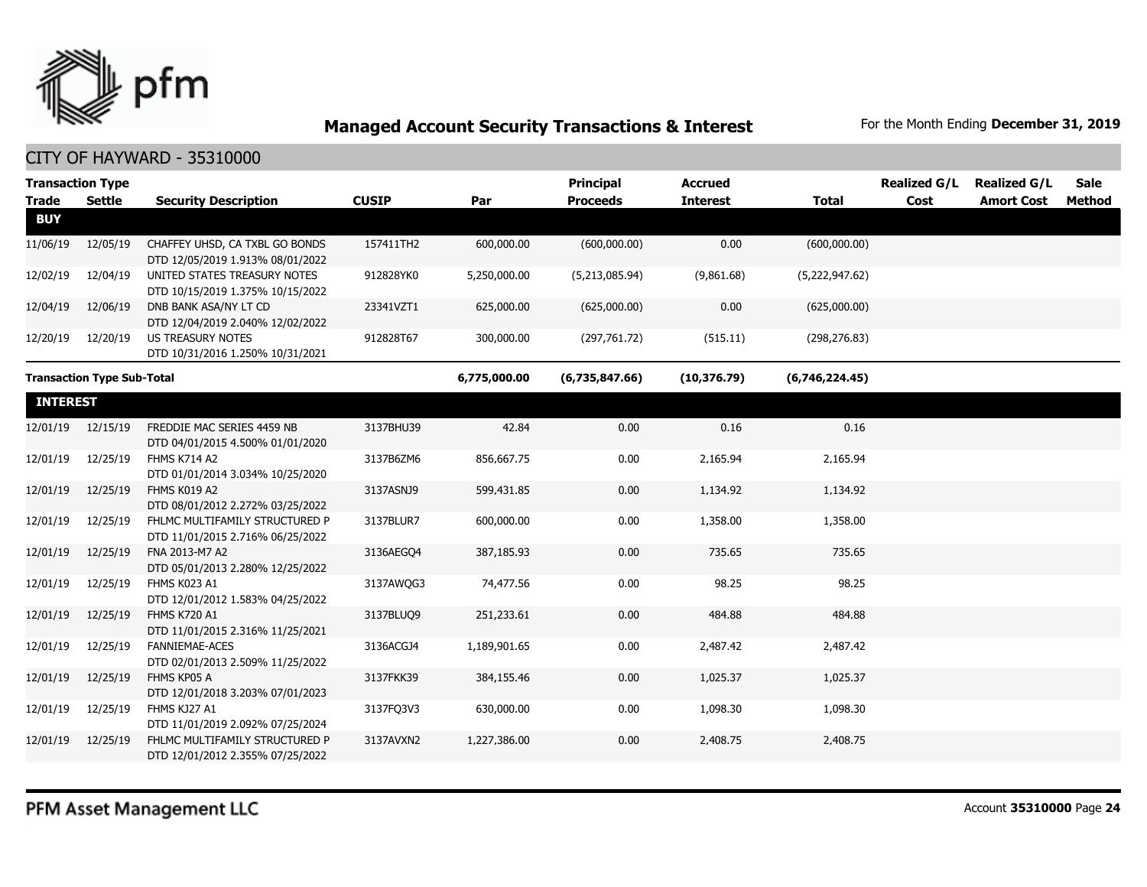

| <b>Transaction Type</b><br><b>Trade</b> | <b>Settle</b>                     | <b>Security Description</b>                                        | <b>CUSIP</b> | Par          | Principal<br><b>Proceeds</b> | <b>Accrued</b><br><b>Interest</b> | <b>Total</b>   | <b>Realized G/L</b><br>Cost | <b>Realized G/L</b><br><b>Amort Cost</b> | <b>Sale</b><br>Method |
|-----------------------------------------|-----------------------------------|--------------------------------------------------------------------|--------------|--------------|------------------------------|-----------------------------------|----------------|-----------------------------|------------------------------------------|-----------------------|
| <b>BUY</b>                              |                                   |                                                                    |              |              |                              |                                   |                |                             |                                          |                       |
| 11/06/19                                | 12/05/19                          | CHAFFEY UHSD, CA TXBL GO BONDS<br>DTD 12/05/2019 1.913% 08/01/2022 | 157411TH2    | 600,000.00   | (600,000.00)                 | 0.00                              | (600,000.00)   |                             |                                          |                       |
| 12/02/19                                | 12/04/19                          | UNITED STATES TREASURY NOTES<br>DTD 10/15/2019 1.375% 10/15/2022   | 912828YK0    | 5,250,000.00 | (5,213,085.94)               | (9,861.68)                        | (5,222,947.62) |                             |                                          |                       |
| 12/04/19                                | 12/06/19                          | DNB BANK ASA/NY LT CD<br>DTD 12/04/2019 2.040% 12/02/2022          | 23341VZT1    | 625,000.00   | (625,000.00)                 | 0.00                              | (625,000.00)   |                             |                                          |                       |
| 12/20/19                                | 12/20/19                          | <b>US TREASURY NOTES</b><br>DTD 10/31/2016 1.250% 10/31/2021       | 912828T67    | 300,000.00   | (297,761.72)                 | (515.11)                          | (298, 276.83)  |                             |                                          |                       |
|                                         | <b>Transaction Type Sub-Total</b> |                                                                    |              | 6,775,000.00 | (6,735,847.66)               | (10, 376.79)                      | (6,746,224.45) |                             |                                          |                       |
| <b>INTEREST</b>                         |                                   |                                                                    |              |              |                              |                                   |                |                             |                                          |                       |
| 12/01/19                                | 12/15/19                          | FREDDIE MAC SERIES 4459 NB<br>DTD 04/01/2015 4.500% 01/01/2020     | 3137BHU39    | 42.84        | 0.00                         | 0.16                              | 0.16           |                             |                                          |                       |
| 12/01/19                                | 12/25/19                          | FHMS K714 A2<br>DTD 01/01/2014 3.034% 10/25/2020                   | 3137B6ZM6    | 856,667.75   | 0.00                         | 2,165.94                          | 2,165.94       |                             |                                          |                       |
| 12/01/19                                | 12/25/19                          | FHMS K019 A2<br>DTD 08/01/2012 2.272% 03/25/2022                   | 3137ASNJ9    | 599,431.85   | 0.00                         | 1,134.92                          | 1,134.92       |                             |                                          |                       |
| 12/01/19                                | 12/25/19                          | FHLMC MULTIFAMILY STRUCTURED P<br>DTD 11/01/2015 2.716% 06/25/2022 | 3137BLUR7    | 600,000.00   | 0.00                         | 1,358.00                          | 1,358.00       |                             |                                          |                       |
| 12/01/19                                | 12/25/19                          | FNA 2013-M7 A2<br>DTD 05/01/2013 2.280% 12/25/2022                 | 3136AEGO4    | 387,185.93   | 0.00                         | 735.65                            | 735.65         |                             |                                          |                       |
| 12/01/19                                | 12/25/19                          | FHMS K023 A1<br>DTD 12/01/2012 1.583% 04/25/2022                   | 3137AWQG3    | 74,477.56    | 0.00                         | 98.25                             | 98.25          |                             |                                          |                       |
| 12/01/19                                | 12/25/19                          | <b>FHMS K720 A1</b><br>DTD 11/01/2015 2.316% 11/25/2021            | 3137BLUO9    | 251,233.61   | 0.00                         | 484.88                            | 484.88         |                             |                                          |                       |
| 12/01/19                                | 12/25/19                          | <b>FANNIEMAE-ACES</b><br>DTD 02/01/2013 2.509% 11/25/2022          | 3136ACGJ4    | 1,189,901.65 | 0.00                         | 2,487.42                          | 2,487.42       |                             |                                          |                       |
| 12/01/19                                | 12/25/19                          | FHMS KP05 A<br>DTD 12/01/2018 3.203% 07/01/2023                    | 3137FKK39    | 384,155.46   | 0.00                         | 1,025.37                          | 1,025.37       |                             |                                          |                       |
| 12/01/19                                | 12/25/19                          | FHMS KJ27 A1<br>DTD 11/01/2019 2.092% 07/25/2024                   | 3137FQ3V3    | 630,000.00   | 0.00                         | 1,098.30                          | 1,098.30       |                             |                                          |                       |
| 12/01/19                                | 12/25/19                          | FHLMC MULTIFAMILY STRUCTURED P<br>DTD 12/01/2012 2.355% 07/25/2022 | 3137AVXN2    | 1,227,386.00 | 0.00                         | 2,408.75                          | 2,408.75       |                             |                                          |                       |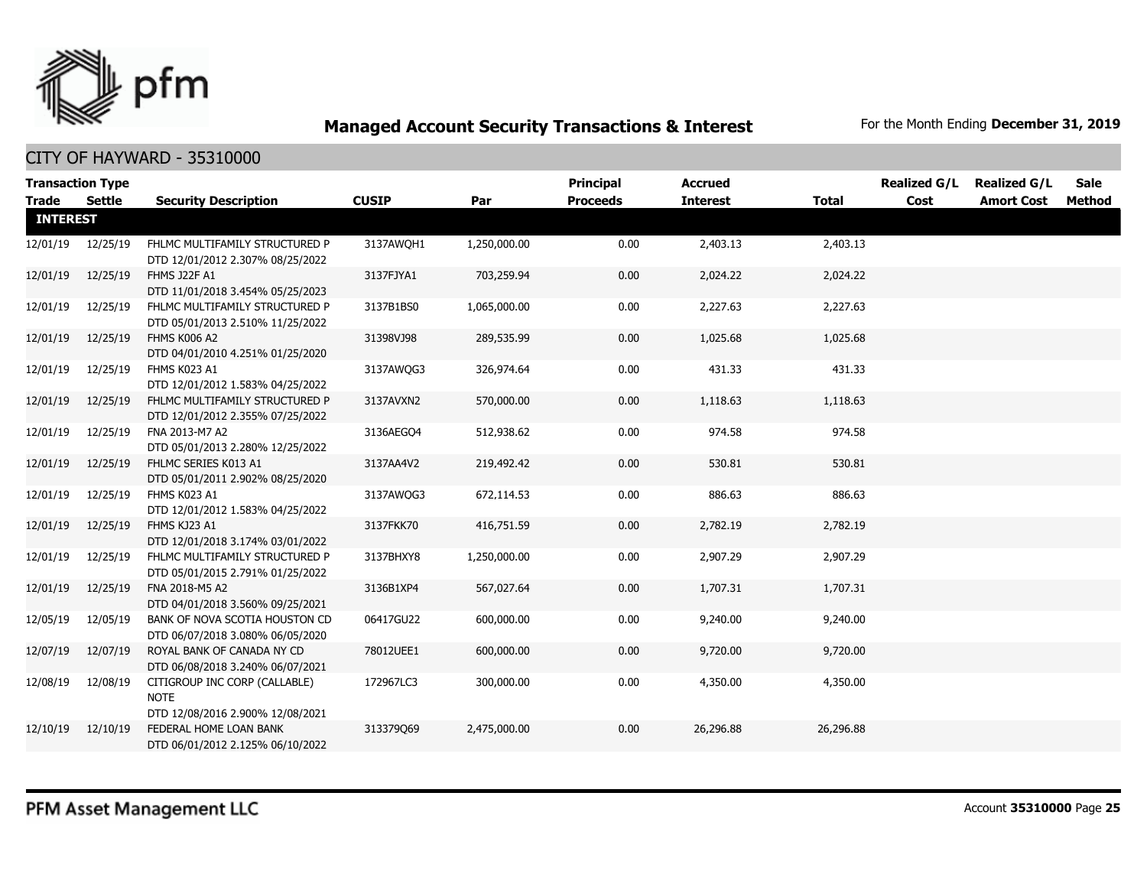

|                 | <b>Transaction Type</b> |                                                                                  |              |              | <b>Principal</b> | <b>Accrued</b>  |              | <b>Realized G/L</b> | <b>Realized G/L</b> | <b>Sale</b> |
|-----------------|-------------------------|----------------------------------------------------------------------------------|--------------|--------------|------------------|-----------------|--------------|---------------------|---------------------|-------------|
| Trade           | Settle                  | <b>Security Description</b>                                                      | <b>CUSIP</b> | Par          | <b>Proceeds</b>  | <b>Interest</b> | <b>Total</b> | Cost                | <b>Amort Cost</b>   | Method      |
| <b>INTEREST</b> |                         |                                                                                  |              |              |                  |                 |              |                     |                     |             |
| 12/01/19        | 12/25/19                | FHLMC MULTIFAMILY STRUCTURED P<br>DTD 12/01/2012 2.307% 08/25/2022               | 3137AWQH1    | 1,250,000.00 | 0.00             | 2,403.13        | 2,403.13     |                     |                     |             |
| 12/01/19        | 12/25/19                | FHMS J22F A1<br>DTD 11/01/2018 3.454% 05/25/2023                                 | 3137FJYA1    | 703,259.94   | 0.00             | 2,024.22        | 2,024.22     |                     |                     |             |
| 12/01/19        | 12/25/19                | FHLMC MULTIFAMILY STRUCTURED P<br>DTD 05/01/2013 2.510% 11/25/2022               | 3137B1BS0    | 1,065,000.00 | 0.00             | 2,227.63        | 2,227.63     |                     |                     |             |
| 12/01/19        | 12/25/19                | FHMS K006 A2<br>DTD 04/01/2010 4.251% 01/25/2020                                 | 31398VJ98    | 289,535.99   | 0.00             | 1,025.68        | 1,025.68     |                     |                     |             |
| 12/01/19        | 12/25/19                | FHMS K023 A1<br>DTD 12/01/2012 1.583% 04/25/2022                                 | 3137AWQG3    | 326,974.64   | 0.00             | 431.33          | 431.33       |                     |                     |             |
| 12/01/19        | 12/25/19                | FHLMC MULTIFAMILY STRUCTURED P<br>DTD 12/01/2012 2.355% 07/25/2022               | 3137AVXN2    | 570,000.00   | 0.00             | 1,118.63        | 1,118.63     |                     |                     |             |
| 12/01/19        | 12/25/19                | FNA 2013-M7 A2<br>DTD 05/01/2013 2.280% 12/25/2022                               | 3136AEGO4    | 512,938.62   | 0.00             | 974.58          | 974.58       |                     |                     |             |
| 12/01/19        | 12/25/19                | FHLMC SERIES K013 A1<br>DTD 05/01/2011 2.902% 08/25/2020                         | 3137AA4V2    | 219,492.42   | 0.00             | 530.81          | 530.81       |                     |                     |             |
| 12/01/19        | 12/25/19                | FHMS K023 A1<br>DTD 12/01/2012 1.583% 04/25/2022                                 | 3137AWQG3    | 672,114.53   | 0.00             | 886.63          | 886.63       |                     |                     |             |
| 12/01/19        | 12/25/19                | FHMS KJ23 A1<br>DTD 12/01/2018 3.174% 03/01/2022                                 | 3137FKK70    | 416,751.59   | 0.00             | 2,782.19        | 2,782.19     |                     |                     |             |
| 12/01/19        | 12/25/19                | FHLMC MULTIFAMILY STRUCTURED P<br>DTD 05/01/2015 2.791% 01/25/2022               | 3137BHXY8    | 1,250,000.00 | 0.00             | 2,907.29        | 2,907.29     |                     |                     |             |
| 12/01/19        | 12/25/19                | FNA 2018-M5 A2<br>DTD 04/01/2018 3.560% 09/25/2021                               | 3136B1XP4    | 567,027.64   | 0.00             | 1,707.31        | 1,707.31     |                     |                     |             |
| 12/05/19        | 12/05/19                | BANK OF NOVA SCOTIA HOUSTON CD<br>DTD 06/07/2018 3.080% 06/05/2020               | 06417GU22    | 600,000.00   | 0.00             | 9,240.00        | 9,240.00     |                     |                     |             |
| 12/07/19        | 12/07/19                | ROYAL BANK OF CANADA NY CD<br>DTD 06/08/2018 3.240% 06/07/2021                   | 78012UEE1    | 600,000.00   | 0.00             | 9,720.00        | 9,720.00     |                     |                     |             |
| 12/08/19        | 12/08/19                | CITIGROUP INC CORP (CALLABLE)<br><b>NOTE</b><br>DTD 12/08/2016 2.900% 12/08/2021 | 172967LC3    | 300,000.00   | 0.00             | 4,350.00        | 4,350.00     |                     |                     |             |
| 12/10/19        | 12/10/19                | FEDERAL HOME LOAN BANK<br>DTD 06/01/2012 2.125% 06/10/2022                       | 313379069    | 2,475,000.00 | 0.00             | 26,296.88       | 26,296.88    |                     |                     |             |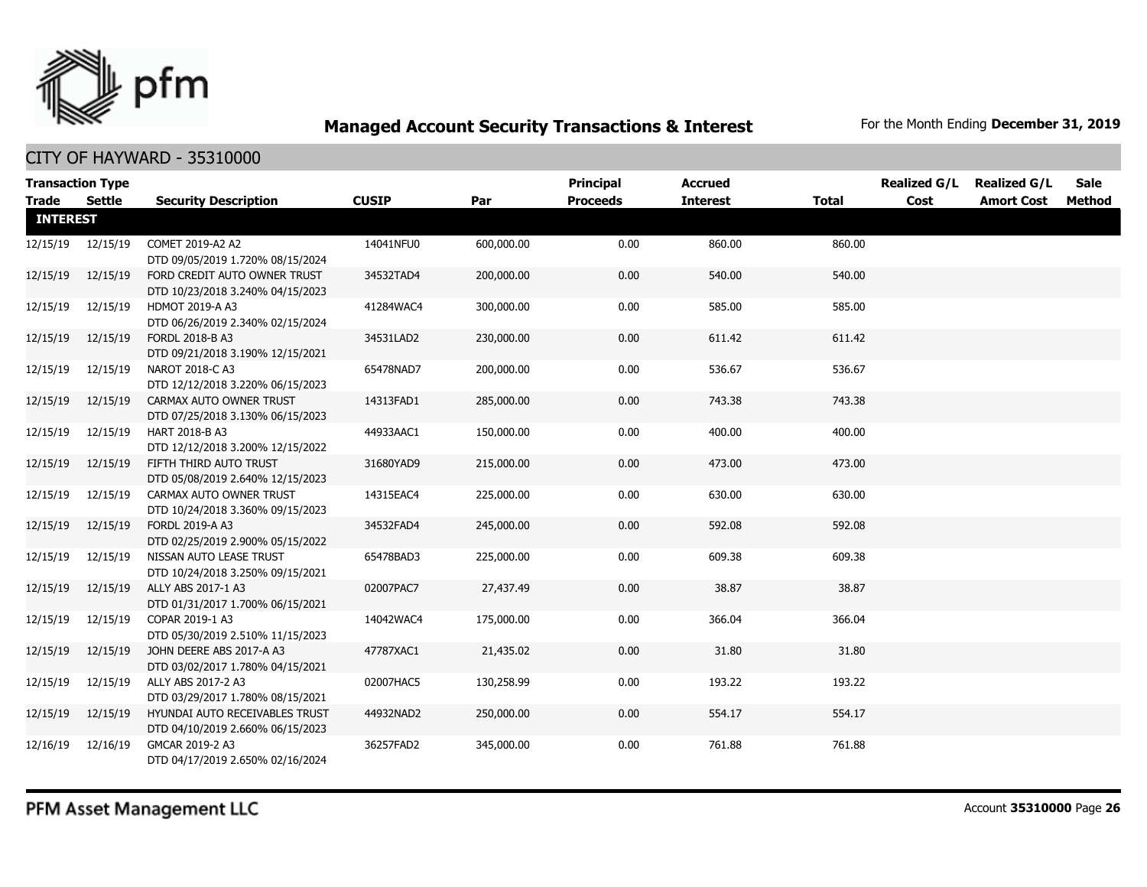

|                 | <b>Transaction Type</b> |                                                                    |              |            | <b>Principal</b> | <b>Accrued</b>  |              | <b>Realized G/L</b> | <b>Realized G/L</b> | <b>Sale</b> |
|-----------------|-------------------------|--------------------------------------------------------------------|--------------|------------|------------------|-----------------|--------------|---------------------|---------------------|-------------|
| <b>Trade</b>    | Settle                  | <b>Security Description</b>                                        | <b>CUSIP</b> | Par        | <b>Proceeds</b>  | <b>Interest</b> | <b>Total</b> | Cost                | <b>Amort Cost</b>   | Method      |
| <b>INTEREST</b> |                         |                                                                    |              |            |                  |                 |              |                     |                     |             |
| 12/15/19        | 12/15/19                | COMET 2019-A2 A2<br>DTD 09/05/2019 1.720% 08/15/2024               | 14041NFU0    | 600,000.00 | 0.00             | 860.00          | 860.00       |                     |                     |             |
| 12/15/19        | 12/15/19                | FORD CREDIT AUTO OWNER TRUST<br>DTD 10/23/2018 3.240% 04/15/2023   | 34532TAD4    | 200,000.00 | 0.00             | 540.00          | 540.00       |                     |                     |             |
| 12/15/19        | 12/15/19                | HDMOT 2019-A A3<br>DTD 06/26/2019 2.340% 02/15/2024                | 41284WAC4    | 300,000.00 | 0.00             | 585.00          | 585.00       |                     |                     |             |
| 12/15/19        | 12/15/19                | FORDL 2018-B A3<br>DTD 09/21/2018 3.190% 12/15/2021                | 34531LAD2    | 230,000.00 | 0.00             | 611.42          | 611.42       |                     |                     |             |
| 12/15/19        | 12/15/19                | NAROT 2018-C A3<br>DTD 12/12/2018 3.220% 06/15/2023                | 65478NAD7    | 200,000.00 | 0.00             | 536.67          | 536.67       |                     |                     |             |
| 12/15/19        | 12/15/19                | CARMAX AUTO OWNER TRUST<br>DTD 07/25/2018 3.130% 06/15/2023        | 14313FAD1    | 285,000.00 | 0.00             | 743.38          | 743.38       |                     |                     |             |
| 12/15/19        | 12/15/19                | HART 2018-B A3<br>DTD 12/12/2018 3.200% 12/15/2022                 | 44933AAC1    | 150,000.00 | 0.00             | 400.00          | 400.00       |                     |                     |             |
| 12/15/19        | 12/15/19                | FIFTH THIRD AUTO TRUST<br>DTD 05/08/2019 2.640% 12/15/2023         | 31680YAD9    | 215,000.00 | 0.00             | 473.00          | 473.00       |                     |                     |             |
| 12/15/19        | 12/15/19                | CARMAX AUTO OWNER TRUST<br>DTD 10/24/2018 3.360% 09/15/2023        | 14315EAC4    | 225,000.00 | 0.00             | 630.00          | 630.00       |                     |                     |             |
| 12/15/19        | 12/15/19                | FORDL 2019-A A3<br>DTD 02/25/2019 2.900% 05/15/2022                | 34532FAD4    | 245,000.00 | 0.00             | 592.08          | 592.08       |                     |                     |             |
| 12/15/19        | 12/15/19                | NISSAN AUTO LEASE TRUST<br>DTD 10/24/2018 3.250% 09/15/2021        | 65478BAD3    | 225,000.00 | 0.00             | 609.38          | 609.38       |                     |                     |             |
| 12/15/19        | 12/15/19                | ALLY ABS 2017-1 A3<br>DTD 01/31/2017 1.700% 06/15/2021             | 02007PAC7    | 27,437.49  | 0.00             | 38.87           | 38.87        |                     |                     |             |
| 12/15/19        | 12/15/19                | COPAR 2019-1 A3<br>DTD 05/30/2019 2.510% 11/15/2023                | 14042WAC4    | 175,000.00 | 0.00             | 366.04          | 366.04       |                     |                     |             |
| 12/15/19        | 12/15/19                | JOHN DEERE ABS 2017-A A3<br>DTD 03/02/2017 1.780% 04/15/2021       | 47787XAC1    | 21,435.02  | 0.00             | 31.80           | 31.80        |                     |                     |             |
| 12/15/19        | 12/15/19                | ALLY ABS 2017-2 A3<br>DTD 03/29/2017 1.780% 08/15/2021             | 02007HAC5    | 130,258.99 | 0.00             | 193.22          | 193.22       |                     |                     |             |
| 12/15/19        | 12/15/19                | HYUNDAI AUTO RECEIVABLES TRUST<br>DTD 04/10/2019 2.660% 06/15/2023 | 44932NAD2    | 250,000.00 | 0.00             | 554.17          | 554.17       |                     |                     |             |
| 12/16/19        | 12/16/19                | GMCAR 2019-2 A3<br>DTD 04/17/2019 2.650% 02/16/2024                | 36257FAD2    | 345,000.00 | 0.00             | 761.88          | 761.88       |                     |                     |             |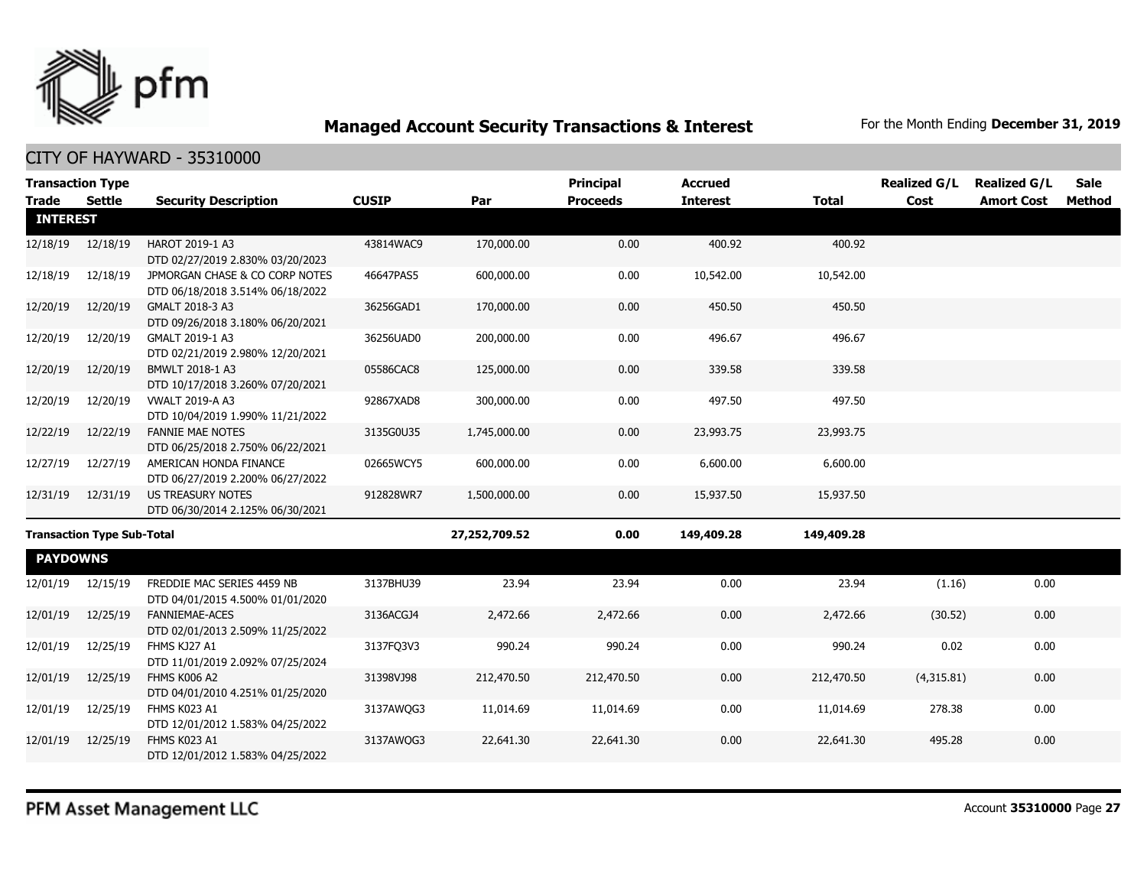

|                 | <b>Transaction Type</b>           |                                                                    |              |               | <b>Principal</b> | <b>Accrued</b>  |              | <b>Realized G/L</b> | <b>Realized G/L</b> | Sale          |
|-----------------|-----------------------------------|--------------------------------------------------------------------|--------------|---------------|------------------|-----------------|--------------|---------------------|---------------------|---------------|
| <b>Trade</b>    | <b>Settle</b>                     | <b>Security Description</b>                                        | <b>CUSIP</b> | Par           | <b>Proceeds</b>  | <b>Interest</b> | <b>Total</b> | Cost                | <b>Amort Cost</b>   | <b>Method</b> |
| <b>INTEREST</b> |                                   |                                                                    |              |               |                  |                 |              |                     |                     |               |
| 12/18/19        | 12/18/19                          | HAROT 2019-1 A3<br>DTD 02/27/2019 2.830% 03/20/2023                | 43814WAC9    | 170,000.00    | 0.00             | 400.92          | 400.92       |                     |                     |               |
| 12/18/19        | 12/18/19                          | JPMORGAN CHASE & CO CORP NOTES<br>DTD 06/18/2018 3.514% 06/18/2022 | 46647PAS5    | 600,000.00    | 0.00             | 10,542.00       | 10,542.00    |                     |                     |               |
| 12/20/19        | 12/20/19                          | GMALT 2018-3 A3<br>DTD 09/26/2018 3.180% 06/20/2021                | 36256GAD1    | 170,000.00    | 0.00             | 450.50          | 450.50       |                     |                     |               |
| 12/20/19        | 12/20/19                          | GMALT 2019-1 A3<br>DTD 02/21/2019 2.980% 12/20/2021                | 36256UAD0    | 200,000.00    | 0.00             | 496.67          | 496.67       |                     |                     |               |
| 12/20/19        | 12/20/19                          | BMWLT 2018-1 A3<br>DTD 10/17/2018 3.260% 07/20/2021                | 05586CAC8    | 125,000.00    | 0.00             | 339.58          | 339.58       |                     |                     |               |
| 12/20/19        | 12/20/19                          | <b>VWALT 2019-A A3</b><br>DTD 10/04/2019 1.990% 11/21/2022         | 92867XAD8    | 300,000.00    | 0.00             | 497.50          | 497.50       |                     |                     |               |
| 12/22/19        | 12/22/19                          | <b>FANNIE MAE NOTES</b><br>DTD 06/25/2018 2.750% 06/22/2021        | 3135G0U35    | 1,745,000.00  | 0.00             | 23,993.75       | 23,993.75    |                     |                     |               |
| 12/27/19        | 12/27/19                          | AMERICAN HONDA FINANCE<br>DTD 06/27/2019 2.200% 06/27/2022         | 02665WCY5    | 600,000.00    | 0.00             | 6,600.00        | 6,600.00     |                     |                     |               |
| 12/31/19        | 12/31/19                          | <b>US TREASURY NOTES</b><br>DTD 06/30/2014 2.125% 06/30/2021       | 912828WR7    | 1,500,000.00  | 0.00             | 15,937.50       | 15,937.50    |                     |                     |               |
|                 | <b>Transaction Type Sub-Total</b> |                                                                    |              | 27,252,709.52 | 0.00             | 149,409.28      | 149,409.28   |                     |                     |               |
| <b>PAYDOWNS</b> |                                   |                                                                    |              |               |                  |                 |              |                     |                     |               |
| 12/01/19        | 12/15/19                          | FREDDIE MAC SERIES 4459 NB<br>DTD 04/01/2015 4.500% 01/01/2020     | 3137BHU39    | 23.94         | 23.94            | 0.00            | 23.94        | (1.16)              | 0.00                |               |
| 12/01/19        | 12/25/19                          | <b>FANNIEMAE-ACES</b><br>DTD 02/01/2013 2.509% 11/25/2022          | 3136ACGJ4    | 2,472.66      | 2,472.66         | 0.00            | 2,472.66     | (30.52)             | 0.00                |               |
| 12/01/19        | 12/25/19                          | FHMS KJ27 A1<br>DTD 11/01/2019 2.092% 07/25/2024                   | 3137FQ3V3    | 990.24        | 990.24           | 0.00            | 990.24       | 0.02                | 0.00                |               |
| 12/01/19        | 12/25/19                          | FHMS K006 A2<br>DTD 04/01/2010 4.251% 01/25/2020                   | 31398VJ98    | 212,470.50    | 212,470.50       | 0.00            | 212,470.50   | (4,315.81)          | 0.00                |               |
| 12/01/19        | 12/25/19                          | FHMS K023 A1<br>DTD 12/01/2012 1.583% 04/25/2022                   | 3137AWQG3    | 11,014.69     | 11,014.69        | 0.00            | 11,014.69    | 278.38              | 0.00                |               |
| 12/01/19        | 12/25/19                          | FHMS K023 A1<br>DTD 12/01/2012 1.583% 04/25/2022                   | 3137AWQG3    | 22,641.30     | 22,641.30        | 0.00            | 22,641.30    | 495.28              | 0.00                |               |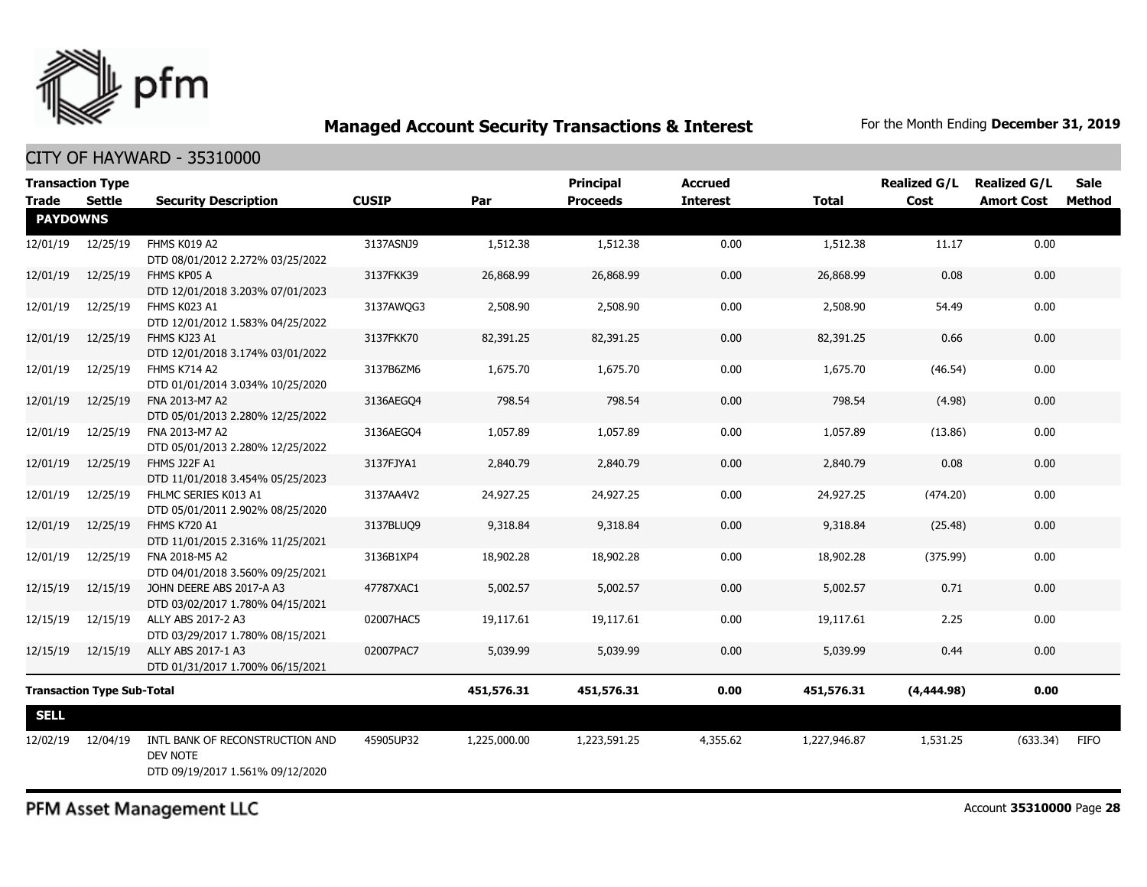

| <b>Transaction Type</b> |                                   |                                                                                 |              |              | <b>Principal</b> | <b>Accrued</b>  |              | <b>Realized G/L</b> | <b>Realized G/L</b> | <b>Sale</b> |
|-------------------------|-----------------------------------|---------------------------------------------------------------------------------|--------------|--------------|------------------|-----------------|--------------|---------------------|---------------------|-------------|
| <b>Trade</b>            | <b>Settle</b>                     | <b>Security Description</b>                                                     | <b>CUSIP</b> | Par          | <b>Proceeds</b>  | <b>Interest</b> | <b>Total</b> | Cost                | <b>Amort Cost</b>   | Method      |
| <b>PAYDOWNS</b>         |                                   |                                                                                 |              |              |                  |                 |              |                     |                     |             |
| 12/01/19                | 12/25/19                          | FHMS K019 A2<br>DTD 08/01/2012 2.272% 03/25/2022                                | 3137ASNJ9    | 1,512.38     | 1,512.38         | 0.00            | 1,512.38     | 11.17               | 0.00                |             |
| 12/01/19                | 12/25/19                          | FHMS KP05 A<br>DTD 12/01/2018 3.203% 07/01/2023                                 | 3137FKK39    | 26,868.99    | 26,868.99        | 0.00            | 26,868.99    | 0.08                | 0.00                |             |
| 12/01/19                | 12/25/19                          | FHMS K023 A1<br>DTD 12/01/2012 1.583% 04/25/2022                                | 3137AWQG3    | 2,508.90     | 2,508.90         | 0.00            | 2,508.90     | 54.49               | 0.00                |             |
| 12/01/19                | 12/25/19                          | FHMS KJ23 A1<br>DTD 12/01/2018 3.174% 03/01/2022                                | 3137FKK70    | 82,391.25    | 82,391.25        | 0.00            | 82,391.25    | 0.66                | 0.00                |             |
| 12/01/19                | 12/25/19                          | <b>FHMS K714 A2</b><br>DTD 01/01/2014 3.034% 10/25/2020                         | 3137B6ZM6    | 1,675.70     | 1,675.70         | 0.00            | 1,675.70     | (46.54)             | 0.00                |             |
| 12/01/19                | 12/25/19                          | FNA 2013-M7 A2<br>DTD 05/01/2013 2.280% 12/25/2022                              | 3136AEGQ4    | 798.54       | 798.54           | 0.00            | 798.54       | (4.98)              | 0.00                |             |
| 12/01/19                | 12/25/19                          | FNA 2013-M7 A2<br>DTD 05/01/2013 2.280% 12/25/2022                              | 3136AEGO4    | 1,057.89     | 1,057.89         | 0.00            | 1,057.89     | (13.86)             | 0.00                |             |
| 12/01/19                | 12/25/19                          | <b>FHMS J22F A1</b><br>DTD 11/01/2018 3.454% 05/25/2023                         | 3137FJYA1    | 2,840.79     | 2,840.79         | 0.00            | 2,840.79     | 0.08                | 0.00                |             |
| 12/01/19                | 12/25/19                          | FHLMC SERIES K013 A1<br>DTD 05/01/2011 2.902% 08/25/2020                        | 3137AA4V2    | 24,927.25    | 24,927.25        | 0.00            | 24,927.25    | (474.20)            | 0.00                |             |
| 12/01/19                | 12/25/19                          | <b>FHMS K720 A1</b><br>DTD 11/01/2015 2.316% 11/25/2021                         | 3137BLUQ9    | 9,318.84     | 9,318.84         | 0.00            | 9,318.84     | (25.48)             | 0.00                |             |
| 12/01/19                | 12/25/19                          | FNA 2018-M5 A2<br>DTD 04/01/2018 3.560% 09/25/2021                              | 3136B1XP4    | 18,902.28    | 18,902.28        | 0.00            | 18,902.28    | (375.99)            | 0.00                |             |
| 12/15/19                | 12/15/19                          | JOHN DEERE ABS 2017-A A3<br>DTD 03/02/2017 1.780% 04/15/2021                    | 47787XAC1    | 5,002.57     | 5,002.57         | 0.00            | 5,002.57     | 0.71                | 0.00                |             |
| 12/15/19                | 12/15/19                          | ALLY ABS 2017-2 A3<br>DTD 03/29/2017 1.780% 08/15/2021                          | 02007HAC5    | 19,117.61    | 19,117.61        | 0.00            | 19,117.61    | 2.25                | 0.00                |             |
| 12/15/19                | 12/15/19                          | ALLY ABS 2017-1 A3<br>DTD 01/31/2017 1.700% 06/15/2021                          | 02007PAC7    | 5,039.99     | 5,039.99         | 0.00            | 5,039.99     | 0.44                | 0.00                |             |
|                         | <b>Transaction Type Sub-Total</b> |                                                                                 |              |              | 451,576.31       | 0.00            | 451,576.31   | (4,444.98)          | 0.00                |             |
| <b>SELL</b>             |                                   |                                                                                 |              |              |                  |                 |              |                     |                     |             |
| 12/02/19                | 12/04/19                          | INTL BANK OF RECONSTRUCTION AND<br>DEV NOTE<br>DTD 09/19/2017 1.561% 09/12/2020 | 45905UP32    | 1,225,000.00 | 1,223,591.25     | 4,355.62        | 1,227,946.87 | 1,531.25            | (633.34)            | <b>FIFO</b> |